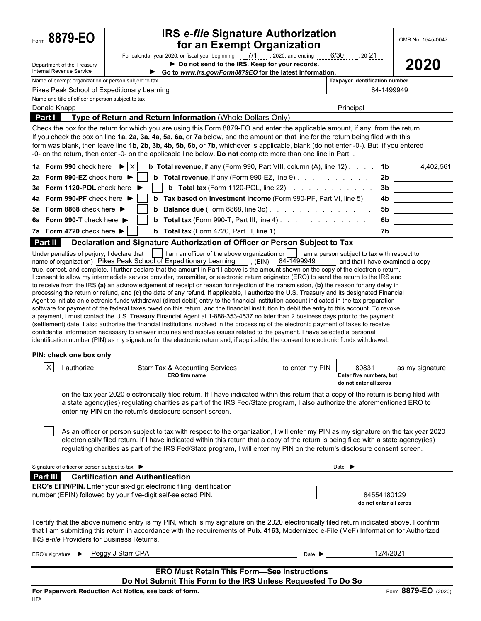Department of the Treasury

## Form **8879-EO IRS** *e-file* **Signature Authorization** OMB No. 1545-0047 **for an Exempt Organization**

For calendar year 2020, or fiscal year beginning  $\frac{7/1}{2}$ , 2020, and ending  $\frac{6/30}{2}$ , 20.21... <br>
Do not send to the IRS. Keep for your records.<br>
Go to www.irs.gov/Form8879EO for the latest information.

| Internal Revenue Service                                     |                   | Go to www.irs.gov/Form8879EO for the latest information.                                                                                                                                                                                                                                                                                                                                                                                                                                                                                                                                                                                                                                                                                                                                                                                                                                                                                                                                                                                                                                                                                                                                                                                                                                                                                                                                                                                                                                                                                                                                                                                                                                                                                                                                                                                                                                                                                                                                                                                                                                                                                                                                                                                                                                                                                                |                                                                                               |                     |
|--------------------------------------------------------------|-------------------|---------------------------------------------------------------------------------------------------------------------------------------------------------------------------------------------------------------------------------------------------------------------------------------------------------------------------------------------------------------------------------------------------------------------------------------------------------------------------------------------------------------------------------------------------------------------------------------------------------------------------------------------------------------------------------------------------------------------------------------------------------------------------------------------------------------------------------------------------------------------------------------------------------------------------------------------------------------------------------------------------------------------------------------------------------------------------------------------------------------------------------------------------------------------------------------------------------------------------------------------------------------------------------------------------------------------------------------------------------------------------------------------------------------------------------------------------------------------------------------------------------------------------------------------------------------------------------------------------------------------------------------------------------------------------------------------------------------------------------------------------------------------------------------------------------------------------------------------------------------------------------------------------------------------------------------------------------------------------------------------------------------------------------------------------------------------------------------------------------------------------------------------------------------------------------------------------------------------------------------------------------------------------------------------------------------------------------------------------------|-----------------------------------------------------------------------------------------------|---------------------|
| Name of exempt organization or person subject to tax         |                   |                                                                                                                                                                                                                                                                                                                                                                                                                                                                                                                                                                                                                                                                                                                                                                                                                                                                                                                                                                                                                                                                                                                                                                                                                                                                                                                                                                                                                                                                                                                                                                                                                                                                                                                                                                                                                                                                                                                                                                                                                                                                                                                                                                                                                                                                                                                                                         | Taxpayer identification number                                                                |                     |
| Pikes Peak School of Expeditionary Learning                  |                   |                                                                                                                                                                                                                                                                                                                                                                                                                                                                                                                                                                                                                                                                                                                                                                                                                                                                                                                                                                                                                                                                                                                                                                                                                                                                                                                                                                                                                                                                                                                                                                                                                                                                                                                                                                                                                                                                                                                                                                                                                                                                                                                                                                                                                                                                                                                                                         | 84-1499949                                                                                    |                     |
| Name and title of officer or person subject to tax           |                   |                                                                                                                                                                                                                                                                                                                                                                                                                                                                                                                                                                                                                                                                                                                                                                                                                                                                                                                                                                                                                                                                                                                                                                                                                                                                                                                                                                                                                                                                                                                                                                                                                                                                                                                                                                                                                                                                                                                                                                                                                                                                                                                                                                                                                                                                                                                                                         |                                                                                               |                     |
| Donald Knapp                                                 |                   |                                                                                                                                                                                                                                                                                                                                                                                                                                                                                                                                                                                                                                                                                                                                                                                                                                                                                                                                                                                                                                                                                                                                                                                                                                                                                                                                                                                                                                                                                                                                                                                                                                                                                                                                                                                                                                                                                                                                                                                                                                                                                                                                                                                                                                                                                                                                                         | Principal                                                                                     |                     |
| Part I                                                       |                   | Type of Return and Return Information (Whole Dollars Only)                                                                                                                                                                                                                                                                                                                                                                                                                                                                                                                                                                                                                                                                                                                                                                                                                                                                                                                                                                                                                                                                                                                                                                                                                                                                                                                                                                                                                                                                                                                                                                                                                                                                                                                                                                                                                                                                                                                                                                                                                                                                                                                                                                                                                                                                                              |                                                                                               |                     |
|                                                              |                   | Check the box for the return for which you are using this Form 8879-EO and enter the applicable amount, if any, from the return.<br>If you check the box on line 1a, 2a, 3a, 4a, 5a, 6a, or 7a below, and the amount on that line for the return being filed with this                                                                                                                                                                                                                                                                                                                                                                                                                                                                                                                                                                                                                                                                                                                                                                                                                                                                                                                                                                                                                                                                                                                                                                                                                                                                                                                                                                                                                                                                                                                                                                                                                                                                                                                                                                                                                                                                                                                                                                                                                                                                                  |                                                                                               |                     |
|                                                              |                   | form was blank, then leave line 1b, 2b, 3b, 4b, 5b, 6b, or 7b, whichever is applicable, blank (do not enter -0-). But, if you entered                                                                                                                                                                                                                                                                                                                                                                                                                                                                                                                                                                                                                                                                                                                                                                                                                                                                                                                                                                                                                                                                                                                                                                                                                                                                                                                                                                                                                                                                                                                                                                                                                                                                                                                                                                                                                                                                                                                                                                                                                                                                                                                                                                                                                   |                                                                                               |                     |
|                                                              |                   | -0- on the return, then enter -0- on the applicable line below. Do not complete more than one line in Part I.                                                                                                                                                                                                                                                                                                                                                                                                                                                                                                                                                                                                                                                                                                                                                                                                                                                                                                                                                                                                                                                                                                                                                                                                                                                                                                                                                                                                                                                                                                                                                                                                                                                                                                                                                                                                                                                                                                                                                                                                                                                                                                                                                                                                                                           |                                                                                               |                     |
| 1a Form 990 check here $\blacktriangleright$ $ X $           |                   | <b>b Total revenue, if any (Form 990, Part VIII, column (A), line 12).</b> $\ldots$ <b>1b</b>                                                                                                                                                                                                                                                                                                                                                                                                                                                                                                                                                                                                                                                                                                                                                                                                                                                                                                                                                                                                                                                                                                                                                                                                                                                                                                                                                                                                                                                                                                                                                                                                                                                                                                                                                                                                                                                                                                                                                                                                                                                                                                                                                                                                                                                           |                                                                                               | 4,402,561           |
| 2a Form 990-EZ check here $\blacktriangleright$              | b                 | <b>Total revenue, if any (Form 990-EZ, line 9)</b> $\ldots$ $\ldots$ $\ldots$ $\ldots$                                                                                                                                                                                                                                                                                                                                                                                                                                                                                                                                                                                                                                                                                                                                                                                                                                                                                                                                                                                                                                                                                                                                                                                                                                                                                                                                                                                                                                                                                                                                                                                                                                                                                                                                                                                                                                                                                                                                                                                                                                                                                                                                                                                                                                                                  |                                                                                               | 2b                  |
| 3a Form 1120-POL check here ▶                                |                   | <b>b</b> Total tax (Form 1120-POL, line 22). $\therefore$ $\therefore$ $\therefore$ $\therefore$ $\therefore$ $\therefore$ $\therefore$                                                                                                                                                                                                                                                                                                                                                                                                                                                                                                                                                                                                                                                                                                                                                                                                                                                                                                                                                                                                                                                                                                                                                                                                                                                                                                                                                                                                                                                                                                                                                                                                                                                                                                                                                                                                                                                                                                                                                                                                                                                                                                                                                                                                                 |                                                                                               | 3b                  |
| 4a Form 990-PF check here ▶                                  |                   | <b>b</b> Tax based on investment income (Form 990-PF, Part VI, line 5)                                                                                                                                                                                                                                                                                                                                                                                                                                                                                                                                                                                                                                                                                                                                                                                                                                                                                                                                                                                                                                                                                                                                                                                                                                                                                                                                                                                                                                                                                                                                                                                                                                                                                                                                                                                                                                                                                                                                                                                                                                                                                                                                                                                                                                                                                  | 4b                                                                                            |                     |
| 5a Form 8868 check here ▶                                    |                   | <b>b</b> Balance due (Form 8868, line 3c) $\ldots$ $\ldots$ $\ldots$ $\ldots$ $\ldots$                                                                                                                                                                                                                                                                                                                                                                                                                                                                                                                                                                                                                                                                                                                                                                                                                                                                                                                                                                                                                                                                                                                                                                                                                                                                                                                                                                                                                                                                                                                                                                                                                                                                                                                                                                                                                                                                                                                                                                                                                                                                                                                                                                                                                                                                  | 5b                                                                                            |                     |
|                                                              |                   |                                                                                                                                                                                                                                                                                                                                                                                                                                                                                                                                                                                                                                                                                                                                                                                                                                                                                                                                                                                                                                                                                                                                                                                                                                                                                                                                                                                                                                                                                                                                                                                                                                                                                                                                                                                                                                                                                                                                                                                                                                                                                                                                                                                                                                                                                                                                                         |                                                                                               |                     |
| 6a Form 990-T check here $\blacktriangleright$               |                   | <b>b</b> Total tax (Form 990-T, Part III, line 4) $\ldots$ $\ldots$ $\ldots$ $\ldots$ $\ldots$                                                                                                                                                                                                                                                                                                                                                                                                                                                                                                                                                                                                                                                                                                                                                                                                                                                                                                                                                                                                                                                                                                                                                                                                                                                                                                                                                                                                                                                                                                                                                                                                                                                                                                                                                                                                                                                                                                                                                                                                                                                                                                                                                                                                                                                          | 6b                                                                                            |                     |
| 7a Form 4720 check here $\blacktriangleright$                |                   | <b>b</b> Total tax (Form 4720, Part III, line 1)                                                                                                                                                                                                                                                                                                                                                                                                                                                                                                                                                                                                                                                                                                                                                                                                                                                                                                                                                                                                                                                                                                                                                                                                                                                                                                                                                                                                                                                                                                                                                                                                                                                                                                                                                                                                                                                                                                                                                                                                                                                                                                                                                                                                                                                                                                        | 7b                                                                                            |                     |
| Part II<br>Under penalties of perjury, I declare that        |                   | Declaration and Signature Authorization of Officer or Person Subject to Tax<br>I am an officer of the above organization or     I am a person subject to tax with respect to                                                                                                                                                                                                                                                                                                                                                                                                                                                                                                                                                                                                                                                                                                                                                                                                                                                                                                                                                                                                                                                                                                                                                                                                                                                                                                                                                                                                                                                                                                                                                                                                                                                                                                                                                                                                                                                                                                                                                                                                                                                                                                                                                                            |                                                                                               |                     |
| PIN: check one box only<br>$\mathsf{X}$<br>I authorize       |                   | name of organization) Pikes Peak School of Expeditionary Learning (EIN) 84-1499949<br>true, correct, and complete. I further declare that the amount in Part I above is the amount shown on the copy of the electronic return.<br>I consent to allow my intermediate service provider, transmitter, or electronic return originator (ERO) to send the return to the IRS and<br>to receive from the IRS (a) an acknowledgement of receipt or reason for rejection of the transmission, (b) the reason for any delay in<br>processing the return or refund, and (c) the date of any refund. If applicable, I authorize the U.S. Treasury and its designated Financial<br>Agent to initiate an electronic funds withdrawal (direct debit) entry to the financial institution account indicated in the tax preparation<br>software for payment of the federal taxes owed on this return, and the financial institution to debit the entry to this account. To revoke<br>a payment, I must contact the U.S. Treasury Financial Agent at 1-888-353-4537 no later than 2 business days prior to the payment<br>(settlement) date. I also authorize the financial institutions involved in the processing of the electronic payment of taxes to receive<br>confidential information necessary to answer inquiries and resolve issues related to the payment. I have selected a personal<br>identification number (PIN) as my signature for the electronic return and, if applicable, the consent to electronic funds withdrawal.<br><b>Starr Tax &amp; Accounting Services</b><br>to enter my PIN<br>ERO firm name<br>on the tax year 2020 electronically filed return. If I have indicated within this return that a copy of the return is being filed with<br>a state agency(ies) regulating charities as part of the IRS Fed/State program, I also authorize the aforementioned ERO to<br>enter my PIN on the return's disclosure consent screen.<br>As an officer or person subject to tax with respect to the organization, I will enter my PIN as my signature on the tax year 2020<br>electronically filed return. If I have indicated within this return that a copy of the return is being filed with a state agency(ies)<br>regulating charities as part of the IRS Fed/State program, I will enter my PIN on the return's disclosure consent screen. | and that I have examined a copy<br>80831<br>Enter five numbers, but<br>do not enter all zeros | as my signature     |
| Signature of officer or person subject to tax ▶              |                   |                                                                                                                                                                                                                                                                                                                                                                                                                                                                                                                                                                                                                                                                                                                                                                                                                                                                                                                                                                                                                                                                                                                                                                                                                                                                                                                                                                                                                                                                                                                                                                                                                                                                                                                                                                                                                                                                                                                                                                                                                                                                                                                                                                                                                                                                                                                                                         | Date $\blacktriangleright$                                                                    |                     |
| <b>Part III</b> Certification and Authentication             |                   |                                                                                                                                                                                                                                                                                                                                                                                                                                                                                                                                                                                                                                                                                                                                                                                                                                                                                                                                                                                                                                                                                                                                                                                                                                                                                                                                                                                                                                                                                                                                                                                                                                                                                                                                                                                                                                                                                                                                                                                                                                                                                                                                                                                                                                                                                                                                                         |                                                                                               |                     |
|                                                              |                   | ERO's EFIN/PIN. Enter your six-digit electronic filing identification                                                                                                                                                                                                                                                                                                                                                                                                                                                                                                                                                                                                                                                                                                                                                                                                                                                                                                                                                                                                                                                                                                                                                                                                                                                                                                                                                                                                                                                                                                                                                                                                                                                                                                                                                                                                                                                                                                                                                                                                                                                                                                                                                                                                                                                                                   |                                                                                               |                     |
| number (EFIN) followed by your five-digit self-selected PIN. |                   |                                                                                                                                                                                                                                                                                                                                                                                                                                                                                                                                                                                                                                                                                                                                                                                                                                                                                                                                                                                                                                                                                                                                                                                                                                                                                                                                                                                                                                                                                                                                                                                                                                                                                                                                                                                                                                                                                                                                                                                                                                                                                                                                                                                                                                                                                                                                                         | 84554180129                                                                                   |                     |
|                                                              |                   |                                                                                                                                                                                                                                                                                                                                                                                                                                                                                                                                                                                                                                                                                                                                                                                                                                                                                                                                                                                                                                                                                                                                                                                                                                                                                                                                                                                                                                                                                                                                                                                                                                                                                                                                                                                                                                                                                                                                                                                                                                                                                                                                                                                                                                                                                                                                                         | do not enter all zeros                                                                        |                     |
| IRS e-file Providers for Business Returns.                   |                   | I certify that the above numeric entry is my PIN, which is my signature on the 2020 electronically filed return indicated above. I confirm<br>that I am submitting this return in accordance with the requirements of Pub. 4163, Modernized e-File (MeF) Information for Authorized                                                                                                                                                                                                                                                                                                                                                                                                                                                                                                                                                                                                                                                                                                                                                                                                                                                                                                                                                                                                                                                                                                                                                                                                                                                                                                                                                                                                                                                                                                                                                                                                                                                                                                                                                                                                                                                                                                                                                                                                                                                                     |                                                                                               |                     |
| ERO's signature $\blacktriangleright$                        | Peggy J Starr CPA | Date $\blacktriangleright$                                                                                                                                                                                                                                                                                                                                                                                                                                                                                                                                                                                                                                                                                                                                                                                                                                                                                                                                                                                                                                                                                                                                                                                                                                                                                                                                                                                                                                                                                                                                                                                                                                                                                                                                                                                                                                                                                                                                                                                                                                                                                                                                                                                                                                                                                                                              | 12/4/2021                                                                                     |                     |
|                                                              |                   | <b>ERO Must Retain This Form-See Instructions</b>                                                                                                                                                                                                                                                                                                                                                                                                                                                                                                                                                                                                                                                                                                                                                                                                                                                                                                                                                                                                                                                                                                                                                                                                                                                                                                                                                                                                                                                                                                                                                                                                                                                                                                                                                                                                                                                                                                                                                                                                                                                                                                                                                                                                                                                                                                       |                                                                                               |                     |
|                                                              |                   | Do Not Submit This Form to the IRS Unless Requested To Do So                                                                                                                                                                                                                                                                                                                                                                                                                                                                                                                                                                                                                                                                                                                                                                                                                                                                                                                                                                                                                                                                                                                                                                                                                                                                                                                                                                                                                                                                                                                                                                                                                                                                                                                                                                                                                                                                                                                                                                                                                                                                                                                                                                                                                                                                                            |                                                                                               |                     |
| For Paperwork Reduction Act Notice, see back of form.        |                   |                                                                                                                                                                                                                                                                                                                                                                                                                                                                                                                                                                                                                                                                                                                                                                                                                                                                                                                                                                                                                                                                                                                                                                                                                                                                                                                                                                                                                                                                                                                                                                                                                                                                                                                                                                                                                                                                                                                                                                                                                                                                                                                                                                                                                                                                                                                                                         |                                                                                               | Form 8879-EO (2020) |
| <b>HTA</b>                                                   |                   |                                                                                                                                                                                                                                                                                                                                                                                                                                                                                                                                                                                                                                                                                                                                                                                                                                                                                                                                                                                                                                                                                                                                                                                                                                                                                                                                                                                                                                                                                                                                                                                                                                                                                                                                                                                                                                                                                                                                                                                                                                                                                                                                                                                                                                                                                                                                                         |                                                                                               |                     |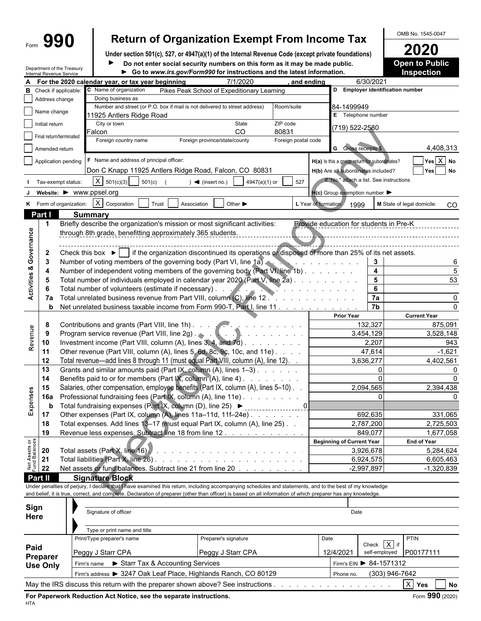# Form  $\left\{\mathbf{990}\right\}$  Return of Organization Exempt From Income Tax  $\left\{\frac{\text{OMB No. }1545-0047}{2020}\right\}$

**Under section 501(c), 527, or 4947(a)(1) of the Internal Revenue Code (except private foundations) 2020 Do not enter social security numbers on this form as it may be made public. Open to Public**  $\blacktriangleright$ 

|                                    | Internal Revenue Service      | Department of the Treasury                         |                                                   |                                                             | Go to www.irs.gov/Form990 for instructions and the latest information.                                                                                       |                       |                                                                                                                                                                                                                                      |                                          | <b>Inspection</b>          |  |  |  |
|------------------------------------|-------------------------------|----------------------------------------------------|---------------------------------------------------|-------------------------------------------------------------|--------------------------------------------------------------------------------------------------------------------------------------------------------------|-----------------------|--------------------------------------------------------------------------------------------------------------------------------------------------------------------------------------------------------------------------------------|------------------------------------------|----------------------------|--|--|--|
|                                    |                               |                                                    | For the 2020 calendar year, or tax year beginning |                                                             | 7/1/2020                                                                                                                                                     | and ending            |                                                                                                                                                                                                                                      | 6/30/2021                                |                            |  |  |  |
|                                    | <b>B</b> Check if applicable: |                                                    | C Name of organization                            |                                                             | Pikes Peak School of Expeditionary Learning                                                                                                                  |                       |                                                                                                                                                                                                                                      | D Employer identification number         |                            |  |  |  |
|                                    | Address change                |                                                    | Doing business as                                 |                                                             |                                                                                                                                                              |                       |                                                                                                                                                                                                                                      |                                          |                            |  |  |  |
|                                    | Name change                   |                                                    | 11925 Antlers Ridge Road                          |                                                             | Number and street (or P.O. box if mail is not delivered to street address)                                                                                   | Room/suite            | 84-1499949                                                                                                                                                                                                                           | E Telephone number                       |                            |  |  |  |
|                                    | Initial return                |                                                    | City or town                                      |                                                             | State                                                                                                                                                        | ZIP code              |                                                                                                                                                                                                                                      |                                          |                            |  |  |  |
|                                    |                               |                                                    | Falcon                                            |                                                             | CO                                                                                                                                                           | 80831                 |                                                                                                                                                                                                                                      | (719) 522-2580                           |                            |  |  |  |
|                                    | Final return/terminated       |                                                    | Foreign country name                              |                                                             | Foreign province/state/county                                                                                                                                | Foreign postal code   |                                                                                                                                                                                                                                      |                                          |                            |  |  |  |
|                                    | Amended return                |                                                    |                                                   |                                                             |                                                                                                                                                              |                       |                                                                                                                                                                                                                                      | G Gross receipts \$                      | 4,408,313                  |  |  |  |
|                                    |                               | Application pending                                | F Name and address of principal officer:          |                                                             |                                                                                                                                                              |                       | H(a) Is this a group return for subordinates?                                                                                                                                                                                        |                                          | $Yes \overline{X} No$      |  |  |  |
|                                    |                               |                                                    |                                                   |                                                             | Don C Knapp 11925 Antlers Ridge Road, Falcon, CO 80831                                                                                                       |                       | H(b) Are all subordinates included?                                                                                                                                                                                                  |                                          | Yes<br><b>No</b>           |  |  |  |
|                                    |                               | Tax-exempt status:                                 | $X \mid 501(c)(3)$                                | 501(c)                                                      | $\blacktriangleleft$ (insert no.)<br>4947(a)(1) or                                                                                                           | 527                   |                                                                                                                                                                                                                                      | If "No," attach a list. See instructions |                            |  |  |  |
|                                    |                               |                                                    | Website: ▶ WWW.ppsel.org                          |                                                             |                                                                                                                                                              |                       | $H(c)$ Group exemption number $\blacktriangleright$                                                                                                                                                                                  |                                          |                            |  |  |  |
|                                    |                               |                                                    | K Form of organization: $ X $ Corporation         | Trust<br>Association                                        | Other $\blacktriangleright$                                                                                                                                  |                       | L Year of formation:                                                                                                                                                                                                                 | 1999                                     | M State of legal domicile: |  |  |  |
|                                    | Part I                        |                                                    | <b>Summary</b>                                    |                                                             |                                                                                                                                                              |                       |                                                                                                                                                                                                                                      |                                          | <sub>CO</sub>              |  |  |  |
|                                    | -1                            |                                                    |                                                   |                                                             | Briefly describe the organization's mission or most significant activities:                                                                                  |                       | Provide education for students in Pre-K                                                                                                                                                                                              |                                          |                            |  |  |  |
|                                    |                               |                                                    |                                                   | through 8th grade, benefitting approximately 365 students.  |                                                                                                                                                              |                       |                                                                                                                                                                                                                                      |                                          |                            |  |  |  |
| <b>Activities &amp; Governance</b> |                               |                                                    |                                                   |                                                             |                                                                                                                                                              |                       |                                                                                                                                                                                                                                      |                                          |                            |  |  |  |
|                                    | $\mathbf{2}$                  |                                                    |                                                   |                                                             | Check this box $\blacktriangleright$   if the organization discontinued its operations or disposed of more than 25% of its net assets.                       |                       |                                                                                                                                                                                                                                      |                                          |                            |  |  |  |
|                                    | 3                             |                                                    |                                                   |                                                             | Number of voting members of the governing body (Part VI, line 1a)                                                                                            |                       | and the company of the company of                                                                                                                                                                                                    | 3                                        |                            |  |  |  |
|                                    | 4                             |                                                    |                                                   |                                                             | Number of independent voting members of the governing body (Part VI, line 1b).                                                                               |                       |                                                                                                                                                                                                                                      | $\overline{\mathbf{4}}$                  | 5                          |  |  |  |
|                                    | -5                            |                                                    |                                                   |                                                             | Total number of individuals employed in calendar year 2020 (Part V, line 2a).                                                                                |                       |                                                                                                                                                                                                                                      | $5\phantom{a}$                           | 53                         |  |  |  |
|                                    | -6                            |                                                    |                                                   | Total number of volunteers (estimate if necessary).         |                                                                                                                                                              |                       | <u>and a series of the series of the series of the series of the series of the series of the series of the series of the series of the series of the series of the series of the series of the series of the series of the serie</u> | 6                                        |                            |  |  |  |
|                                    | 7a                            |                                                    |                                                   |                                                             | Total unrelated business revenue from Part VIII, column (C), line 12.                                                                                        |                       |                                                                                                                                                                                                                                      | 7a                                       |                            |  |  |  |
|                                    | b                             |                                                    |                                                   |                                                             | Net unrelated business taxable income from Form 990-T, Part I, line 11                                                                                       |                       |                                                                                                                                                                                                                                      | 7b                                       |                            |  |  |  |
|                                    |                               |                                                    |                                                   |                                                             |                                                                                                                                                              |                       | <b>Prior Year</b>                                                                                                                                                                                                                    |                                          | <b>Current Year</b>        |  |  |  |
|                                    | 8                             |                                                    |                                                   |                                                             | Contributions and grants (Part VIII, line 1h).                                                                                                               |                       |                                                                                                                                                                                                                                      | 132,327                                  | 875,091                    |  |  |  |
| Revenue                            | 9                             |                                                    |                                                   |                                                             | Program service revenue (Part VIII, line 2g)                                                                                                                 |                       |                                                                                                                                                                                                                                      | 3,454,129                                | 3,528,148                  |  |  |  |
|                                    | 10<br>11                      |                                                    |                                                   |                                                             | Investment income (Part VIII, column (A), lines 3, 4, and 7d)<br>Other revenue (Part VIII, column (A), lines 5, 6d, 8c, 9c, 10c, and 11e)                    |                       |                                                                                                                                                                                                                                      | 2,207<br>47,614                          | 943<br>$-1,621$            |  |  |  |
|                                    | 12                            |                                                    |                                                   |                                                             | Total revenue-add lines 8 through 11 (must equal Part VIII, column (A), line 12). .                                                                          |                       |                                                                                                                                                                                                                                      | 3,636,277                                | 4,402,561                  |  |  |  |
|                                    | 13                            |                                                    |                                                   |                                                             | Grants and similar amounts paid (Part IX, column (A), lines 1-3)                                                                                             |                       |                                                                                                                                                                                                                                      | $\mathbf{0}$                             |                            |  |  |  |
|                                    | 14                            |                                                    |                                                   |                                                             | Benefits paid to or for members (Part IX, column (A), line 4)                                                                                                |                       |                                                                                                                                                                                                                                      | $\Omega$                                 |                            |  |  |  |
|                                    | 15                            |                                                    |                                                   |                                                             | Salaries, other compensation, employee benefits (Part IX, column (A), lines 5-10).                                                                           |                       |                                                                                                                                                                                                                                      | 2,094,565                                | 2,394,438                  |  |  |  |
| Expenses                           | 16a                           |                                                    |                                                   |                                                             | Professional fundraising fees (Part IX, column (A), line 11e)                                                                                                |                       |                                                                                                                                                                                                                                      | $\Omega$                                 |                            |  |  |  |
|                                    | b                             |                                                    |                                                   | Total fundraising expenses (Part IX, column (D), line 25) ▶ |                                                                                                                                                              | _____________________ |                                                                                                                                                                                                                                      |                                          |                            |  |  |  |
|                                    | 17                            |                                                    |                                                   |                                                             | Other expenses (Part IX, column (A), lines 11a-11d, 11f-24e)                                                                                                 |                       |                                                                                                                                                                                                                                      | 692,635                                  | 331,065                    |  |  |  |
|                                    | 18                            |                                                    |                                                   |                                                             | Total expenses. Add lines 13-17 (must equal Part IX, column (A), line 25). .                                                                                 |                       |                                                                                                                                                                                                                                      | 2,787,200                                | 2,725,503                  |  |  |  |
|                                    | 19                            |                                                    |                                                   |                                                             | Revenue less expenses. Subtract line 18 from line 12.                                                                                                        |                       |                                                                                                                                                                                                                                      | 849.077                                  | 1,677,058                  |  |  |  |
|                                    |                               |                                                    |                                                   |                                                             |                                                                                                                                                              |                       | <b>Beginning of Current Year</b>                                                                                                                                                                                                     |                                          | <b>End of Year</b>         |  |  |  |
|                                    | 20<br>21                      |                                                    |                                                   |                                                             |                                                                                                                                                              |                       |                                                                                                                                                                                                                                      | 3,926,678<br>6,924,575                   | 5,284,624<br>6,605,463     |  |  |  |
| Net Assets or<br>Fund Balances     | 22                            |                                                    |                                                   |                                                             | Net assets or fund balances. Subtract line 21 from line 20                                                                                                   |                       |                                                                                                                                                                                                                                      | $-2,997,897$                             | $-1,320,839$               |  |  |  |
|                                    | Part II                       |                                                    | <b>Signature Block</b>                            |                                                             |                                                                                                                                                              |                       |                                                                                                                                                                                                                                      |                                          |                            |  |  |  |
|                                    |                               |                                                    |                                                   |                                                             | Under penalties of perjury, I declare that I have examined this return, including accompanying schedules and statements, and to the best of my knowledge     |                       |                                                                                                                                                                                                                                      |                                          |                            |  |  |  |
|                                    |                               |                                                    |                                                   |                                                             | and belief, it is true, correct, and complete. Declaration of preparer (other than officer) is based on all information of which preparer has any knowledge. |                       |                                                                                                                                                                                                                                      |                                          |                            |  |  |  |
|                                    |                               |                                                    |                                                   |                                                             |                                                                                                                                                              |                       |                                                                                                                                                                                                                                      |                                          |                            |  |  |  |
| Sign                               |                               |                                                    | Signature of officer                              |                                                             |                                                                                                                                                              |                       |                                                                                                                                                                                                                                      | Date                                     |                            |  |  |  |
| Here                               |                               |                                                    |                                                   |                                                             |                                                                                                                                                              |                       |                                                                                                                                                                                                                                      |                                          |                            |  |  |  |
|                                    |                               |                                                    | Type or print name and title                      |                                                             |                                                                                                                                                              |                       |                                                                                                                                                                                                                                      |                                          |                            |  |  |  |
|                                    |                               | Print/Type preparer's name<br>Preparer's signature |                                                   |                                                             |                                                                                                                                                              |                       | Date                                                                                                                                                                                                                                 | Check $X$ if                             | PTIN                       |  |  |  |
| Paid                               |                               |                                                    | Peggy J Starr CPA                                 |                                                             | Peggy J Starr CPA                                                                                                                                            |                       | 12/4/2021                                                                                                                                                                                                                            | self-employed                            | P00177111                  |  |  |  |
|                                    | Preparer                      |                                                    | Firm's name                                       | Starr Tax & Accounting Services                             |                                                                                                                                                              |                       |                                                                                                                                                                                                                                      | Firm's EIN ▶ 84-1571312                  |                            |  |  |  |
|                                    | <b>Use Only</b>               |                                                    |                                                   |                                                             | Firm's address > 3247 Oak Leaf Place, Highlands Ranch, CO 80129                                                                                              |                       | Phone no.                                                                                                                                                                                                                            | (303) 946-7642                           |                            |  |  |  |
|                                    |                               |                                                    |                                                   |                                                             |                                                                                                                                                              |                       |                                                                                                                                                                                                                                      |                                          |                            |  |  |  |

May the IRS discuss this return with the preparer shown above? See instructions . . . . . . . . . . . . . . . . . . . . . . . . . . . . . . . . . . . . . . . . . . X **Yes No**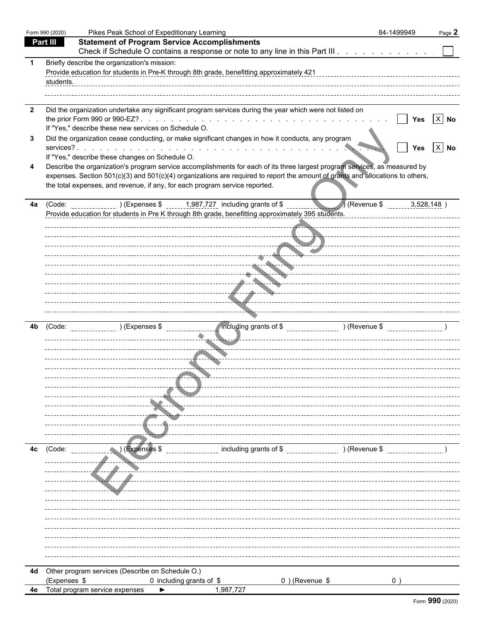|              | Form 990 (2020) | Pikes Peak School of Expeditionary Learning                                                                                                                                                                                                                                                                                                                                                    | 84-1499949 | Page 2               |
|--------------|-----------------|------------------------------------------------------------------------------------------------------------------------------------------------------------------------------------------------------------------------------------------------------------------------------------------------------------------------------------------------------------------------------------------------|------------|----------------------|
|              | Part III        | <b>Statement of Program Service Accomplishments</b>                                                                                                                                                                                                                                                                                                                                            |            |                      |
|              |                 | Check if Schedule O contains a response or note to any line in this Part III                                                                                                                                                                                                                                                                                                                   |            |                      |
|              | students.       | Briefly describe the organization's mission:<br>Provide education for students in Pre-K through 8th grade, benefitting approximately 421                                                                                                                                                                                                                                                       |            |                      |
| $\mathbf{2}$ |                 | Did the organization undertake any significant program services during the year which were not listed on<br>If "Yes," describe these new services on Schedule O.                                                                                                                                                                                                                               | Yes        | $X$ No               |
| 3            |                 | Did the organization cease conducting, or make significant changes in how it conducts, any program                                                                                                                                                                                                                                                                                             | <b>Yes</b> | $\vert$ X $\vert$ No |
|              |                 | If "Yes," describe these changes on Schedule O.<br>Describe the organization's program service accomplishments for each of its three largest program services, as measured by<br>expenses. Section 501(c)(3) and 501(c)(4) organizations are required to report the amount of grants and allocations to others,<br>the total expenses, and revenue, if any, for each program service reported. |            |                      |
| 4a           |                 | (Code: ) (Expenses \$1,987,727 including grants of \$<br>Revenue \$<br>Provide education for students in Pre K through 8th grade, benefitting approximately 395 students.<br>. <del>.</del> <del>.</del><br>------------------ <sub>---</sub> --- <del>41</del> -----<br>تستجد<br>-------- <i>--------</i> ----                                                                                |            | 3,528,148            |
| 4b           | (Code:          | ncluding grants of \$ _________________ ) (Revenue \$ _________________ )<br>(Expenses \$) (Expenses \$)                                                                                                                                                                                                                                                                                       |            |                      |
|              |                 |                                                                                                                                                                                                                                                                                                                                                                                                |            |                      |
| 4c           | (Code:          | (Expenses \$<br>including grants of \$<br>(Revenue \$) (Revenue \$)                                                                                                                                                                                                                                                                                                                            |            |                      |
|              |                 |                                                                                                                                                                                                                                                                                                                                                                                                |            |                      |
|              |                 | 4d Other program services (Describe on Schedule O.)                                                                                                                                                                                                                                                                                                                                            |            |                      |
|              | (Expenses \$    | 0 including grants of \$<br>0) (Revenue \$                                                                                                                                                                                                                                                                                                                                                     | 0)         |                      |
|              |                 | 4e Total program service expenses<br>1,987,727<br>▶                                                                                                                                                                                                                                                                                                                                            |            |                      |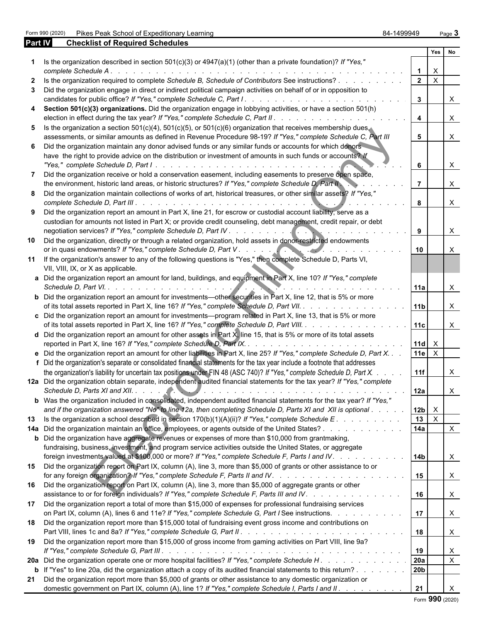Form 990 (2020) Pikes Peak School of Expeditionary Learning **84-1499949** Page 3

| Part IV      | <b>Checklist of Required Schedules</b>                                                                                                                                                                                                  |                 |              |                           |
|--------------|-----------------------------------------------------------------------------------------------------------------------------------------------------------------------------------------------------------------------------------------|-----------------|--------------|---------------------------|
|              |                                                                                                                                                                                                                                         |                 | Yes          | <b>No</b>                 |
|              | Is the organization described in section $501(c)(3)$ or $4947(a)(1)$ (other than a private foundation)? If "Yes,"                                                                                                                       |                 | $\mathsf{X}$ |                           |
| $\mathbf{2}$ | Is the organization required to complete Schedule B, Schedule of Contributors See instructions?                                                                                                                                         | $\overline{2}$  | $\mathsf{X}$ |                           |
| 3            | Did the organization engage in direct or indirect political campaign activities on behalf of or in opposition to                                                                                                                        |                 |              |                           |
|              |                                                                                                                                                                                                                                         | $\mathbf{3}$    |              | $\times$                  |
| 4            | Section 501(c)(3) organizations. Did the organization engage in lobbying activities, or have a section 501(h)                                                                                                                           | $\overline{4}$  |              | $\mathsf{X}$              |
| 5            | Is the organization a section $501(c)(4)$ , $501(c)(5)$ , or $501(c)(6)$ organization that receives membership dues,                                                                                                                    |                 |              |                           |
| 6            | assessments, or similar amounts as defined in Revenue Procedure 98-19? If "Yes," complete Schedule C, Part III<br>Did the organization maintain any donor advised funds or any similar funds or accounts for which donors               | 5               |              | $\boldsymbol{\mathsf{X}}$ |
|              | have the right to provide advice on the distribution or investment of amounts in such funds or accounts? If                                                                                                                             | 6               |              | $\boldsymbol{\mathsf{X}}$ |
| 7            | Did the organization receive or hold a conservation easement, including easements to preserve open space,                                                                                                                               |                 |              |                           |
|              | the environment, historic land areas, or historic structures? If "Yes," complete Schedule D, Part II                                                                                                                                    |                 |              | $\times$                  |
| 8            | Did the organization maintain collections of works of art, historical treasures, or other similar assets? If "Yes,"                                                                                                                     | 8               |              | $\mathsf{X}$              |
| 9            | Did the organization report an amount in Part X, line 21, for escrow or custodial account liability, serve as a                                                                                                                         |                 |              |                           |
|              | custodian for amounts not listed in Part X; or provide credit counseling, debt management, credit repair, or debt                                                                                                                       |                 |              |                           |
|              |                                                                                                                                                                                                                                         | 9               |              | $\boldsymbol{\mathsf{X}}$ |
| 10           | Did the organization, directly or through a related organization, hold assets in donor-restricted endowments                                                                                                                            | 10 <sup>1</sup> |              | X                         |
| 11           | If the organization's answer to any of the following questions is "Yes," then complete Schedule D, Parts VI,<br>VII, VIII, IX, or X as applicable.                                                                                      |                 |              |                           |
|              | a Did the organization report an amount for land, buildings, and equipment in Part X, line 10? If "Yes," complete                                                                                                                       | l 11a           |              | $\times$                  |
|              | <b>b</b> Did the organization report an amount for investments—other securities in Part X, line 12, that is 5% or more<br>of its total assets reported in Part X, line 16? If "Yes," complete Schedule D, Part VII.                     | 11b             |              | $\times$                  |
|              | c Did the organization report an amount for investments—program related in Part X, line 13, that is 5% or more                                                                                                                          |                 |              |                           |
|              | of its total assets reported in Part X, line 16? If "Yes," complete Schedule D, Part VIII.                                                                                                                                              | 11c             |              | $\mathsf{X}$              |
|              | <b>d</b> Did the organization report an amount for other assets in Part $X$ , line 15, that is 5% or more of its total assets                                                                                                           | $11d \times$    |              |                           |
|              | e Did the organization report an amount for other liabilities in Part X, line 25? If "Yes," complete Schedule D, Part X.                                                                                                                | 11e             | $\mathsf{X}$ |                           |
|              | f Did the organization's separate or consolidated financial statements for the tax year include a footnote that addresses                                                                                                               |                 |              |                           |
|              | the organization's liability for uncertain tax positions under FIN 48 (ASC 740)? If "Yes," complete Schedule D, Part X.                                                                                                                 | 11f             |              | X                         |
|              | 12a Did the organization obtain separate, independent audited financial statements for the tax year? If "Yes," complete                                                                                                                 | 12a             |              |                           |
|              | b Was the organization included in consolidated, independent audited financial statements for the tax year? If "Yes,"                                                                                                                   |                 |              | $\lambda$                 |
|              | and if the organization answered "No" to line 12a, then completing Schedule D, Parts XI and XII is optional                                                                                                                             | 12b             | $\mathsf{X}$ |                           |
| 13           | Is the organization a school described in section $170(b)(1)(A)(ii)$ ? If "Yes," complete Schedule E.                                                                                                                                   | 13              | $\mathsf{X}$ |                           |
|              | 14a Did the organization maintain an office, employees, or agents outside of the United States?                                                                                                                                         | 14a             |              | $\mathsf{X}$              |
|              | <b>b</b> Did the organization have aggregate revenues or expenses of more than \$10,000 from grantmaking,                                                                                                                               |                 |              |                           |
|              | fundraising, business, investment, and program service activities outside the United States, or aggregate<br>foreign investments valued at \$100,000 or more? If "Yes," complete Schedule F, Parts I and IV.                            | 14b             |              | X                         |
| 15           | Did the organization report on Part IX, column (A), line 3, more than \$5,000 of grants or other assistance to or                                                                                                                       | 15              |              | $\mathsf{X}$              |
| 16           | Did the organization report on Part IX, column (A), line 3, more than \$5,000 of aggregate grants or other<br>assistance to or for foreign individuals? If "Yes," complete Schedule F, Parts III and IV.                                | 16              |              | $\mathsf{X}$              |
| 17           | Did the organization report a total of more than \$15,000 of expenses for professional fundraising services<br>on Part IX, column (A), lines 6 and 11e? If "Yes," complete Schedule G, Part I See instructions.                         | 17              |              | $\mathsf{X}$              |
| 18           | Did the organization report more than \$15,000 total of fundraising event gross income and contributions on                                                                                                                             |                 |              |                           |
|              |                                                                                                                                                                                                                                         | 18              |              | $\mathsf{X}$              |
| 19           | Did the organization report more than \$15,000 of gross income from gaming activities on Part VIII, line 9a?                                                                                                                            |                 |              |                           |
|              |                                                                                                                                                                                                                                         | 19              |              | X                         |
|              | 20a Did the organization operate one or more hospital facilities? If "Yes," complete Schedule H.                                                                                                                                        | 20a             |              | $\boldsymbol{\mathsf{X}}$ |
|              | <b>b</b> If "Yes" to line 20a, did the organization attach a copy of its audited financial statements to this return?<br>21 Did the organization report more than \$5,000 of grants or other assistance to any domestic organization or | 20b             |              |                           |
|              | domestic government on Part IX, column (A), line 1? If "Yes," complete Schedule I, Parts I and II.                                                                                                                                      | 21              |              | X                         |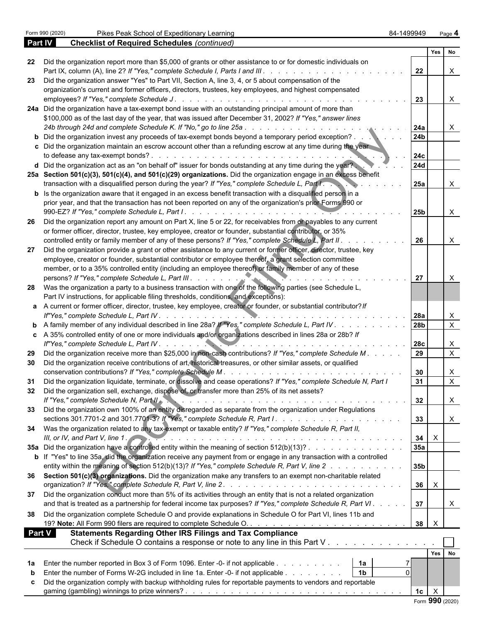|               |                                                                                                                                                                                                                     |                 | Yes No                    |                           |  |
|---------------|---------------------------------------------------------------------------------------------------------------------------------------------------------------------------------------------------------------------|-----------------|---------------------------|---------------------------|--|
| 22            | Did the organization report more than \$5,000 of grants or other assistance to or for domestic individuals on                                                                                                       |                 |                           |                           |  |
|               |                                                                                                                                                                                                                     | 22              |                           | $\mathsf{X}$              |  |
| 23            | Did the organization answer "Yes" to Part VII, Section A, line 3, 4, or 5 about compensation of the                                                                                                                 |                 |                           |                           |  |
|               | organization's current and former officers, directors, trustees, key employees, and highest compensated                                                                                                             |                 |                           |                           |  |
|               | 24a Did the organization have a tax-exempt bond issue with an outstanding principal amount of more than                                                                                                             | $\overline{23}$ |                           | $\mathsf{X}$              |  |
|               |                                                                                                                                                                                                                     |                 |                           |                           |  |
|               | \$100,000 as of the last day of the year, that was issued after December 31, 2002? If "Yes," answer lines                                                                                                           |                 |                           |                           |  |
|               | <b>b</b> Did the organization invest any proceeds of tax-exempt bonds beyond a temporary period exception?                                                                                                          | 24a<br>24b      |                           | $\mathsf{X}$              |  |
|               | c Did the organization maintain an escrow account other than a refunding escrow at any time during the year                                                                                                         |                 |                           |                           |  |
|               |                                                                                                                                                                                                                     | 24c             |                           |                           |  |
|               | d Did the organization act as an "on behalf of" issuer for bonds outstanding at any time during the year?                                                                                                           | <b>24d</b>      |                           |                           |  |
|               | 25a Section 501(c)(3), 501(c)(4), and 501(c)(29) organizations. Did the organization engage in an excess benefit                                                                                                    |                 |                           |                           |  |
|               | transaction with a disqualified person during the year? If "Yes," complete Schedule L, Part I.                                                                                                                      | 25a             |                           | X                         |  |
|               | <b>b</b> Is the organization aware that it engaged in an excess benefit transaction with a disqualified person in a                                                                                                 |                 |                           |                           |  |
|               | prior year, and that the transaction has not been reported on any of the organization's prior Forms 990 or                                                                                                          |                 |                           |                           |  |
|               |                                                                                                                                                                                                                     | 25b             |                           | X                         |  |
| 26            | Did the organization report any amount on Part X, line 5 or 22, for receivables from or payables to any current                                                                                                     |                 |                           |                           |  |
|               | or former officer, director, trustee, key employee, creator or founder, substantial contributor, or 35%                                                                                                             |                 |                           |                           |  |
|               | controlled entity or family member of any of these persons? If "Yes," complete Schedule L, Part II.                                                                                                                 | 26              |                           | X                         |  |
| 27            | Did the organization provide a grant or other assistance to any current or former officer, director, trustee, key                                                                                                   |                 |                           |                           |  |
|               | employee, creator or founder, substantial contributor or employee thereof, a grant selection committee                                                                                                              |                 |                           |                           |  |
|               | member, or to a 35% controlled entity (including an employee thereof) or family member of any of these                                                                                                              |                 |                           |                           |  |
|               |                                                                                                                                                                                                                     | 27              |                           | X                         |  |
|               | 28 Was the organization a party to a business transaction with one of the following parties (see Schedule L,                                                                                                        |                 |                           |                           |  |
|               | Part IV instructions, for applicable filing thresholds, conditions, and exceptions):                                                                                                                                |                 |                           |                           |  |
|               | a A current or former officer, director, trustee, key employee, creator or founder, or substantial contributor? If                                                                                                  |                 |                           |                           |  |
|               |                                                                                                                                                                                                                     |                 |                           | X                         |  |
|               | <b>b</b> A family member of any individual described in line 28a? If "Yes," complete Schedule L, Part IV 28b                                                                                                        |                 |                           | $\overline{X}$            |  |
|               | c A 35% controlled entity of one or more individuals and/or organizations described in lines 28a or 28b? If                                                                                                         |                 |                           |                           |  |
|               |                                                                                                                                                                                                                     |                 |                           | X                         |  |
| 29            | Did the organization receive more than \$25,000 in non-cash contributions? If "Yes," complete Schedule M.                                                                                                           |                 |                           | $\overline{X}$            |  |
| 30            | Did the organization receive contributions of art, historical treasures, or other similar assets, or qualified                                                                                                      |                 |                           |                           |  |
|               |                                                                                                                                                                                                                     | 30              |                           | X<br>$\overline{X}$       |  |
| 31            | Did the organization liquidate, terminate, or dissolve and cease operations? If "Yes," complete Schedule N, Part I<br>Did the organization sell, exchange, dispose of, or transfer more than 25% of its net assets? | 31              |                           |                           |  |
| 32            | If "Yes," complete Schedule N, Part II                                                                                                                                                                              | 32              |                           |                           |  |
| 33            | Did the organization own 100% of an entity disregarded as separate from the organization under Regulations                                                                                                          |                 |                           | $\mathbf{1}$              |  |
|               |                                                                                                                                                                                                                     | 33              |                           | $\boldsymbol{\mathsf{X}}$ |  |
|               | 34 Was the organization related to any tax-exempt or taxable entity? If "Yes," complete Schedule R, Part II,                                                                                                        |                 |                           |                           |  |
|               | III, or IV, and Part V, line $1.$                                                                                                                                                                                   | 34              | $\boldsymbol{\mathsf{X}}$ |                           |  |
|               | 35a Did the organization have a controlled entity within the meaning of section 512(b)(13)?                                                                                                                         | 35a             |                           |                           |  |
|               | b If "Yes" to line 35a, did the organization receive any payment from or engage in any transaction with a controlled                                                                                                |                 |                           |                           |  |
|               | entity within the meaning of section 512(b)(13)? If "Yes," complete Schedule R, Part V, line 2                                                                                                                      | 35b             |                           |                           |  |
|               | 36 Section 501(c)(3) organizations. Did the organization make any transfers to an exempt non-charitable related                                                                                                     |                 |                           |                           |  |
|               |                                                                                                                                                                                                                     | 36              | $\mathsf{X}$              |                           |  |
| 37            | Did the organization conduct more than 5% of its activities through an entity that is not a related organization                                                                                                    |                 |                           |                           |  |
|               | and that is treated as a partnership for federal income tax purposes? If "Yes," complete Schedule R, Part VI.                                                                                                       | 37              |                           | X                         |  |
| 38            | Did the organization complete Schedule O and provide explanations in Schedule O for Part VI, lines 11b and                                                                                                          |                 |                           |                           |  |
|               |                                                                                                                                                                                                                     | 38              | $\mathsf{X}$              |                           |  |
| <b>Part V</b> | <b>Statements Regarding Other IRS Filings and Tax Compliance</b>                                                                                                                                                    |                 |                           |                           |  |
|               | Check if Schedule O contains a response or note to any line in this Part V                                                                                                                                          |                 |                           |                           |  |
|               |                                                                                                                                                                                                                     |                 | Yes                       | No                        |  |
|               | 1a Enter the number reported in Box 3 of Form 1096. Enter -0- if not applicable<br>  1a                                                                                                                             |                 |                           |                           |  |
| b             | Enter the number of Forms W-2G included in line 1a. Enter -0- if not applicable<br>1 <sub>b</sub>                                                                                                                   |                 |                           |                           |  |
| c.            | Did the organization comply with backup withholding rules for reportable payments to vendors and reportable                                                                                                         |                 |                           |                           |  |
|               |                                                                                                                                                                                                                     | 1с              | $\mathsf{X}$              |                           |  |
|               |                                                                                                                                                                                                                     |                 |                           |                           |  |

Form **990** (2020)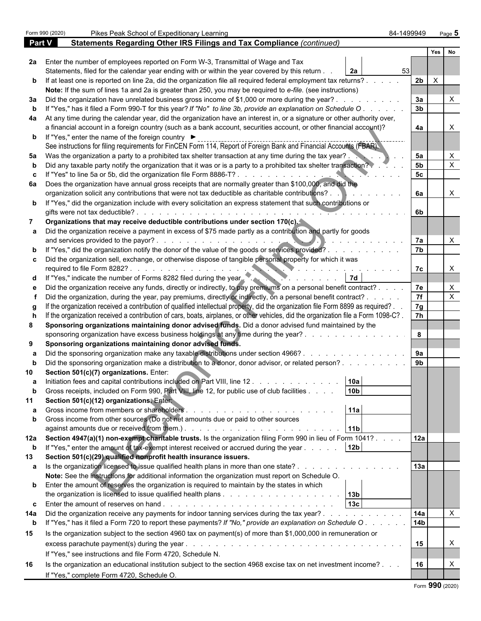|             | Pikes Peak School of Expeditionary Learning<br>Form 990 (2020)                                             |                                                                                                                                                                                                                                                  | 84-1499949     | Page 5                                       |   |
|-------------|------------------------------------------------------------------------------------------------------------|--------------------------------------------------------------------------------------------------------------------------------------------------------------------------------------------------------------------------------------------------|----------------|----------------------------------------------|---|
| Part V      |                                                                                                            | Statements Regarding Other IRS Filings and Tax Compliance (continued)                                                                                                                                                                            |                |                                              |   |
|             |                                                                                                            |                                                                                                                                                                                                                                                  |                | Yes<br>No                                    |   |
|             |                                                                                                            | 2a Enter the number of employees reported on Form W-3, Transmittal of Wage and Tax                                                                                                                                                               |                |                                              |   |
|             |                                                                                                            | Statements, filed for the calendar year ending with or within the year covered by this return.<br>2a                                                                                                                                             | 53             |                                              |   |
|             |                                                                                                            | b If at least one is reported on line 2a, did the organization file all required federal employment tax returns?.                                                                                                                                | 2 <sub>b</sub> | $\mathsf{X}$                                 |   |
|             |                                                                                                            | Note: If the sum of lines 1a and 2a is greater than 250, you may be required to e-file. (see instructions)                                                                                                                                       |                |                                              |   |
|             |                                                                                                            | 3a Did the organization have unrelated business gross income of \$1,000 or more during the year?.                                                                                                                                                |                | 3a<br>3 <sub>b</sub>                         |   |
|             |                                                                                                            | If "Yes," has it filed a Form 990-T for this year? If "No" to line 3b, provide an explanation on Schedule O                                                                                                                                      |                |                                              |   |
|             |                                                                                                            | 4a At any time during the calendar year, did the organization have an interest in, or a signature or other authority over,<br>a financial account in a foreign country (such as a bank account, securities account, or other financial account)? |                | 4a                                           |   |
|             | <b>b</b> If "Yes," enter the name of the foreign country ▶                                                 |                                                                                                                                                                                                                                                  |                |                                              |   |
|             |                                                                                                            | See instructions for filing requirements for FinCEN Form 114, Report of Foreign Bank and Financial Accounts (FBAR).                                                                                                                              |                |                                              |   |
| 5а          |                                                                                                            | Was the organization a party to a prohibited tax shelter transaction at any time during the tax year?.                                                                                                                                           |                | 5a                                           |   |
|             |                                                                                                            | Did any taxable party notify the organization that it was or is a party to a prohibited tax shelter transaction?                                                                                                                                 |                | 5 <sub>b</sub>                               |   |
|             |                                                                                                            | If "Yes" to line 5a or 5b, did the organization file Form 8886-T?                                                                                                                                                                                |                | 5c                                           |   |
|             |                                                                                                            | 6a Does the organization have annual gross receipts that are normally greater than \$100,000, and did the                                                                                                                                        |                |                                              |   |
|             |                                                                                                            | organization solicit any contributions that were not tax deductible as charitable contributions?.                                                                                                                                                |                | 6a                                           | X |
|             |                                                                                                            | b If "Yes," did the organization include with every solicitation an express statement that such contributions or                                                                                                                                 |                |                                              |   |
|             | gifts were not tax deductible?.                                                                            |                                                                                                                                                                                                                                                  |                | 6b                                           |   |
|             |                                                                                                            | Organizations that may receive deductible contributions under section 170(c).                                                                                                                                                                    |                |                                              |   |
|             |                                                                                                            | a Did the organization receive a payment in excess of \$75 made partly as a contribution and partly for goods                                                                                                                                    |                |                                              |   |
|             | and services provided to the payor?.                                                                       |                                                                                                                                                                                                                                                  |                | 7a<br>7b                                     |   |
|             |                                                                                                            | b If "Yes," did the organization notify the donor of the value of the goods or services provided?.                                                                                                                                               |                |                                              |   |
|             | required to file Form 8282?                                                                                | c  Did the organization sell, exchange, or otherwise dispose of tangible personal property for which it was                                                                                                                                      |                | 7c                                           | X |
|             | d If "Yes," indicate the number of Forms 8282 filed during the year.                                       |                                                                                                                                                                                                                                                  |                |                                              |   |
|             |                                                                                                            | Did the organization receive any funds, directly or indirectly, to pay premiums on a personal benefit contract?.                                                                                                                                 |                | 7e                                           |   |
|             |                                                                                                            | Did the organization, during the year, pay premiums, directly or indirectly, on a personal benefit contract? .                                                                                                                                   |                | $\overline{7f}$                              | X |
|             |                                                                                                            | If the organization received a contribution of qualified intellectual property, did the organization file Form 8899 as required?.                                                                                                                | 7g             |                                              |   |
|             |                                                                                                            | If the organization received a contribution of cars, boats, airplanes, or other vehicles, did the organization file a Form 1098-C?.                                                                                                              |                | $\overline{7h}$                              |   |
| 8           |                                                                                                            | Sponsoring organizations maintaining donor advised funds. Did a donor advised fund maintained by the                                                                                                                                             |                |                                              |   |
|             |                                                                                                            | sponsoring organization have excess business holdings at any time during the year?.                                                                                                                                                              | 8              |                                              |   |
| 9           | Sponsoring organizations maintaining donor advised funds.                                                  |                                                                                                                                                                                                                                                  |                |                                              |   |
|             |                                                                                                            | Did the sponsoring organization make any taxable distributions under section 4966?.                                                                                                                                                              |                | 9a                                           |   |
|             |                                                                                                            | Did the sponsoring organization make a distribution to a donor, donor advisor, or related person?.                                                                                                                                               | 9 <sub>b</sub> |                                              |   |
|             | Section 501(c)(7) organizations. Enter:                                                                    |                                                                                                                                                                                                                                                  |                |                                              |   |
| a           |                                                                                                            | Initiation fees and capital contributions included on Part VIII, line 12.<br>10a<br>10 <sub>b</sub><br>Gross receipts, included on Form 990, Part VIII, line 12, for public use of club facilities                                               |                |                                              |   |
|             | Section 501(c)(12) organizations. Entert                                                                   |                                                                                                                                                                                                                                                  |                |                                              |   |
|             |                                                                                                            | 11a                                                                                                                                                                                                                                              |                |                                              |   |
| b           |                                                                                                            | Gross income from other sources (Do not net amounts due or paid to other sources                                                                                                                                                                 |                |                                              |   |
|             |                                                                                                            | 11 <sub>b</sub>                                                                                                                                                                                                                                  |                |                                              |   |
|             |                                                                                                            | 12a Section 4947(a)(1) non-exempt charitable trusts. Is the organization filing Form 990 in lieu of Form 1041?.                                                                                                                                  |                | 12a                                          |   |
| $\mathbf b$ |                                                                                                            | If "Yes," enter the amount of tax-exempt interest received or accrued during the year<br>12 <sub>b</sub>                                                                                                                                         |                |                                              |   |
| 13          | Section 501(c)(29) qualified nonprofit health insurance issuers.                                           |                                                                                                                                                                                                                                                  |                |                                              |   |
|             | a Is the organization licensed to issue qualified health plans in more than one state?.                    |                                                                                                                                                                                                                                                  | 13a            |                                              |   |
|             |                                                                                                            | Note: See the instructions for additional information the organization must report on Schedule O.                                                                                                                                                |                |                                              |   |
|             |                                                                                                            | <b>b</b> Enter the amount of reserves the organization is required to maintain by the states in which                                                                                                                                            |                |                                              |   |
|             |                                                                                                            |                                                                                                                                                                                                                                                  |                |                                              |   |
|             |                                                                                                            | 13c<br><b>c</b> Enter the amount of reserves on hand $\ldots$ $\ldots$ $\ldots$ $\ldots$ $\ldots$ $\ldots$ $\ldots$ $\ldots$ $\ldots$                                                                                                            |                |                                              |   |
| 14a         |                                                                                                            | Did the organization receive any payments for indoor tanning services during the tax year?                                                                                                                                                       | 14a            | $\boldsymbol{\mathsf{X}}$<br>14 <sub>b</sub> |   |
| $\mathbf b$ |                                                                                                            | If "Yes," has it filed a Form 720 to report these payments? If "No," provide an explanation on Schedule O.                                                                                                                                       |                |                                              |   |
| 15          |                                                                                                            | Is the organization subject to the section 4960 tax on payment(s) of more than \$1,000,000 in remuneration or                                                                                                                                    |                |                                              | X |
|             | excess parachute payment(s) during the year.<br>If "Yes," see instructions and file Form 4720, Schedule N. | and a complete that the complete the complete the complete the complete the complete the complete the complete                                                                                                                                   |                | 15                                           |   |
| 16          |                                                                                                            | Is the organization an educational institution subject to the section 4968 excise tax on net investment income?                                                                                                                                  |                | 16                                           | Χ |
|             | If "Yes," complete Form 4720, Schedule O.                                                                  |                                                                                                                                                                                                                                                  |                |                                              |   |
|             |                                                                                                            |                                                                                                                                                                                                                                                  |                | 000                                          |   |

Form **990** (2020)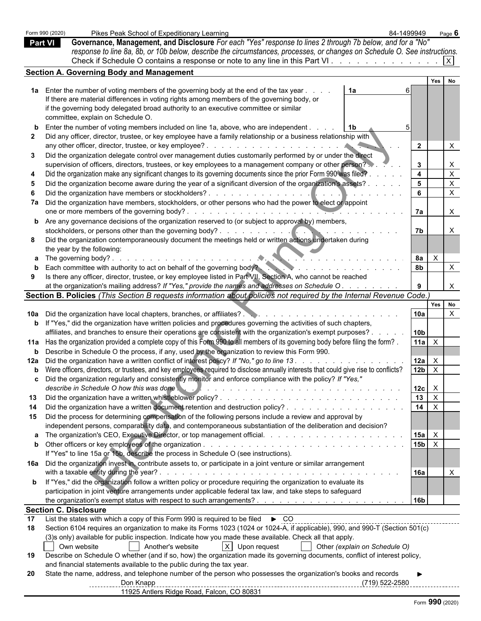| <b>Section A. Governing Body and Management</b><br>Yes No<br>1a Enter the number of voting members of the governing body at the end of the tax year<br>1a<br>If there are material differences in voting rights among members of the governing body, or<br>if the governing body delegated broad authority to an executive committee or similar<br>committee, explain on Schedule O.<br>Enter the number of voting members included on line 1a, above, who are independent.<br>  1b<br>Did any officer, director, trustee, or key employee have a family relationship or a business relationship with<br>$\mathbf{2}$<br>Did the organization delegate control over management duties customarily performed by or under the direct<br>supervision of officers, directors, trustees, or key employees to a management company or other person?<br>$\mathbf{3}$<br>$\overline{4}$<br>$\times$<br>Did the organization make any significant changes to its governing documents since the prior Form 990 was filed?<br>5 <sup>1</sup><br>$\times$<br>Did the organization become aware during the year of a significant diversion of the organization's assets?.<br>6<br>$\times$<br>7a Did the organization have members, stockholders, or other persons who had the power to elect or appoint<br>7a<br><b>b</b> Are any governance decisions of the organization reserved to (or subject to approval by) members,<br>7b<br>Did the organization contemporaneously document the meetings held or written actions undertaken during<br>the year by the following:<br>$\mathsf{X}$<br>8a<br><b>a</b> The governing body?.<br>and the second contract of the second con-<br>Each committee with authority to act on behalf of the governing body?<br>8b<br>$\times$<br>Is there any officer, director, trustee, or key employee listed in Part VII, Section A, who cannot be reached<br>at the organization's mailing address? If "Yes," provide the names and addresses on Schedule O.<br>$\times$<br>Section B. Policies (This Section B requests information about policies not required by the Internal Revenue Code.)<br>Yes No<br>10a<br>$\mathsf{X}$<br><b>b</b> If "Yes," did the organization have written policies and procedures governing the activities of such chapters,<br>affiliates, and branches to ensure their operations are consistent with the organization's exempt purposes? .<br>10 <sub>b</sub><br>11a Has the organization provided a complete copy of this Form 990 to all members of its governing body before filing the form?<br>$11a$ $\times$<br><b>b</b> Describe in Schedule O the process, if any, used by the organization to review this Form 990.<br>12a Did the organization have a written conflict of interest policy? If "No," go to line 13.<br>12a<br>$\mathsf{X}$<br><b>b</b> Were officers, directors, or trustees, and key employees required to disclose annually interests that could give rise to conflicts?<br>12 <sub>b</sub><br>$\mathsf{X}$<br>c Did the organization regularly and consistently monitor and enforce compliance with the policy? If "Yes,"<br>describe in Schedule O how this was done<br>12c<br>$\mathsf{X}$<br>13<br>$\mathsf{X}$<br>13<br>14<br>$\mathsf{X}$<br>Did the organization have a written document retention and destruction policy?<br>14<br>Did the process for determining compensation of the following persons include a review and approval by<br>15<br>independent persons, comparability data, and contemporaneous substantiation of the deliberation and decision?<br>$15a$ $\times$<br>$15b \mid X$<br>If "Yes" to line 15a or 15b, describe the process in Schedule O (see instructions).<br>16a Did the organization invest in, contribute assets to, or participate in a joint venture or similar arrangement<br>with a taxable entity during the year?.<br>16a<br>and a complete to the complete state of the complete state of the complete state of the complete state of the<br><b>b</b> If "Yes," did the organization follow a written policy or procedure requiring the organization to evaluate its<br>participation in joint venture arrangements under applicable federal tax law, and take steps to safeguard<br>16 <sub>b</sub><br><b>Section C. Disclosure</b><br><u>List</u> the states with which a copy of this Form 990 is required to be filed ► CO<br>List the states with which a copy of this Form 990 is required to be filed ► CO<br>Section 6104 requires an organization to make its Forms 1023 (1024 or 1024-A, if applicable), 990, and 990-T (Section 501(c)<br>(3)s only) available for public inspection. Indicate how you made these available. Check all that apply.<br>X Upon request<br>Own website<br>Another's website<br>Other (explain on Schedule O)<br>Describe on Schedule O whether (and if so, how) the organization made its governing documents, conflict of interest policy,<br>19<br>and financial statements available to the public during the tax year.<br>State the name, address, and telephone number of the person who possesses the organization's books and records |    | Form 990 (2020)<br><b>Part VI</b> | Pikes Peak School of Expeditionary Learning<br>Governance, Management, and Disclosure For each "Yes" response to lines 2 through 7b below, and for a "No"<br>response to line 8a, 8b, or 10b below, describe the circumstances, processes, or changes on Schedule O. See instructions.<br>Check if Schedule O contains a response or note to any line in this Part VI. | 84-1499949 | Page 6<br>$\vert x \vert$ |  |  |
|-------------------------------------------------------------------------------------------------------------------------------------------------------------------------------------------------------------------------------------------------------------------------------------------------------------------------------------------------------------------------------------------------------------------------------------------------------------------------------------------------------------------------------------------------------------------------------------------------------------------------------------------------------------------------------------------------------------------------------------------------------------------------------------------------------------------------------------------------------------------------------------------------------------------------------------------------------------------------------------------------------------------------------------------------------------------------------------------------------------------------------------------------------------------------------------------------------------------------------------------------------------------------------------------------------------------------------------------------------------------------------------------------------------------------------------------------------------------------------------------------------------------------------------------------------------------------------------------------------------------------------------------------------------------------------------------------------------------------------------------------------------------------------------------------------------------------------------------------------------------------------------------------------------------------------------------------------------------------------------------------------------------------------------------------------------------------------------------------------------------------------------------------------------------------------------------------------------------------------------------------------------------------------------------------------------------------------------------------------------------------------------------------------------------------------------------------------------------------------------------------------------------------------------------------------------------------------------------------------------------------------------------------------------------------------------------------------------------------------------------------------------------------------------------------------------------------------------------------------------------------------------------------------------------------------------------------------------------------------------------------------------------------------------------------------------------------------------------------------------------------------------------------------------------------------------------------------------------------------------------------------------------------------------------------------------------------------------------------------------------------------------------------------------------------------------------------------------------------------------------------------------------------------------------------------------------------------------------------------------------------------------------------------------------------------------------------------------------------------------------------------------------------------------------------------------------------------------------------------------------------------------------------------------------------------------------------------------------------------------------------------------------------------------------------------------------------------------------------------------------------------------------------------------------------------------------------------------------------------------------------------------------------------------------------------------------------------------------------------------------------------------------------------------------------------------------------------------------------------------------------------------------------------------------------------------------------------------------------------------------------------------------------------------------------------------------------------------------------------------------------------------------------------------------------------------------------------------------------------------------------------------------------------------------------------------------------------------------------------------------------------------------------------------------------------------------------------------------------------------------------|----|-----------------------------------|------------------------------------------------------------------------------------------------------------------------------------------------------------------------------------------------------------------------------------------------------------------------------------------------------------------------------------------------------------------------|------------|---------------------------|--|--|
|                                                                                                                                                                                                                                                                                                                                                                                                                                                                                                                                                                                                                                                                                                                                                                                                                                                                                                                                                                                                                                                                                                                                                                                                                                                                                                                                                                                                                                                                                                                                                                                                                                                                                                                                                                                                                                                                                                                                                                                                                                                                                                                                                                                                                                                                                                                                                                                                                                                                                                                                                                                                                                                                                                                                                                                                                                                                                                                                                                                                                                                                                                                                                                                                                                                                                                                                                                                                                                                                                                                                                                                                                                                                                                                                                                                                                                                                                                                                                                                                                                                                                                                                                                                                                                                                                                                                                                                                                                                                                                                                                                                                                                                                                                                                                                                                                                                                                                                                                                                                                                                                                                                         |    |                                   |                                                                                                                                                                                                                                                                                                                                                                        |            |                           |  |  |
|                                                                                                                                                                                                                                                                                                                                                                                                                                                                                                                                                                                                                                                                                                                                                                                                                                                                                                                                                                                                                                                                                                                                                                                                                                                                                                                                                                                                                                                                                                                                                                                                                                                                                                                                                                                                                                                                                                                                                                                                                                                                                                                                                                                                                                                                                                                                                                                                                                                                                                                                                                                                                                                                                                                                                                                                                                                                                                                                                                                                                                                                                                                                                                                                                                                                                                                                                                                                                                                                                                                                                                                                                                                                                                                                                                                                                                                                                                                                                                                                                                                                                                                                                                                                                                                                                                                                                                                                                                                                                                                                                                                                                                                                                                                                                                                                                                                                                                                                                                                                                                                                                                                         |    |                                   |                                                                                                                                                                                                                                                                                                                                                                        |            |                           |  |  |
|                                                                                                                                                                                                                                                                                                                                                                                                                                                                                                                                                                                                                                                                                                                                                                                                                                                                                                                                                                                                                                                                                                                                                                                                                                                                                                                                                                                                                                                                                                                                                                                                                                                                                                                                                                                                                                                                                                                                                                                                                                                                                                                                                                                                                                                                                                                                                                                                                                                                                                                                                                                                                                                                                                                                                                                                                                                                                                                                                                                                                                                                                                                                                                                                                                                                                                                                                                                                                                                                                                                                                                                                                                                                                                                                                                                                                                                                                                                                                                                                                                                                                                                                                                                                                                                                                                                                                                                                                                                                                                                                                                                                                                                                                                                                                                                                                                                                                                                                                                                                                                                                                                                         |    |                                   |                                                                                                                                                                                                                                                                                                                                                                        |            |                           |  |  |
|                                                                                                                                                                                                                                                                                                                                                                                                                                                                                                                                                                                                                                                                                                                                                                                                                                                                                                                                                                                                                                                                                                                                                                                                                                                                                                                                                                                                                                                                                                                                                                                                                                                                                                                                                                                                                                                                                                                                                                                                                                                                                                                                                                                                                                                                                                                                                                                                                                                                                                                                                                                                                                                                                                                                                                                                                                                                                                                                                                                                                                                                                                                                                                                                                                                                                                                                                                                                                                                                                                                                                                                                                                                                                                                                                                                                                                                                                                                                                                                                                                                                                                                                                                                                                                                                                                                                                                                                                                                                                                                                                                                                                                                                                                                                                                                                                                                                                                                                                                                                                                                                                                                         |    |                                   |                                                                                                                                                                                                                                                                                                                                                                        |            |                           |  |  |
|                                                                                                                                                                                                                                                                                                                                                                                                                                                                                                                                                                                                                                                                                                                                                                                                                                                                                                                                                                                                                                                                                                                                                                                                                                                                                                                                                                                                                                                                                                                                                                                                                                                                                                                                                                                                                                                                                                                                                                                                                                                                                                                                                                                                                                                                                                                                                                                                                                                                                                                                                                                                                                                                                                                                                                                                                                                                                                                                                                                                                                                                                                                                                                                                                                                                                                                                                                                                                                                                                                                                                                                                                                                                                                                                                                                                                                                                                                                                                                                                                                                                                                                                                                                                                                                                                                                                                                                                                                                                                                                                                                                                                                                                                                                                                                                                                                                                                                                                                                                                                                                                                                                         |    |                                   |                                                                                                                                                                                                                                                                                                                                                                        |            |                           |  |  |
|                                                                                                                                                                                                                                                                                                                                                                                                                                                                                                                                                                                                                                                                                                                                                                                                                                                                                                                                                                                                                                                                                                                                                                                                                                                                                                                                                                                                                                                                                                                                                                                                                                                                                                                                                                                                                                                                                                                                                                                                                                                                                                                                                                                                                                                                                                                                                                                                                                                                                                                                                                                                                                                                                                                                                                                                                                                                                                                                                                                                                                                                                                                                                                                                                                                                                                                                                                                                                                                                                                                                                                                                                                                                                                                                                                                                                                                                                                                                                                                                                                                                                                                                                                                                                                                                                                                                                                                                                                                                                                                                                                                                                                                                                                                                                                                                                                                                                                                                                                                                                                                                                                                         |    |                                   |                                                                                                                                                                                                                                                                                                                                                                        |            |                           |  |  |
|                                                                                                                                                                                                                                                                                                                                                                                                                                                                                                                                                                                                                                                                                                                                                                                                                                                                                                                                                                                                                                                                                                                                                                                                                                                                                                                                                                                                                                                                                                                                                                                                                                                                                                                                                                                                                                                                                                                                                                                                                                                                                                                                                                                                                                                                                                                                                                                                                                                                                                                                                                                                                                                                                                                                                                                                                                                                                                                                                                                                                                                                                                                                                                                                                                                                                                                                                                                                                                                                                                                                                                                                                                                                                                                                                                                                                                                                                                                                                                                                                                                                                                                                                                                                                                                                                                                                                                                                                                                                                                                                                                                                                                                                                                                                                                                                                                                                                                                                                                                                                                                                                                                         |    |                                   |                                                                                                                                                                                                                                                                                                                                                                        |            |                           |  |  |
|                                                                                                                                                                                                                                                                                                                                                                                                                                                                                                                                                                                                                                                                                                                                                                                                                                                                                                                                                                                                                                                                                                                                                                                                                                                                                                                                                                                                                                                                                                                                                                                                                                                                                                                                                                                                                                                                                                                                                                                                                                                                                                                                                                                                                                                                                                                                                                                                                                                                                                                                                                                                                                                                                                                                                                                                                                                                                                                                                                                                                                                                                                                                                                                                                                                                                                                                                                                                                                                                                                                                                                                                                                                                                                                                                                                                                                                                                                                                                                                                                                                                                                                                                                                                                                                                                                                                                                                                                                                                                                                                                                                                                                                                                                                                                                                                                                                                                                                                                                                                                                                                                                                         |    |                                   |                                                                                                                                                                                                                                                                                                                                                                        |            |                           |  |  |
|                                                                                                                                                                                                                                                                                                                                                                                                                                                                                                                                                                                                                                                                                                                                                                                                                                                                                                                                                                                                                                                                                                                                                                                                                                                                                                                                                                                                                                                                                                                                                                                                                                                                                                                                                                                                                                                                                                                                                                                                                                                                                                                                                                                                                                                                                                                                                                                                                                                                                                                                                                                                                                                                                                                                                                                                                                                                                                                                                                                                                                                                                                                                                                                                                                                                                                                                                                                                                                                                                                                                                                                                                                                                                                                                                                                                                                                                                                                                                                                                                                                                                                                                                                                                                                                                                                                                                                                                                                                                                                                                                                                                                                                                                                                                                                                                                                                                                                                                                                                                                                                                                                                         |    |                                   |                                                                                                                                                                                                                                                                                                                                                                        |            |                           |  |  |
|                                                                                                                                                                                                                                                                                                                                                                                                                                                                                                                                                                                                                                                                                                                                                                                                                                                                                                                                                                                                                                                                                                                                                                                                                                                                                                                                                                                                                                                                                                                                                                                                                                                                                                                                                                                                                                                                                                                                                                                                                                                                                                                                                                                                                                                                                                                                                                                                                                                                                                                                                                                                                                                                                                                                                                                                                                                                                                                                                                                                                                                                                                                                                                                                                                                                                                                                                                                                                                                                                                                                                                                                                                                                                                                                                                                                                                                                                                                                                                                                                                                                                                                                                                                                                                                                                                                                                                                                                                                                                                                                                                                                                                                                                                                                                                                                                                                                                                                                                                                                                                                                                                                         |    |                                   |                                                                                                                                                                                                                                                                                                                                                                        |            |                           |  |  |
|                                                                                                                                                                                                                                                                                                                                                                                                                                                                                                                                                                                                                                                                                                                                                                                                                                                                                                                                                                                                                                                                                                                                                                                                                                                                                                                                                                                                                                                                                                                                                                                                                                                                                                                                                                                                                                                                                                                                                                                                                                                                                                                                                                                                                                                                                                                                                                                                                                                                                                                                                                                                                                                                                                                                                                                                                                                                                                                                                                                                                                                                                                                                                                                                                                                                                                                                                                                                                                                                                                                                                                                                                                                                                                                                                                                                                                                                                                                                                                                                                                                                                                                                                                                                                                                                                                                                                                                                                                                                                                                                                                                                                                                                                                                                                                                                                                                                                                                                                                                                                                                                                                                         |    |                                   |                                                                                                                                                                                                                                                                                                                                                                        |            |                           |  |  |
|                                                                                                                                                                                                                                                                                                                                                                                                                                                                                                                                                                                                                                                                                                                                                                                                                                                                                                                                                                                                                                                                                                                                                                                                                                                                                                                                                                                                                                                                                                                                                                                                                                                                                                                                                                                                                                                                                                                                                                                                                                                                                                                                                                                                                                                                                                                                                                                                                                                                                                                                                                                                                                                                                                                                                                                                                                                                                                                                                                                                                                                                                                                                                                                                                                                                                                                                                                                                                                                                                                                                                                                                                                                                                                                                                                                                                                                                                                                                                                                                                                                                                                                                                                                                                                                                                                                                                                                                                                                                                                                                                                                                                                                                                                                                                                                                                                                                                                                                                                                                                                                                                                                         |    |                                   |                                                                                                                                                                                                                                                                                                                                                                        |            |                           |  |  |
|                                                                                                                                                                                                                                                                                                                                                                                                                                                                                                                                                                                                                                                                                                                                                                                                                                                                                                                                                                                                                                                                                                                                                                                                                                                                                                                                                                                                                                                                                                                                                                                                                                                                                                                                                                                                                                                                                                                                                                                                                                                                                                                                                                                                                                                                                                                                                                                                                                                                                                                                                                                                                                                                                                                                                                                                                                                                                                                                                                                                                                                                                                                                                                                                                                                                                                                                                                                                                                                                                                                                                                                                                                                                                                                                                                                                                                                                                                                                                                                                                                                                                                                                                                                                                                                                                                                                                                                                                                                                                                                                                                                                                                                                                                                                                                                                                                                                                                                                                                                                                                                                                                                         |    |                                   |                                                                                                                                                                                                                                                                                                                                                                        |            |                           |  |  |
|                                                                                                                                                                                                                                                                                                                                                                                                                                                                                                                                                                                                                                                                                                                                                                                                                                                                                                                                                                                                                                                                                                                                                                                                                                                                                                                                                                                                                                                                                                                                                                                                                                                                                                                                                                                                                                                                                                                                                                                                                                                                                                                                                                                                                                                                                                                                                                                                                                                                                                                                                                                                                                                                                                                                                                                                                                                                                                                                                                                                                                                                                                                                                                                                                                                                                                                                                                                                                                                                                                                                                                                                                                                                                                                                                                                                                                                                                                                                                                                                                                                                                                                                                                                                                                                                                                                                                                                                                                                                                                                                                                                                                                                                                                                                                                                                                                                                                                                                                                                                                                                                                                                         |    |                                   |                                                                                                                                                                                                                                                                                                                                                                        |            |                           |  |  |
|                                                                                                                                                                                                                                                                                                                                                                                                                                                                                                                                                                                                                                                                                                                                                                                                                                                                                                                                                                                                                                                                                                                                                                                                                                                                                                                                                                                                                                                                                                                                                                                                                                                                                                                                                                                                                                                                                                                                                                                                                                                                                                                                                                                                                                                                                                                                                                                                                                                                                                                                                                                                                                                                                                                                                                                                                                                                                                                                                                                                                                                                                                                                                                                                                                                                                                                                                                                                                                                                                                                                                                                                                                                                                                                                                                                                                                                                                                                                                                                                                                                                                                                                                                                                                                                                                                                                                                                                                                                                                                                                                                                                                                                                                                                                                                                                                                                                                                                                                                                                                                                                                                                         |    |                                   |                                                                                                                                                                                                                                                                                                                                                                        |            |                           |  |  |
|                                                                                                                                                                                                                                                                                                                                                                                                                                                                                                                                                                                                                                                                                                                                                                                                                                                                                                                                                                                                                                                                                                                                                                                                                                                                                                                                                                                                                                                                                                                                                                                                                                                                                                                                                                                                                                                                                                                                                                                                                                                                                                                                                                                                                                                                                                                                                                                                                                                                                                                                                                                                                                                                                                                                                                                                                                                                                                                                                                                                                                                                                                                                                                                                                                                                                                                                                                                                                                                                                                                                                                                                                                                                                                                                                                                                                                                                                                                                                                                                                                                                                                                                                                                                                                                                                                                                                                                                                                                                                                                                                                                                                                                                                                                                                                                                                                                                                                                                                                                                                                                                                                                         |    |                                   |                                                                                                                                                                                                                                                                                                                                                                        |            |                           |  |  |
|                                                                                                                                                                                                                                                                                                                                                                                                                                                                                                                                                                                                                                                                                                                                                                                                                                                                                                                                                                                                                                                                                                                                                                                                                                                                                                                                                                                                                                                                                                                                                                                                                                                                                                                                                                                                                                                                                                                                                                                                                                                                                                                                                                                                                                                                                                                                                                                                                                                                                                                                                                                                                                                                                                                                                                                                                                                                                                                                                                                                                                                                                                                                                                                                                                                                                                                                                                                                                                                                                                                                                                                                                                                                                                                                                                                                                                                                                                                                                                                                                                                                                                                                                                                                                                                                                                                                                                                                                                                                                                                                                                                                                                                                                                                                                                                                                                                                                                                                                                                                                                                                                                                         |    |                                   |                                                                                                                                                                                                                                                                                                                                                                        |            |                           |  |  |
|                                                                                                                                                                                                                                                                                                                                                                                                                                                                                                                                                                                                                                                                                                                                                                                                                                                                                                                                                                                                                                                                                                                                                                                                                                                                                                                                                                                                                                                                                                                                                                                                                                                                                                                                                                                                                                                                                                                                                                                                                                                                                                                                                                                                                                                                                                                                                                                                                                                                                                                                                                                                                                                                                                                                                                                                                                                                                                                                                                                                                                                                                                                                                                                                                                                                                                                                                                                                                                                                                                                                                                                                                                                                                                                                                                                                                                                                                                                                                                                                                                                                                                                                                                                                                                                                                                                                                                                                                                                                                                                                                                                                                                                                                                                                                                                                                                                                                                                                                                                                                                                                                                                         |    |                                   |                                                                                                                                                                                                                                                                                                                                                                        |            |                           |  |  |
|                                                                                                                                                                                                                                                                                                                                                                                                                                                                                                                                                                                                                                                                                                                                                                                                                                                                                                                                                                                                                                                                                                                                                                                                                                                                                                                                                                                                                                                                                                                                                                                                                                                                                                                                                                                                                                                                                                                                                                                                                                                                                                                                                                                                                                                                                                                                                                                                                                                                                                                                                                                                                                                                                                                                                                                                                                                                                                                                                                                                                                                                                                                                                                                                                                                                                                                                                                                                                                                                                                                                                                                                                                                                                                                                                                                                                                                                                                                                                                                                                                                                                                                                                                                                                                                                                                                                                                                                                                                                                                                                                                                                                                                                                                                                                                                                                                                                                                                                                                                                                                                                                                                         |    |                                   |                                                                                                                                                                                                                                                                                                                                                                        |            |                           |  |  |
|                                                                                                                                                                                                                                                                                                                                                                                                                                                                                                                                                                                                                                                                                                                                                                                                                                                                                                                                                                                                                                                                                                                                                                                                                                                                                                                                                                                                                                                                                                                                                                                                                                                                                                                                                                                                                                                                                                                                                                                                                                                                                                                                                                                                                                                                                                                                                                                                                                                                                                                                                                                                                                                                                                                                                                                                                                                                                                                                                                                                                                                                                                                                                                                                                                                                                                                                                                                                                                                                                                                                                                                                                                                                                                                                                                                                                                                                                                                                                                                                                                                                                                                                                                                                                                                                                                                                                                                                                                                                                                                                                                                                                                                                                                                                                                                                                                                                                                                                                                                                                                                                                                                         |    |                                   |                                                                                                                                                                                                                                                                                                                                                                        |            |                           |  |  |
|                                                                                                                                                                                                                                                                                                                                                                                                                                                                                                                                                                                                                                                                                                                                                                                                                                                                                                                                                                                                                                                                                                                                                                                                                                                                                                                                                                                                                                                                                                                                                                                                                                                                                                                                                                                                                                                                                                                                                                                                                                                                                                                                                                                                                                                                                                                                                                                                                                                                                                                                                                                                                                                                                                                                                                                                                                                                                                                                                                                                                                                                                                                                                                                                                                                                                                                                                                                                                                                                                                                                                                                                                                                                                                                                                                                                                                                                                                                                                                                                                                                                                                                                                                                                                                                                                                                                                                                                                                                                                                                                                                                                                                                                                                                                                                                                                                                                                                                                                                                                                                                                                                                         |    |                                   |                                                                                                                                                                                                                                                                                                                                                                        |            |                           |  |  |
|                                                                                                                                                                                                                                                                                                                                                                                                                                                                                                                                                                                                                                                                                                                                                                                                                                                                                                                                                                                                                                                                                                                                                                                                                                                                                                                                                                                                                                                                                                                                                                                                                                                                                                                                                                                                                                                                                                                                                                                                                                                                                                                                                                                                                                                                                                                                                                                                                                                                                                                                                                                                                                                                                                                                                                                                                                                                                                                                                                                                                                                                                                                                                                                                                                                                                                                                                                                                                                                                                                                                                                                                                                                                                                                                                                                                                                                                                                                                                                                                                                                                                                                                                                                                                                                                                                                                                                                                                                                                                                                                                                                                                                                                                                                                                                                                                                                                                                                                                                                                                                                                                                                         |    |                                   |                                                                                                                                                                                                                                                                                                                                                                        |            |                           |  |  |
|                                                                                                                                                                                                                                                                                                                                                                                                                                                                                                                                                                                                                                                                                                                                                                                                                                                                                                                                                                                                                                                                                                                                                                                                                                                                                                                                                                                                                                                                                                                                                                                                                                                                                                                                                                                                                                                                                                                                                                                                                                                                                                                                                                                                                                                                                                                                                                                                                                                                                                                                                                                                                                                                                                                                                                                                                                                                                                                                                                                                                                                                                                                                                                                                                                                                                                                                                                                                                                                                                                                                                                                                                                                                                                                                                                                                                                                                                                                                                                                                                                                                                                                                                                                                                                                                                                                                                                                                                                                                                                                                                                                                                                                                                                                                                                                                                                                                                                                                                                                                                                                                                                                         |    |                                   |                                                                                                                                                                                                                                                                                                                                                                        |            |                           |  |  |
|                                                                                                                                                                                                                                                                                                                                                                                                                                                                                                                                                                                                                                                                                                                                                                                                                                                                                                                                                                                                                                                                                                                                                                                                                                                                                                                                                                                                                                                                                                                                                                                                                                                                                                                                                                                                                                                                                                                                                                                                                                                                                                                                                                                                                                                                                                                                                                                                                                                                                                                                                                                                                                                                                                                                                                                                                                                                                                                                                                                                                                                                                                                                                                                                                                                                                                                                                                                                                                                                                                                                                                                                                                                                                                                                                                                                                                                                                                                                                                                                                                                                                                                                                                                                                                                                                                                                                                                                                                                                                                                                                                                                                                                                                                                                                                                                                                                                                                                                                                                                                                                                                                                         |    |                                   |                                                                                                                                                                                                                                                                                                                                                                        |            |                           |  |  |
|                                                                                                                                                                                                                                                                                                                                                                                                                                                                                                                                                                                                                                                                                                                                                                                                                                                                                                                                                                                                                                                                                                                                                                                                                                                                                                                                                                                                                                                                                                                                                                                                                                                                                                                                                                                                                                                                                                                                                                                                                                                                                                                                                                                                                                                                                                                                                                                                                                                                                                                                                                                                                                                                                                                                                                                                                                                                                                                                                                                                                                                                                                                                                                                                                                                                                                                                                                                                                                                                                                                                                                                                                                                                                                                                                                                                                                                                                                                                                                                                                                                                                                                                                                                                                                                                                                                                                                                                                                                                                                                                                                                                                                                                                                                                                                                                                                                                                                                                                                                                                                                                                                                         |    |                                   |                                                                                                                                                                                                                                                                                                                                                                        |            |                           |  |  |
|                                                                                                                                                                                                                                                                                                                                                                                                                                                                                                                                                                                                                                                                                                                                                                                                                                                                                                                                                                                                                                                                                                                                                                                                                                                                                                                                                                                                                                                                                                                                                                                                                                                                                                                                                                                                                                                                                                                                                                                                                                                                                                                                                                                                                                                                                                                                                                                                                                                                                                                                                                                                                                                                                                                                                                                                                                                                                                                                                                                                                                                                                                                                                                                                                                                                                                                                                                                                                                                                                                                                                                                                                                                                                                                                                                                                                                                                                                                                                                                                                                                                                                                                                                                                                                                                                                                                                                                                                                                                                                                                                                                                                                                                                                                                                                                                                                                                                                                                                                                                                                                                                                                         |    |                                   |                                                                                                                                                                                                                                                                                                                                                                        |            |                           |  |  |
|                                                                                                                                                                                                                                                                                                                                                                                                                                                                                                                                                                                                                                                                                                                                                                                                                                                                                                                                                                                                                                                                                                                                                                                                                                                                                                                                                                                                                                                                                                                                                                                                                                                                                                                                                                                                                                                                                                                                                                                                                                                                                                                                                                                                                                                                                                                                                                                                                                                                                                                                                                                                                                                                                                                                                                                                                                                                                                                                                                                                                                                                                                                                                                                                                                                                                                                                                                                                                                                                                                                                                                                                                                                                                                                                                                                                                                                                                                                                                                                                                                                                                                                                                                                                                                                                                                                                                                                                                                                                                                                                                                                                                                                                                                                                                                                                                                                                                                                                                                                                                                                                                                                         |    |                                   |                                                                                                                                                                                                                                                                                                                                                                        |            |                           |  |  |
|                                                                                                                                                                                                                                                                                                                                                                                                                                                                                                                                                                                                                                                                                                                                                                                                                                                                                                                                                                                                                                                                                                                                                                                                                                                                                                                                                                                                                                                                                                                                                                                                                                                                                                                                                                                                                                                                                                                                                                                                                                                                                                                                                                                                                                                                                                                                                                                                                                                                                                                                                                                                                                                                                                                                                                                                                                                                                                                                                                                                                                                                                                                                                                                                                                                                                                                                                                                                                                                                                                                                                                                                                                                                                                                                                                                                                                                                                                                                                                                                                                                                                                                                                                                                                                                                                                                                                                                                                                                                                                                                                                                                                                                                                                                                                                                                                                                                                                                                                                                                                                                                                                                         |    |                                   |                                                                                                                                                                                                                                                                                                                                                                        |            |                           |  |  |
|                                                                                                                                                                                                                                                                                                                                                                                                                                                                                                                                                                                                                                                                                                                                                                                                                                                                                                                                                                                                                                                                                                                                                                                                                                                                                                                                                                                                                                                                                                                                                                                                                                                                                                                                                                                                                                                                                                                                                                                                                                                                                                                                                                                                                                                                                                                                                                                                                                                                                                                                                                                                                                                                                                                                                                                                                                                                                                                                                                                                                                                                                                                                                                                                                                                                                                                                                                                                                                                                                                                                                                                                                                                                                                                                                                                                                                                                                                                                                                                                                                                                                                                                                                                                                                                                                                                                                                                                                                                                                                                                                                                                                                                                                                                                                                                                                                                                                                                                                                                                                                                                                                                         |    |                                   |                                                                                                                                                                                                                                                                                                                                                                        |            |                           |  |  |
|                                                                                                                                                                                                                                                                                                                                                                                                                                                                                                                                                                                                                                                                                                                                                                                                                                                                                                                                                                                                                                                                                                                                                                                                                                                                                                                                                                                                                                                                                                                                                                                                                                                                                                                                                                                                                                                                                                                                                                                                                                                                                                                                                                                                                                                                                                                                                                                                                                                                                                                                                                                                                                                                                                                                                                                                                                                                                                                                                                                                                                                                                                                                                                                                                                                                                                                                                                                                                                                                                                                                                                                                                                                                                                                                                                                                                                                                                                                                                                                                                                                                                                                                                                                                                                                                                                                                                                                                                                                                                                                                                                                                                                                                                                                                                                                                                                                                                                                                                                                                                                                                                                                         |    |                                   |                                                                                                                                                                                                                                                                                                                                                                        |            |                           |  |  |
|                                                                                                                                                                                                                                                                                                                                                                                                                                                                                                                                                                                                                                                                                                                                                                                                                                                                                                                                                                                                                                                                                                                                                                                                                                                                                                                                                                                                                                                                                                                                                                                                                                                                                                                                                                                                                                                                                                                                                                                                                                                                                                                                                                                                                                                                                                                                                                                                                                                                                                                                                                                                                                                                                                                                                                                                                                                                                                                                                                                                                                                                                                                                                                                                                                                                                                                                                                                                                                                                                                                                                                                                                                                                                                                                                                                                                                                                                                                                                                                                                                                                                                                                                                                                                                                                                                                                                                                                                                                                                                                                                                                                                                                                                                                                                                                                                                                                                                                                                                                                                                                                                                                         | 17 |                                   |                                                                                                                                                                                                                                                                                                                                                                        |            |                           |  |  |
|                                                                                                                                                                                                                                                                                                                                                                                                                                                                                                                                                                                                                                                                                                                                                                                                                                                                                                                                                                                                                                                                                                                                                                                                                                                                                                                                                                                                                                                                                                                                                                                                                                                                                                                                                                                                                                                                                                                                                                                                                                                                                                                                                                                                                                                                                                                                                                                                                                                                                                                                                                                                                                                                                                                                                                                                                                                                                                                                                                                                                                                                                                                                                                                                                                                                                                                                                                                                                                                                                                                                                                                                                                                                                                                                                                                                                                                                                                                                                                                                                                                                                                                                                                                                                                                                                                                                                                                                                                                                                                                                                                                                                                                                                                                                                                                                                                                                                                                                                                                                                                                                                                                         | 18 |                                   |                                                                                                                                                                                                                                                                                                                                                                        |            |                           |  |  |
|                                                                                                                                                                                                                                                                                                                                                                                                                                                                                                                                                                                                                                                                                                                                                                                                                                                                                                                                                                                                                                                                                                                                                                                                                                                                                                                                                                                                                                                                                                                                                                                                                                                                                                                                                                                                                                                                                                                                                                                                                                                                                                                                                                                                                                                                                                                                                                                                                                                                                                                                                                                                                                                                                                                                                                                                                                                                                                                                                                                                                                                                                                                                                                                                                                                                                                                                                                                                                                                                                                                                                                                                                                                                                                                                                                                                                                                                                                                                                                                                                                                                                                                                                                                                                                                                                                                                                                                                                                                                                                                                                                                                                                                                                                                                                                                                                                                                                                                                                                                                                                                                                                                         |    |                                   |                                                                                                                                                                                                                                                                                                                                                                        |            |                           |  |  |
|                                                                                                                                                                                                                                                                                                                                                                                                                                                                                                                                                                                                                                                                                                                                                                                                                                                                                                                                                                                                                                                                                                                                                                                                                                                                                                                                                                                                                                                                                                                                                                                                                                                                                                                                                                                                                                                                                                                                                                                                                                                                                                                                                                                                                                                                                                                                                                                                                                                                                                                                                                                                                                                                                                                                                                                                                                                                                                                                                                                                                                                                                                                                                                                                                                                                                                                                                                                                                                                                                                                                                                                                                                                                                                                                                                                                                                                                                                                                                                                                                                                                                                                                                                                                                                                                                                                                                                                                                                                                                                                                                                                                                                                                                                                                                                                                                                                                                                                                                                                                                                                                                                                         |    |                                   |                                                                                                                                                                                                                                                                                                                                                                        |            |                           |  |  |
|                                                                                                                                                                                                                                                                                                                                                                                                                                                                                                                                                                                                                                                                                                                                                                                                                                                                                                                                                                                                                                                                                                                                                                                                                                                                                                                                                                                                                                                                                                                                                                                                                                                                                                                                                                                                                                                                                                                                                                                                                                                                                                                                                                                                                                                                                                                                                                                                                                                                                                                                                                                                                                                                                                                                                                                                                                                                                                                                                                                                                                                                                                                                                                                                                                                                                                                                                                                                                                                                                                                                                                                                                                                                                                                                                                                                                                                                                                                                                                                                                                                                                                                                                                                                                                                                                                                                                                                                                                                                                                                                                                                                                                                                                                                                                                                                                                                                                                                                                                                                                                                                                                                         |    |                                   |                                                                                                                                                                                                                                                                                                                                                                        |            |                           |  |  |
|                                                                                                                                                                                                                                                                                                                                                                                                                                                                                                                                                                                                                                                                                                                                                                                                                                                                                                                                                                                                                                                                                                                                                                                                                                                                                                                                                                                                                                                                                                                                                                                                                                                                                                                                                                                                                                                                                                                                                                                                                                                                                                                                                                                                                                                                                                                                                                                                                                                                                                                                                                                                                                                                                                                                                                                                                                                                                                                                                                                                                                                                                                                                                                                                                                                                                                                                                                                                                                                                                                                                                                                                                                                                                                                                                                                                                                                                                                                                                                                                                                                                                                                                                                                                                                                                                                                                                                                                                                                                                                                                                                                                                                                                                                                                                                                                                                                                                                                                                                                                                                                                                                                         | 20 |                                   |                                                                                                                                                                                                                                                                                                                                                                        |            |                           |  |  |
|                                                                                                                                                                                                                                                                                                                                                                                                                                                                                                                                                                                                                                                                                                                                                                                                                                                                                                                                                                                                                                                                                                                                                                                                                                                                                                                                                                                                                                                                                                                                                                                                                                                                                                                                                                                                                                                                                                                                                                                                                                                                                                                                                                                                                                                                                                                                                                                                                                                                                                                                                                                                                                                                                                                                                                                                                                                                                                                                                                                                                                                                                                                                                                                                                                                                                                                                                                                                                                                                                                                                                                                                                                                                                                                                                                                                                                                                                                                                                                                                                                                                                                                                                                                                                                                                                                                                                                                                                                                                                                                                                                                                                                                                                                                                                                                                                                                                                                                                                                                                                                                                                                                         |    |                                   | 11925 Antlers Ridge Road, Falcon, CO 80831                                                                                                                                                                                                                                                                                                                             |            |                           |  |  |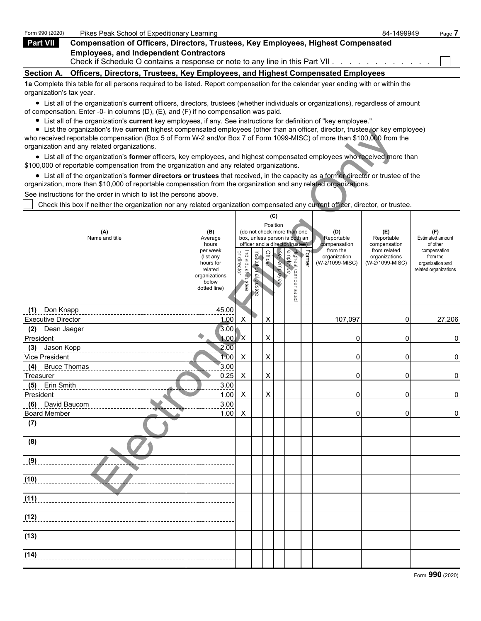| Form 990 (2020)          | Pikes Peak School of Expeditionary Learning                                                                                                                     | 84-1499949 | Page 7 |
|--------------------------|-----------------------------------------------------------------------------------------------------------------------------------------------------------------|------------|--------|
| <b>Part VII</b>          | Compensation of Officers, Directors, Trustees, Key Employees, Highest Compensated                                                                               |            |        |
|                          | <b>Employees, and Independent Contractors</b><br>Check if Schedule O contains a response or note to any line in this Part VII. A contained a contact of the Che |            |        |
| <b>Section A.</b>        | Officers, Directors, Trustees, Key Employees, and Highest Compensated Employees                                                                                 |            |        |
| organization's tax year. | 1a Complete this table for all persons required to be listed. Report compensation for the calendar year ending with or within the                               |            |        |

List all of the organization's **current** officers, directors, trustees (whether individuals or organizations), regardless of amount of compensation. Enter -0- in columns (D), (E), and (F) if no compensation was paid.

- List all of the organization's **current** key employees, if any. See instructions for definition of "key employee."
- List the organization's five **current** highest compensated employees (other than an officer, director, trustee, or key employee)

|                                                                          |                                                                    |                                                                                                                                         |                                             |             |                                 |                                                                                                                              | who received reportable compensation (Box 5 of Form W-2 and/or Box 7 of Form 1099-MISC) of more than \$100,000 from the |                                                                                       |                                                                                                                                                                                                                                                                                                                                                                                                                                                                                                                                       |
|--------------------------------------------------------------------------|--------------------------------------------------------------------|-----------------------------------------------------------------------------------------------------------------------------------------|---------------------------------------------|-------------|---------------------------------|------------------------------------------------------------------------------------------------------------------------------|-------------------------------------------------------------------------------------------------------------------------|---------------------------------------------------------------------------------------|---------------------------------------------------------------------------------------------------------------------------------------------------------------------------------------------------------------------------------------------------------------------------------------------------------------------------------------------------------------------------------------------------------------------------------------------------------------------------------------------------------------------------------------|
|                                                                          |                                                                    |                                                                                                                                         |                                             |             |                                 |                                                                                                                              |                                                                                                                         |                                                                                       |                                                                                                                                                                                                                                                                                                                                                                                                                                                                                                                                       |
|                                                                          |                                                                    |                                                                                                                                         |                                             |             |                                 |                                                                                                                              |                                                                                                                         |                                                                                       |                                                                                                                                                                                                                                                                                                                                                                                                                                                                                                                                       |
|                                                                          |                                                                    |                                                                                                                                         |                                             |             |                                 |                                                                                                                              |                                                                                                                         |                                                                                       |                                                                                                                                                                                                                                                                                                                                                                                                                                                                                                                                       |
|                                                                          |                                                                    |                                                                                                                                         |                                             |             |                                 |                                                                                                                              |                                                                                                                         |                                                                                       |                                                                                                                                                                                                                                                                                                                                                                                                                                                                                                                                       |
|                                                                          |                                                                    |                                                                                                                                         |                                             |             |                                 |                                                                                                                              |                                                                                                                         |                                                                                       |                                                                                                                                                                                                                                                                                                                                                                                                                                                                                                                                       |
|                                                                          |                                                                    |                                                                                                                                         |                                             |             |                                 |                                                                                                                              |                                                                                                                         |                                                                                       |                                                                                                                                                                                                                                                                                                                                                                                                                                                                                                                                       |
| (B)<br>Average<br>hours<br>per week<br>(list any<br>hours for<br>related |                                                                    |                                                                                                                                         | Officer                                     |             |                                 | $F_{\text{oume}}$                                                                                                            | (D)<br>Reportable<br>compensation<br>from the<br>organization<br>(W-2/1099-MISC)                                        | (E)<br>Reportable<br>compensation<br>from related<br>organizations<br>(W-2/1099-MISC) | (F)<br>Estimated amount<br>of other<br>compensation<br>from the<br>organization and<br>related organizations                                                                                                                                                                                                                                                                                                                                                                                                                          |
| organizations<br>below<br>dotted line)                                   |                                                                    |                                                                                                                                         |                                             |             |                                 |                                                                                                                              |                                                                                                                         |                                                                                       |                                                                                                                                                                                                                                                                                                                                                                                                                                                                                                                                       |
|                                                                          |                                                                    |                                                                                                                                         |                                             |             |                                 |                                                                                                                              |                                                                                                                         |                                                                                       |                                                                                                                                                                                                                                                                                                                                                                                                                                                                                                                                       |
|                                                                          |                                                                    |                                                                                                                                         |                                             |             |                                 |                                                                                                                              |                                                                                                                         |                                                                                       | 27,206                                                                                                                                                                                                                                                                                                                                                                                                                                                                                                                                |
|                                                                          |                                                                    |                                                                                                                                         |                                             |             |                                 |                                                                                                                              |                                                                                                                         |                                                                                       | 0                                                                                                                                                                                                                                                                                                                                                                                                                                                                                                                                     |
|                                                                          |                                                                    |                                                                                                                                         |                                             |             |                                 |                                                                                                                              |                                                                                                                         |                                                                                       |                                                                                                                                                                                                                                                                                                                                                                                                                                                                                                                                       |
|                                                                          | X                                                                  |                                                                                                                                         | X                                           |             |                                 |                                                                                                                              | 0                                                                                                                       | 0                                                                                     | 0                                                                                                                                                                                                                                                                                                                                                                                                                                                                                                                                     |
|                                                                          |                                                                    |                                                                                                                                         |                                             |             |                                 |                                                                                                                              |                                                                                                                         |                                                                                       |                                                                                                                                                                                                                                                                                                                                                                                                                                                                                                                                       |
|                                                                          | X                                                                  |                                                                                                                                         | X                                           |             |                                 |                                                                                                                              | 0                                                                                                                       | 0                                                                                     | 0                                                                                                                                                                                                                                                                                                                                                                                                                                                                                                                                     |
|                                                                          |                                                                    |                                                                                                                                         |                                             |             |                                 |                                                                                                                              |                                                                                                                         |                                                                                       |                                                                                                                                                                                                                                                                                                                                                                                                                                                                                                                                       |
|                                                                          |                                                                    |                                                                                                                                         |                                             |             |                                 |                                                                                                                              | 0                                                                                                                       | 0                                                                                     | 0                                                                                                                                                                                                                                                                                                                                                                                                                                                                                                                                     |
|                                                                          |                                                                    |                                                                                                                                         |                                             |             |                                 |                                                                                                                              |                                                                                                                         |                                                                                       |                                                                                                                                                                                                                                                                                                                                                                                                                                                                                                                                       |
|                                                                          |                                                                    |                                                                                                                                         |                                             |             |                                 |                                                                                                                              |                                                                                                                         |                                                                                       | 0                                                                                                                                                                                                                                                                                                                                                                                                                                                                                                                                     |
|                                                                          |                                                                    |                                                                                                                                         |                                             |             |                                 |                                                                                                                              |                                                                                                                         |                                                                                       |                                                                                                                                                                                                                                                                                                                                                                                                                                                                                                                                       |
|                                                                          |                                                                    |                                                                                                                                         |                                             |             |                                 |                                                                                                                              |                                                                                                                         |                                                                                       |                                                                                                                                                                                                                                                                                                                                                                                                                                                                                                                                       |
|                                                                          |                                                                    |                                                                                                                                         |                                             |             |                                 |                                                                                                                              |                                                                                                                         |                                                                                       |                                                                                                                                                                                                                                                                                                                                                                                                                                                                                                                                       |
|                                                                          |                                                                    |                                                                                                                                         |                                             |             |                                 |                                                                                                                              |                                                                                                                         |                                                                                       |                                                                                                                                                                                                                                                                                                                                                                                                                                                                                                                                       |
|                                                                          |                                                                    |                                                                                                                                         |                                             |             |                                 |                                                                                                                              |                                                                                                                         |                                                                                       |                                                                                                                                                                                                                                                                                                                                                                                                                                                                                                                                       |
|                                                                          |                                                                    |                                                                                                                                         |                                             |             |                                 |                                                                                                                              |                                                                                                                         |                                                                                       |                                                                                                                                                                                                                                                                                                                                                                                                                                                                                                                                       |
|                                                                          |                                                                    |                                                                                                                                         |                                             |             |                                 |                                                                                                                              |                                                                                                                         |                                                                                       |                                                                                                                                                                                                                                                                                                                                                                                                                                                                                                                                       |
|                                                                          |                                                                    |                                                                                                                                         |                                             |             |                                 |                                                                                                                              |                                                                                                                         |                                                                                       |                                                                                                                                                                                                                                                                                                                                                                                                                                                                                                                                       |
|                                                                          | See instructions for the order in which to list the persons above. | or director<br>45.00<br>1.00<br>X<br>3.00<br>1.00<br><b>X</b><br>2.00<br>1.00<br>3.00<br>0.25<br>3.00<br>1.00<br>X<br>3.00<br>1.00<br>X | Individual trustee<br>Institutional trustee | X<br>X<br>X | (C)<br>Position<br>Key employee | \$100,000 of reportable compensation from the organization and any related organizations.<br>Highest compensated<br>employee | (do not check more than one<br>box, unless person is both an<br>officer and a director/trustee)                         | 107,097<br>0<br>0                                                                     | • List all of the organization's former officers, key employees, and highest compensated employees who received more than<br>• List all of the organization's former directors or trustees that received, in the capacity as a former director or trustee of the<br>organization, more than \$10,000 of reportable compensation from the organization and any related organizations.<br>Check this box if neither the organization nor any related organization compensated any current officer, director, or trustee.<br>0<br>0<br>0 |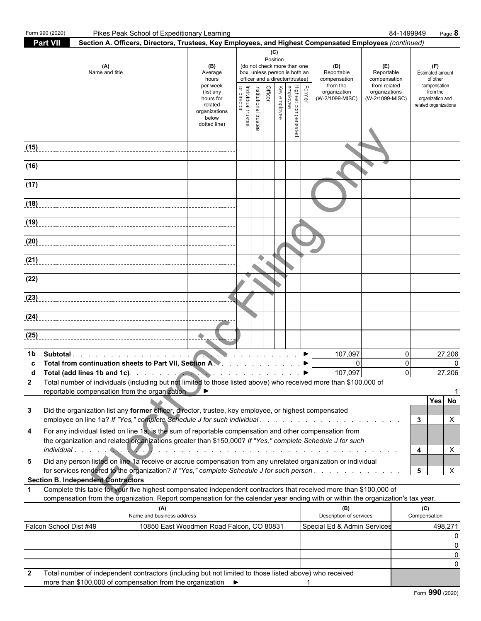| Form 990 (2020)        | Pikes Peak School of Expeditionary Learning                                                                                                                                                                                                                                                            |                                                                                                                    |                                |                                  |                                 |                                                                                            |                                                        |                                                                                  |                                                                                       | 84-1499949                       |                     | Page 8                                                                                                              |
|------------------------|--------------------------------------------------------------------------------------------------------------------------------------------------------------------------------------------------------------------------------------------------------------------------------------------------------|--------------------------------------------------------------------------------------------------------------------|--------------------------------|----------------------------------|---------------------------------|--------------------------------------------------------------------------------------------|--------------------------------------------------------|----------------------------------------------------------------------------------|---------------------------------------------------------------------------------------|----------------------------------|---------------------|---------------------------------------------------------------------------------------------------------------------|
| <b>Part VII</b>        | Section A. Officers, Directors, Trustees, Key Employees, and Highest Compensated Employees (continued)                                                                                                                                                                                                 |                                                                                                                    |                                |                                  |                                 |                                                                                            |                                                        |                                                                                  |                                                                                       |                                  |                     |                                                                                                                     |
|                        | (A)<br>Name and title                                                                                                                                                                                                                                                                                  | (B)<br>Average<br>hours<br>per week<br>(list any<br>hours for<br>related<br>organizations<br>below<br>dotted line) | Individual trustee<br>director | Officer<br>Institutional trustee | (C)<br>Position<br>Key employee | (do not check more than one<br>officer and a director/trustee)<br>Highest co<br>Mighest co | box, unless person is both an<br>Former<br>compensated | (D)<br>Reportable<br>compensation<br>from the<br>organization<br>(W-2/1099-MISC) | (E)<br>Reportable<br>compensation<br>from related<br>organizations<br>(W-2/1099-MISC) |                                  |                     | (F)<br><b>Estimated amount</b><br>of other<br>compensation<br>from the<br>organization and<br>related organizations |
| (15)                   |                                                                                                                                                                                                                                                                                                        |                                                                                                                    |                                |                                  |                                 |                                                                                            |                                                        |                                                                                  |                                                                                       |                                  |                     |                                                                                                                     |
| (16)                   |                                                                                                                                                                                                                                                                                                        |                                                                                                                    |                                |                                  |                                 |                                                                                            |                                                        |                                                                                  |                                                                                       |                                  |                     |                                                                                                                     |
|                        |                                                                                                                                                                                                                                                                                                        |                                                                                                                    |                                |                                  |                                 |                                                                                            |                                                        |                                                                                  |                                                                                       |                                  |                     |                                                                                                                     |
| (17)                   |                                                                                                                                                                                                                                                                                                        |                                                                                                                    |                                |                                  |                                 |                                                                                            |                                                        |                                                                                  |                                                                                       |                                  |                     |                                                                                                                     |
| (18)                   |                                                                                                                                                                                                                                                                                                        |                                                                                                                    |                                |                                  |                                 |                                                                                            |                                                        |                                                                                  |                                                                                       |                                  |                     |                                                                                                                     |
| (19)                   |                                                                                                                                                                                                                                                                                                        |                                                                                                                    |                                |                                  |                                 |                                                                                            |                                                        |                                                                                  |                                                                                       |                                  |                     |                                                                                                                     |
| (20)                   |                                                                                                                                                                                                                                                                                                        |                                                                                                                    |                                |                                  |                                 |                                                                                            |                                                        |                                                                                  |                                                                                       |                                  |                     |                                                                                                                     |
|                        |                                                                                                                                                                                                                                                                                                        |                                                                                                                    |                                |                                  |                                 |                                                                                            |                                                        |                                                                                  |                                                                                       |                                  |                     |                                                                                                                     |
|                        |                                                                                                                                                                                                                                                                                                        |                                                                                                                    |                                |                                  |                                 |                                                                                            |                                                        |                                                                                  |                                                                                       |                                  |                     |                                                                                                                     |
|                        |                                                                                                                                                                                                                                                                                                        |                                                                                                                    |                                |                                  |                                 |                                                                                            |                                                        |                                                                                  |                                                                                       |                                  |                     |                                                                                                                     |
|                        | $\boxed{(24)}$                                                                                                                                                                                                                                                                                         |                                                                                                                    |                                |                                  |                                 |                                                                                            |                                                        |                                                                                  |                                                                                       |                                  |                     |                                                                                                                     |
| (25)                   |                                                                                                                                                                                                                                                                                                        |                                                                                                                    |                                |                                  |                                 |                                                                                            |                                                        |                                                                                  |                                                                                       |                                  |                     |                                                                                                                     |
| 1b                     | Subtotal<br>Total from continuation sheets to Part VII, Section A. A. A. A. A. A. A. A. A. A. A.<br>Total (add lines 1b and 1c).<br>Total number of individuals (including but not limited to those listed above) who received more than \$100,000 of<br>reportable compensation from the organization |                                                                                                                    |                                |                                  |                                 |                                                                                            |                                                        | 107,097<br>$\mathbf{0}$<br>107,097                                               |                                                                                       | $\Omega$<br>$\Omega$<br>$\Omega$ |                     | 27,206<br>$\Omega$<br>27,206                                                                                        |
| 3                      | Did the organization list any former officer, director, trustee, key employee, or highest compensated<br>employee on line 1a? If "Yes," complete Schedule J for such individual                                                                                                                        |                                                                                                                    |                                |                                  |                                 |                                                                                            |                                                        |                                                                                  |                                                                                       |                                  | 3                   | <b>No</b><br>Yes<br>X                                                                                               |
| 4                      | For any individual listed on line 1a, is the sum of reportable compensation and other compensation from<br>the organization and related organizations greater than \$150,000? If "Yes," complete Schedule J for such                                                                                   |                                                                                                                    |                                |                                  |                                 |                                                                                            |                                                        |                                                                                  |                                                                                       |                                  | 4                   | X                                                                                                                   |
| 5                      | Did any person listed on line 1a receive or accrue compensation from any unrelated organization or individual<br>for services rendered to the organization? If "Yes," complete Schedule J for such person                                                                                              |                                                                                                                    |                                |                                  |                                 |                                                                                            |                                                        |                                                                                  |                                                                                       |                                  | 5                   | X                                                                                                                   |
|                        | <b>Section B. Independent Contractors</b>                                                                                                                                                                                                                                                              |                                                                                                                    |                                |                                  |                                 |                                                                                            |                                                        |                                                                                  |                                                                                       |                                  |                     |                                                                                                                     |
| $\mathbf 1$            | Complete this table for your five highest compensated independent contractors that received more than \$100,000 of<br>compensation from the organization. Report compensation for the calendar year ending with or within the organization's tax year.                                                 |                                                                                                                    |                                |                                  |                                 |                                                                                            |                                                        |                                                                                  |                                                                                       |                                  |                     |                                                                                                                     |
|                        | (A)<br>Name and business address                                                                                                                                                                                                                                                                       |                                                                                                                    |                                |                                  |                                 |                                                                                            |                                                        | (B)<br>Description of services                                                   |                                                                                       |                                  | (C)<br>Compensation |                                                                                                                     |
| Falcon School Dist #49 |                                                                                                                                                                                                                                                                                                        | 10850 East Woodmen Road Falcon, CO 80831                                                                           |                                |                                  |                                 |                                                                                            |                                                        | Special Ed & Admin Services                                                      |                                                                                       |                                  |                     | 498,271<br>0                                                                                                        |
|                        |                                                                                                                                                                                                                                                                                                        |                                                                                                                    |                                |                                  |                                 |                                                                                            |                                                        |                                                                                  |                                                                                       |                                  |                     | 0                                                                                                                   |
|                        |                                                                                                                                                                                                                                                                                                        |                                                                                                                    |                                |                                  |                                 |                                                                                            |                                                        |                                                                                  |                                                                                       |                                  |                     | 0<br>0                                                                                                              |
|                        | Total number of independent contractors (including but not limited to those listed above) who received<br>more than \$100,000 of compensation from the organization ▶                                                                                                                                  |                                                                                                                    |                                |                                  |                                 |                                                                                            |                                                        |                                                                                  |                                                                                       |                                  |                     |                                                                                                                     |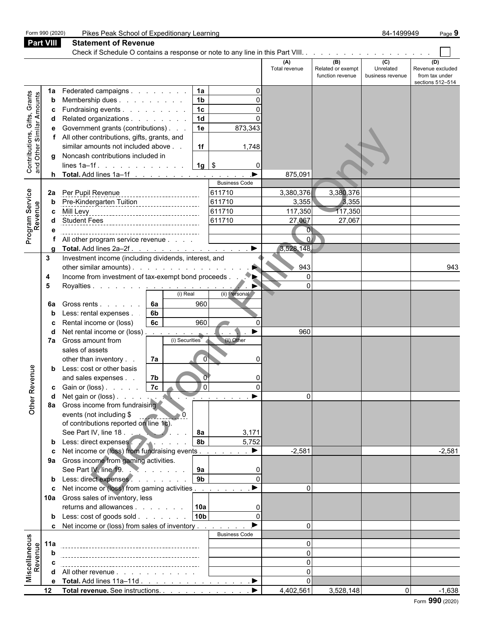**Part VIII Statement of Revenue** Check if Schedule O contains a response or note to any line in this Part VIII. . . . . . . . . . . . . . **(A) (B) (C) (D)** Total revenue Related or exempt Unrelated Revenue excluded function revenue business revenue from tax under sections 512–514 **1a** Federated campaigns . . . . . . . . **| 1a |** . . . . . 0 Contributions, Gifts, Grants and Other Similar Amounts **b** Membership dues . . . . . . . . . 1b 0 **c** Fundraising events . . . . . . . . . 1**c** 0 **d** Related organizations . . . . . . . 1**d** | 0 **e** Government grants (contributions)  $\therefore$  .  $\begin{vmatrix} 1e \end{vmatrix}$  873,343 electronic control in the method and the method and the method and the method and the method and the method on the method of the method of the method of the method of the method of the method of the method of the method of **f** All other contributions, gifts, grants, and  $\mathsf{similar}\ \mathsf{amounts}\ \mathsf{not}\ \mathsf{include}\ \mathsf{above}\ \mathsf{.}\quad\quad \mathsf{11f}\ \mathsf{11} \qquad\qquad \mathsf{11748}$ **g** Noncash contributions included in lines 1a–1f . . . . . . . . . . . . . . . . . . . . . . . . . . . . . . . . . . . . . . . . . . . . . . . . . . . . . . . . . . . **1g** \$ 0 **h Total.** Add lines 1a–1f . . . . . . . . . . . . . . . . . ▶ | 875,091 Business Code Program Service **2a** Per Pupil Revenue **611710** 3,380,376 3,380,376 **b** Pre-Kindergarten Tuition **1988** 12.355 3,355 3,355 Revenue **c** Mill Levy 117,350 117,350 **d** Student Fees 611710 27,067 27,067 **e** 0 **f** All other program service revenue . . . . . . . . . . . . . . . . . . . . . . . . . . . . . . . . . . . . . . . . . . . . . . . . . . . . . 0 **g Total.** Add lines 2a–2f . . . . . . . . . . . . . . . . . ▶ │ 3,528,148 **3** Investment income (including dividends, interest, and other similar amounts) . . . . . . . . . . . . . . . . . . . . . . . . . . . . . . . . . . . . . . . . . . . . . . . . . . . . . . . . 943 943 **4** Income from investment of tax-exempt bond proceeds . . . . . . . . . . . . . . . . . . . . . . . . . . . . . . . . . . . . . . . . . . . . . . . . . 0 **5** Royalties . . . . . . . . . . . . . . . . . . . . . . . . . . . . . . . . . . . . . . . . . . . . . . . . . . . . . . . . . . . 0 (i) Real (ii) Personal **6a** Gross rents . . . . . . **6a 68** 960 **b** Less: rental expenses . . . . **6b c** Rental income or (loss) **6c** 960 0 **d** Net rental income or (loss) . . . . . . . . . . . . . . . . . . . . . . . . . . . . . . . . . . . . . . . . . . . . . . . . . . . . . . . 960 **7a** Gross amount from (i) Securities (ii) Other sales of assets other than inventory . .  $\begin{vmatrix} 7a & 0 & 0 \end{vmatrix}$  . . . . . 0 Other Revenue **b** Less: cost or other basis and sales expenses . .  $\begin{bmatrix} 7b & 0 \end{bmatrix}$  0 **c** Gain or (loss) . . . . . **7c** 0 0 0 0 0 **d** Net gain or (loss) . . . . . . . . . . . . . . . . . . . . . . . . . . . . . . . . . . . . . . . . . . . . . . . . . . . . . . . . . 0 **8a** Gross income from fundraising events (not including  $$$ of contributions reported on line 1c). See Part IV, line 18 . . . **. . . . . . . . . . . . . 8a** 3,171 **b** Less: direct expenses **1.** . . . . . . . . . 8b 5,752 **c** Net income or (loss) from fundraising events . . . . . . . . . . . . . . . . . . . . . . . . . . . . . . . . . . . . . . . . . . . . . . . . . . -2,581 -2,581 **9a** Gross income from gaming activities. See Part IV, line 19. . . . . . . . . . . . . . . . . . . . . . . . . . . . . . . . . . . . . . . . . . . . . . . . . . . . . . . . . . **9a** 0 **b** Less: direct expenses . . . . . . . . . 9b **c** Net income or (loss) from gaming activities  $\ldots$  . . . . . . . . . 0 **10a** Gross sales of inventory, less returns and allowances . . . . . . . **10a** 0 **b** Less: cost of goods sold . . . . . . . . 10b | 0 **c** Net income or (loss) from sales of inventory . . . . . . . .  $\blacktriangleright$  | 0 Business Code Miscellaneous **11a** 0 Revenue **b** 0 **c** 0 **d** All other revenue . . . . . . . . . . . . . . . . 0 **e** Total. Add lines 11a–11d . . . . . . . . . . . . . . . . ▶ │ 0 **12 Total revenue.** See instructions. . . . . . . . . . . . ▶ │ 4.402.561│ 3.528.148│ 0│ -1.638

Form 990 (2020) Pikes Peak School of Expeditionary Learning **84-1499949** Page 9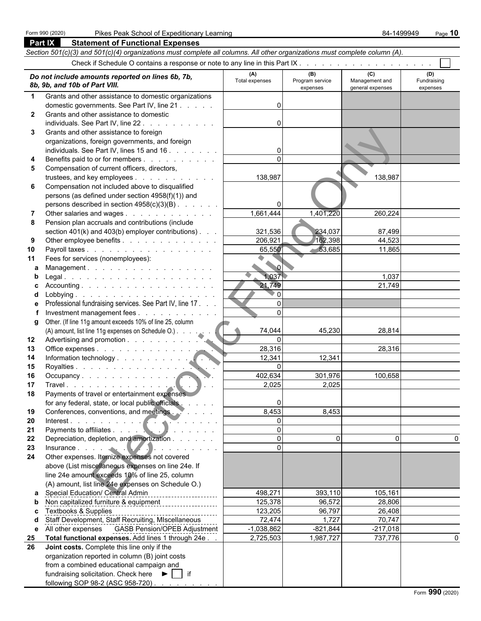|                          | <b>Part IX</b><br><b>Statement of Functional Expenses</b>                                                                  |                 |                             |                                    |                         |  |  |  |  |  |  |  |  |
|--------------------------|----------------------------------------------------------------------------------------------------------------------------|-----------------|-----------------------------|------------------------------------|-------------------------|--|--|--|--|--|--|--|--|
|                          | Section 501(c)(3) and 501(c)(4) organizations must complete all columns. All other organizations must complete column (A). |                 |                             |                                    |                         |  |  |  |  |  |  |  |  |
|                          |                                                                                                                            |                 |                             |                                    |                         |  |  |  |  |  |  |  |  |
| (C)<br>(B)<br>(D)<br>(A) |                                                                                                                            |                 |                             |                                    |                         |  |  |  |  |  |  |  |  |
|                          | Do not include amounts reported on lines 6b, 7b,<br>8b, 9b, and 10b of Part VIII.                                          | Total expenses  | Program service<br>expenses | Management and<br>general expenses | Fundraising<br>expenses |  |  |  |  |  |  |  |  |
| $\mathbf 1$              | Grants and other assistance to domestic organizations                                                                      |                 |                             |                                    |                         |  |  |  |  |  |  |  |  |
|                          | domestic governments. See Part IV, line 21                                                                                 | U               |                             |                                    |                         |  |  |  |  |  |  |  |  |
| $\mathbf{2}$             | Grants and other assistance to domestic                                                                                    |                 |                             |                                    |                         |  |  |  |  |  |  |  |  |
|                          | individuals. See Part IV, line 22.                                                                                         |                 |                             |                                    |                         |  |  |  |  |  |  |  |  |
| 3                        | Grants and other assistance to foreign                                                                                     |                 |                             |                                    |                         |  |  |  |  |  |  |  |  |
|                          | organizations, foreign governments, and foreign                                                                            |                 |                             |                                    |                         |  |  |  |  |  |  |  |  |
|                          | individuals. See Part IV, lines 15 and 16                                                                                  |                 |                             |                                    |                         |  |  |  |  |  |  |  |  |
| 4                        | Benefits paid to or for members                                                                                            | $\Omega$        |                             |                                    |                         |  |  |  |  |  |  |  |  |
| 5                        | Compensation of current officers, directors,                                                                               |                 |                             |                                    |                         |  |  |  |  |  |  |  |  |
|                          | trustees, and key employees                                                                                                | 138,987         |                             | 138,987                            |                         |  |  |  |  |  |  |  |  |
| 6                        | Compensation not included above to disqualified                                                                            |                 |                             |                                    |                         |  |  |  |  |  |  |  |  |
|                          | persons (as defined under section 4958(f)(1)) and                                                                          |                 |                             |                                    |                         |  |  |  |  |  |  |  |  |
|                          | persons described in section 4958(c)(3)(B)                                                                                 |                 |                             |                                    |                         |  |  |  |  |  |  |  |  |
| 7                        | Other salaries and wages                                                                                                   | 1,661,444       | 1,401,220                   | 260,224                            |                         |  |  |  |  |  |  |  |  |
| 8                        | Pension plan accruals and contributions (include                                                                           |                 |                             |                                    |                         |  |  |  |  |  |  |  |  |
|                          | section $401(k)$ and $403(b)$ employer contributions) $\ldots$                                                             | 321,536         | 234,037                     | 87,499                             |                         |  |  |  |  |  |  |  |  |
| 9                        | Other employee benefits                                                                                                    | 206,921         | 162,398                     | 44,523                             |                         |  |  |  |  |  |  |  |  |
| 10                       | Payroll taxes                                                                                                              | 65,550          | $-53,685$                   | 11,865                             |                         |  |  |  |  |  |  |  |  |
| 11                       | Fees for services (nonemployees):                                                                                          | $\sim$ $\sigma$ |                             |                                    |                         |  |  |  |  |  |  |  |  |
| a<br>b                   | Management.                                                                                                                | 1,037           |                             | 1,037                              |                         |  |  |  |  |  |  |  |  |
|                          | Accounting.                                                                                                                | 21,749          |                             | 21,749                             |                         |  |  |  |  |  |  |  |  |
| c<br>d                   |                                                                                                                            | $\overline{0}$  |                             |                                    |                         |  |  |  |  |  |  |  |  |
| е                        | Professional fundraising services. See Part IV, line 17.                                                                   | $\Omega$        |                             |                                    |                         |  |  |  |  |  |  |  |  |
|                          | Investment management fees                                                                                                 | $\Omega$        |                             |                                    |                         |  |  |  |  |  |  |  |  |
| g                        | Other. (If line 11g amount exceeds 10% of line 25, column                                                                  |                 |                             |                                    |                         |  |  |  |  |  |  |  |  |
|                          | (A) amount, list line 11g expenses on Schedule O.)                                                                         | 74,044          | 45,230                      | 28,814                             |                         |  |  |  |  |  |  |  |  |
| 12                       |                                                                                                                            | $\Omega$        |                             |                                    |                         |  |  |  |  |  |  |  |  |
| 13                       | Office expenses                                                                                                            | 28,316          |                             | 28,316                             |                         |  |  |  |  |  |  |  |  |
| 14                       |                                                                                                                            | 12,341          | 12,341                      |                                    |                         |  |  |  |  |  |  |  |  |
| 15                       | Royalties                                                                                                                  | $\Omega$        |                             |                                    |                         |  |  |  |  |  |  |  |  |
| 16                       |                                                                                                                            | 402,634         | 301,976                     | 100,658                            |                         |  |  |  |  |  |  |  |  |
| 17                       |                                                                                                                            | 2,025           | 2,025                       |                                    |                         |  |  |  |  |  |  |  |  |
| 18                       | Payments of travel or entertainment expenses                                                                               |                 |                             |                                    |                         |  |  |  |  |  |  |  |  |
|                          | for any federal, state, or local public officials                                                                          | 0               |                             |                                    |                         |  |  |  |  |  |  |  |  |
| 19                       | Conferences, conventions, and meetings.                                                                                    | 8,453           | 8,453                       |                                    |                         |  |  |  |  |  |  |  |  |
| 20                       | Interest.                                                                                                                  | $\overline{0}$  |                             |                                    |                         |  |  |  |  |  |  |  |  |
| 21                       | the contract of the con-                                                                                                   | $\mathbf 0$     |                             |                                    |                         |  |  |  |  |  |  |  |  |
| 22                       | Depreciation, depletion, and amortization                                                                                  | $\Omega$        | $\Omega$                    | $\mathbf{0}$                       | 0                       |  |  |  |  |  |  |  |  |
| 23                       | Insurance<br>Other expenses. Itemize expenses not covered                                                                  | $\Omega$        |                             |                                    |                         |  |  |  |  |  |  |  |  |
| 24                       |                                                                                                                            |                 |                             |                                    |                         |  |  |  |  |  |  |  |  |
|                          | above (List miscellaneous expenses on line 24e. If                                                                         |                 |                             |                                    |                         |  |  |  |  |  |  |  |  |
|                          | line 24e amount exceeds 10% of line 25, column                                                                             |                 |                             |                                    |                         |  |  |  |  |  |  |  |  |
|                          | (A) amount, list line 24e expenses on Schedule O.)                                                                         |                 |                             |                                    |                         |  |  |  |  |  |  |  |  |
| a                        | <b>Special Education/ Central Admin</b>                                                                                    | 498,271         | 393,110                     | 105,161                            |                         |  |  |  |  |  |  |  |  |
| b                        | Non capitalized furniture & equipment                                                                                      | 125,378         | 96,572                      | 28,806                             |                         |  |  |  |  |  |  |  |  |
| c                        | <b>Textbooks &amp; Supplies</b>                                                                                            | 123,205         | 96,797                      | 26,408                             |                         |  |  |  |  |  |  |  |  |
| d                        | Staff Development, Staff Recruiting, MIscellaneous                                                                         | 72,474          | 1,727                       | 70,747                             |                         |  |  |  |  |  |  |  |  |
| е                        | All other expenses  GASB Pension/OPEB Adjustment                                                                           | $-1,038,862$    | $-821,844$                  | $-217,018$                         |                         |  |  |  |  |  |  |  |  |
| 25                       | Total functional expenses. Add lines 1 through 24e.                                                                        | 2,725,503       | 1,987,727                   | 737,776                            | 0                       |  |  |  |  |  |  |  |  |
| 26                       | Joint costs. Complete this line only if the                                                                                |                 |                             |                                    |                         |  |  |  |  |  |  |  |  |
|                          | organization reported in column (B) joint costs<br>from a combined educational campaign and                                |                 |                             |                                    |                         |  |  |  |  |  |  |  |  |
|                          | fundraising solicitation. Check here $\blacktriangleright$   if                                                            |                 |                             |                                    |                         |  |  |  |  |  |  |  |  |
|                          | following SOP 98-2 (ASC 958-720)                                                                                           |                 |                             |                                    |                         |  |  |  |  |  |  |  |  |
|                          |                                                                                                                            |                 |                             |                                    |                         |  |  |  |  |  |  |  |  |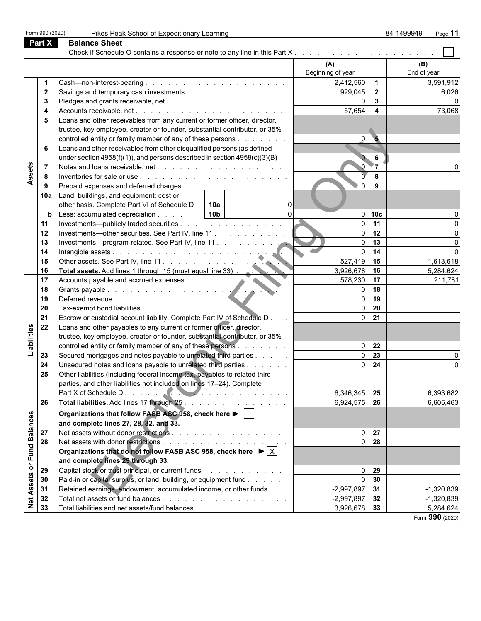|                  | Form 990 (2020) | Pikes Peak School of Expeditionary Learning                                                      |                   |                         | 84-1499949<br>Page 11 |
|------------------|-----------------|--------------------------------------------------------------------------------------------------|-------------------|-------------------------|-----------------------|
|                  | <b>Part X</b>   | <b>Balance Sheet</b>                                                                             |                   |                         |                       |
|                  |                 |                                                                                                  |                   |                         |                       |
|                  |                 |                                                                                                  | (A)               |                         | (B)                   |
|                  |                 |                                                                                                  | Beginning of year |                         | End of year           |
|                  |                 |                                                                                                  | 2,412,560         | $\overline{\mathbf{1}}$ | 3,591,912             |
|                  | 2               | Savings and temporary cash investments                                                           | 929,045           | $\overline{2}$          | 6,026                 |
|                  | 3               |                                                                                                  | $\Omega$          | $\mathbf{3}$            |                       |
|                  |                 |                                                                                                  | 57,654            | $\overline{4}$          | 73,068                |
|                  | 5               | Loans and other receivables from any current or former officer, director,                        |                   |                         |                       |
|                  |                 | trustee, key employee, creator or founder, substantial contributor, or 35%                       |                   |                         |                       |
|                  |                 | controlled entity or family member of any of these persons                                       | $\overline{0}$    | $\overline{6}$          |                       |
|                  | 6               | Loans and other receivables from other disqualified persons (as defined                          |                   |                         |                       |
|                  |                 | under section $4958(f)(1)$ , and persons described in section $4958(c)(3)(B)$                    |                   | 6                       |                       |
|                  | 7               |                                                                                                  |                   | $\blacktriangledown$    |                       |
| Assets           | 8               |                                                                                                  | Ō۲                | 8                       |                       |
|                  | 9               | Prepaid expenses and deferred charges                                                            | $\overline{0}$    | 9                       |                       |
|                  | 10a             | Land, buildings, and equipment: cost or                                                          |                   |                         |                       |
|                  |                 | other basis. Complete Part VI of Schedule D<br>10a<br>0                                          |                   |                         |                       |
|                  | b               | $\Omega$<br>10 <sub>b</sub><br>Less: accumulated depreciation                                    | $\Omega$          | 10 <sub>c</sub>         |                       |
|                  | 11              | Investments—publicly traded securities                                                           | $\Omega$          | 11                      |                       |
|                  | 12              | Investments—other securities. See Part IV, line 11.                                              | $\Omega$          | 12                      | $\Omega$              |
|                  | 13              | Investments---program-related. See Part IV, line 11                                              | $\Omega$          | 13                      | $\Omega$              |
|                  | 14              |                                                                                                  | $\Omega$          | 14                      | $\Omega$              |
|                  | 15              |                                                                                                  | 527,419           | 15                      | 1,613,618             |
|                  | 16              | Other assets. See Part IV, line 11.<br>Total assets. Add lines 1 through 15 (must equal line 33) | 3,926,678         | 16                      | 5,284,624             |
|                  | 17              | Accounts payable and accrued expenses.                                                           | 578,230           | 17                      | 211,781               |
|                  | 18              |                                                                                                  | $\Omega$          | 18                      |                       |
|                  | 19              |                                                                                                  | $\Omega$          | 19                      |                       |
|                  | 20              |                                                                                                  | $\Omega$          | 20                      |                       |
|                  | 21              | Escrow or custodial account liability. Complete Part IV of Schedule D                            | $\overline{0}$    | 21                      |                       |
|                  | 22              | Loans and other payables to any current or former officer, director,                             |                   |                         |                       |
| Liabilities      |                 | trustee, key employee, creator or founder, substantial contributor, or 35%                       |                   |                         |                       |
|                  |                 | controlled entity or family member of any of these persons                                       | $\Omega$          | 22                      |                       |
|                  | 23              | Secured mortgages and notes payable to unrelated third parties                                   |                   | 23                      |                       |
|                  | 24              | Unsecured notes and loans payable to unrelated third parties                                     | $\overline{0}$    | 24                      | $\Omega$              |
|                  | 25              | Other liabilities (including federal income tax, payables to related third                       |                   |                         |                       |
|                  |                 | parties, and other liabilities not included on lines 17-24). Complete                            |                   |                         |                       |
|                  |                 |                                                                                                  | 6,346,345 25      |                         | 6,393,682             |
|                  | 26              | Total liabilities. Add lines 17 through 25                                                       | 6,924,575 26      |                         | 6,605,463             |
|                  |                 | Organizations that follow FASB ASC 958, check here ▶ │ │                                         |                   |                         |                       |
|                  |                 | and complete lines 27, 28, 32, and 33.                                                           |                   |                         |                       |
| or Fund Balances | 27              |                                                                                                  | $\Omega$          | 27                      |                       |
|                  | 28              |                                                                                                  | $\Omega$          | 28                      |                       |
|                  |                 | Organizations that do not follow FASB ASC 958, check here $\blacktriangleright$ $ \times $       |                   |                         |                       |
|                  |                 | and complete lines 29 through 33.                                                                |                   |                         |                       |
|                  | 29              | Capital stock or trust principal, or current funds                                               | $\Omega$          | 29                      |                       |
| Assets           | 30              | Paid-in or capital surplus, or land, building, or equipment fund                                 | $\Omega$          | 30                      |                       |
|                  | 31              | Retained earnings, endowment, accumulated income, or other funds                                 | $-2,997,897$      | 31                      | $-1,320,839$          |
|                  | 32              |                                                                                                  | $-2,997,897$ 32   |                         | $-1,320,839$          |
| Net              | 33              | Total liabilities and net assets/fund balances                                                   | 3,926,678 33      |                         | 5,284,624             |
|                  |                 |                                                                                                  |                   |                         | Form 990 (2020)       |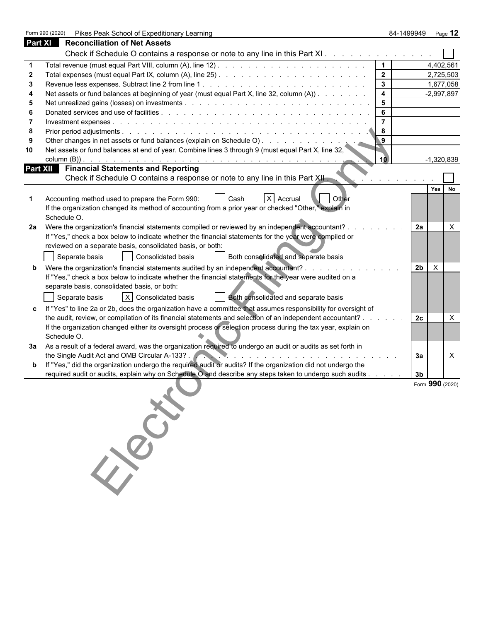Form 990 (2020) Pikes Peak School of Expeditionary Learning 84-1499949 Page **12**

| Part XI         | <b>Reconciliation of Net Assets</b>                                                                            |                         |                                |                  |
|-----------------|----------------------------------------------------------------------------------------------------------------|-------------------------|--------------------------------|------------------|
|                 | Check if Schedule O contains a response or note to any line in this Part XI.                                   |                         |                                |                  |
|                 |                                                                                                                | $\vert$ 1               |                                | 4,402,561        |
| $\mathbf 2$     |                                                                                                                | $\overline{\mathbf{2}}$ |                                | 2,725,503        |
| 3               |                                                                                                                | $\mathbf{3}$            |                                | 1,677,058        |
|                 | Net assets or fund balances at beginning of year (must equal Part X, line 32, column (A))                      | $\overline{4}$          |                                | $-2,997,897$     |
| 5               |                                                                                                                | $5\phantom{a}$          |                                |                  |
|                 |                                                                                                                | 6                       |                                |                  |
|                 |                                                                                                                | $\overline{7}$          |                                |                  |
| 8               |                                                                                                                | 8                       |                                |                  |
| 9               |                                                                                                                | $\overline{9}$          |                                |                  |
| 10              | Net assets or fund balances at end of year. Combine lines 3 through 9 (must equal Part X, line 32,             |                         |                                |                  |
|                 |                                                                                                                | 10                      |                                | $-1,320,839$     |
| <b>Part XII</b> | <b>Financial Statements and Reporting</b>                                                                      |                         |                                |                  |
|                 | Check if Schedule O contains a response or note to any line in this Part XII.                                  |                         |                                |                  |
|                 |                                                                                                                |                         |                                | Yes<br><b>No</b> |
|                 | Other<br>X Accrual<br>Accounting method used to prepare the Form 990:<br>Cash                                  |                         |                                |                  |
|                 | If the organization changed its method of accounting from a prior year or checked "Other," explain in          |                         |                                |                  |
|                 | Schedule O.                                                                                                    |                         |                                |                  |
| 2a              | Were the organization's financial statements compiled or reviewed by an independent accountant?                |                         | 2a                             |                  |
|                 | If "Yes," check a box below to indicate whether the financial statements for the year were compiled or         |                         |                                |                  |
|                 | reviewed on a separate basis, consolidated basis, or both:                                                     |                         |                                |                  |
|                 | Separate basis<br>Consolidated basis<br>Both consolidated and separate basis                                   |                         |                                |                  |
| b               | Were the organization's financial statements audited by an independent accountant? .                           |                         | 2 <sub>b</sub><br>$\mathsf{X}$ |                  |
|                 | If "Yes," check a box below to indicate whether the financial statements for the year were audited on a        |                         |                                |                  |
|                 | separate basis, consolidated basis, or both:                                                                   |                         |                                |                  |
|                 | $ X $ Consolidated basis<br>Both consolidated and separate basis<br>Separate basis                             |                         |                                |                  |
|                 | If "Yes" to line 2a or 2b, does the organization have a committee that assumes responsibility for oversight of |                         |                                |                  |
|                 | the audit, review, or compilation of its financial statements and selection of an independent accountant?.     |                         | 2с                             |                  |
|                 | If the organization changed either its oversight process or selection process during the tax year, explain on  |                         |                                |                  |
|                 | Schedule O.                                                                                                    |                         |                                |                  |
| За              | As a result of a federal award, was the organization required to undergo an audit or audits as set forth in    |                         |                                |                  |
|                 | the Single Audit Act and OMB Circular A-133?.                                                                  |                         | За                             | X                |
| b               | If "Yes," did the organization undergo the required audit or audits? If the organization did not undergo the   |                         |                                |                  |
|                 | required audit or audits, explain why on Schedule O and describe any steps taken to undergo such audits.       |                         | 3b                             |                  |
|                 | Ellis Rich                                                                                                     |                         | Form 990 (2020)                |                  |
|                 |                                                                                                                |                         |                                |                  |
|                 |                                                                                                                |                         |                                |                  |
|                 |                                                                                                                |                         |                                |                  |
|                 |                                                                                                                |                         |                                |                  |
|                 |                                                                                                                |                         |                                |                  |
|                 |                                                                                                                |                         |                                |                  |
|                 |                                                                                                                |                         |                                |                  |
|                 |                                                                                                                |                         |                                |                  |
|                 |                                                                                                                |                         |                                |                  |
|                 |                                                                                                                |                         |                                |                  |
|                 |                                                                                                                |                         |                                |                  |
|                 |                                                                                                                |                         |                                |                  |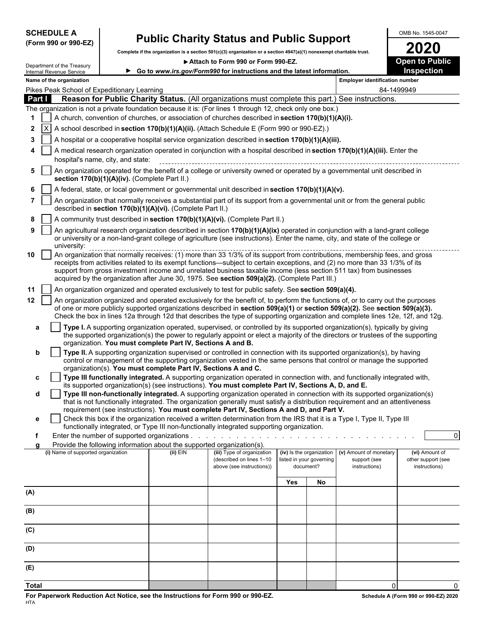**(Form 990 or 990-EZ)**

# SCHEDULE A **Public Charity Status and Public Support** Charity **Status** and **Public Support** Charity **2020**

**Complete if the organization is a section 501(c)(3) organization or a section 4947(a)(1) nonexempt charitable trust. 2020**

▶ Attach to Form 990 or Form 990-EZ. **Open to Public** 

|     |               | Department of the Treasury<br>Internal Revenue Service                                                                                                                                                                                                                                                                                                                                                                                                                           |                                                                                                                                                                                                 |                                                                        | Go to www.irs.gov/Form990 for instructions and the latest information.                                                                                                                                                                                                                                                                                                                             |                          |                                       |                                                         | <b>Inspection</b>                                     |  |  |
|-----|---------------|----------------------------------------------------------------------------------------------------------------------------------------------------------------------------------------------------------------------------------------------------------------------------------------------------------------------------------------------------------------------------------------------------------------------------------------------------------------------------------|-------------------------------------------------------------------------------------------------------------------------------------------------------------------------------------------------|------------------------------------------------------------------------|----------------------------------------------------------------------------------------------------------------------------------------------------------------------------------------------------------------------------------------------------------------------------------------------------------------------------------------------------------------------------------------------------|--------------------------|---------------------------------------|---------------------------------------------------------|-------------------------------------------------------|--|--|
|     |               | Name of the organization                                                                                                                                                                                                                                                                                                                                                                                                                                                         |                                                                                                                                                                                                 |                                                                        |                                                                                                                                                                                                                                                                                                                                                                                                    |                          |                                       | <b>Employer identification number</b>                   |                                                       |  |  |
|     |               |                                                                                                                                                                                                                                                                                                                                                                                                                                                                                  | Pikes Peak School of Expeditionary Learning                                                                                                                                                     |                                                                        |                                                                                                                                                                                                                                                                                                                                                                                                    |                          |                                       | 84-1499949                                              |                                                       |  |  |
|     | <b>Part I</b> |                                                                                                                                                                                                                                                                                                                                                                                                                                                                                  |                                                                                                                                                                                                 |                                                                        | Reason for Public Charity Status. (All organizations must complete this part.) See instructions.                                                                                                                                                                                                                                                                                                   |                          |                                       |                                                         |                                                       |  |  |
| 1   |               |                                                                                                                                                                                                                                                                                                                                                                                                                                                                                  |                                                                                                                                                                                                 |                                                                        | The organization is not a private foundation because it is: (For lines 1 through 12, check only one box.)                                                                                                                                                                                                                                                                                          |                          |                                       |                                                         |                                                       |  |  |
| 2   | $\mathsf{X}$  |                                                                                                                                                                                                                                                                                                                                                                                                                                                                                  | A church, convention of churches, or association of churches described in section 170(b)(1)(A)(i).<br>A school described in section 170(b)(1)(A)(ii). (Attach Schedule E (Form 990 or 990-EZ).) |                                                                        |                                                                                                                                                                                                                                                                                                                                                                                                    |                          |                                       |                                                         |                                                       |  |  |
| 3   |               |                                                                                                                                                                                                                                                                                                                                                                                                                                                                                  |                                                                                                                                                                                                 |                                                                        | A hospital or a cooperative hospital service organization described in section 170(b)(1)(A)(iii).                                                                                                                                                                                                                                                                                                  |                          |                                       |                                                         |                                                       |  |  |
|     |               |                                                                                                                                                                                                                                                                                                                                                                                                                                                                                  |                                                                                                                                                                                                 |                                                                        | A medical research organization operated in conjunction with a hospital described in section 170(b)(1)(A)(iii). Enter the                                                                                                                                                                                                                                                                          |                          |                                       |                                                         |                                                       |  |  |
|     |               |                                                                                                                                                                                                                                                                                                                                                                                                                                                                                  | hospital's name, city, and state:                                                                                                                                                               |                                                                        |                                                                                                                                                                                                                                                                                                                                                                                                    |                          |                                       |                                                         |                                                       |  |  |
| 5   |               |                                                                                                                                                                                                                                                                                                                                                                                                                                                                                  | section 170(b)(1)(A)(iv). (Complete Part II.)                                                                                                                                                   |                                                                        | An organization operated for the benefit of a college or university owned or operated by a governmental unit described in                                                                                                                                                                                                                                                                          |                          |                                       |                                                         |                                                       |  |  |
| 6   |               |                                                                                                                                                                                                                                                                                                                                                                                                                                                                                  |                                                                                                                                                                                                 |                                                                        | A federal, state, or local government or governmental unit described in section 170(b)(1)(A)(v).                                                                                                                                                                                                                                                                                                   |                          |                                       |                                                         |                                                       |  |  |
|     |               |                                                                                                                                                                                                                                                                                                                                                                                                                                                                                  |                                                                                                                                                                                                 | described in section 170(b)(1)(A)(vi). (Complete Part II.)             | An organization that normally receives a substantial part of its support from a governmental unit or from the general public                                                                                                                                                                                                                                                                       |                          |                                       |                                                         |                                                       |  |  |
| 8   |               |                                                                                                                                                                                                                                                                                                                                                                                                                                                                                  |                                                                                                                                                                                                 |                                                                        | A community trust described in section 170(b)(1)(A)(vi). (Complete Part II.)                                                                                                                                                                                                                                                                                                                       |                          |                                       |                                                         |                                                       |  |  |
| 9   |               | university:                                                                                                                                                                                                                                                                                                                                                                                                                                                                      |                                                                                                                                                                                                 |                                                                        | An agricultural research organization described in section 170(b)(1)(A)(ix) operated in conjunction with a land-grant college<br>or university or a non-land-grant college of agriculture (see instructions). Enter the name, city, and state of the college or                                                                                                                                    |                          |                                       |                                                         |                                                       |  |  |
| 10  |               | An organization that normally receives: (1) more than 33 1/3% of its support from contributions, membership fees, and gross<br>receipts from activities related to its exempt functions—subject to certain exceptions, and (2) no more than 33 1/3% of its<br>support from gross investment income and unrelated business taxable income (less section 511 tax) from businesses<br>acquired by the organization after June 30, 1975. See section 509(a)(2). (Complete Part III.) |                                                                                                                                                                                                 |                                                                        |                                                                                                                                                                                                                                                                                                                                                                                                    |                          |                                       |                                                         |                                                       |  |  |
| 11  |               |                                                                                                                                                                                                                                                                                                                                                                                                                                                                                  |                                                                                                                                                                                                 |                                                                        | An organization organized and operated exclusively to test for public safety. See section 509(a)(4).                                                                                                                                                                                                                                                                                               |                          |                                       |                                                         |                                                       |  |  |
| 12  |               |                                                                                                                                                                                                                                                                                                                                                                                                                                                                                  |                                                                                                                                                                                                 |                                                                        | An organization organized and operated exclusively for the benefit of, to perform the functions of, or to carry out the purposes<br>of one or more publicly supported organizations described in section 509(a)(1) or section 509(a)(2). See section 509(a)(3).<br>Check the box in lines 12a through 12d that describes the type of supporting organization and complete lines 12e, 12f, and 12g. |                          |                                       |                                                         |                                                       |  |  |
| a   |               |                                                                                                                                                                                                                                                                                                                                                                                                                                                                                  |                                                                                                                                                                                                 | organization. You must complete Part IV, Sections A and B.             | Type I. A supporting organization operated, supervised, or controlled by its supported organization(s), typically by giving<br>the supported organization(s) the power to regularly appoint or elect a majority of the directors or trustees of the supporting                                                                                                                                     |                          |                                       |                                                         |                                                       |  |  |
| b   |               |                                                                                                                                                                                                                                                                                                                                                                                                                                                                                  |                                                                                                                                                                                                 |                                                                        | Type II. A supporting organization supervised or controlled in connection with its supported organization(s), by having<br>control or management of the supporting organization vested in the same persons that control or manage the supported                                                                                                                                                    |                          |                                       |                                                         |                                                       |  |  |
| c   |               |                                                                                                                                                                                                                                                                                                                                                                                                                                                                                  |                                                                                                                                                                                                 | organization(s). You must complete Part IV, Sections A and C.          | Type III functionally integrated. A supporting organization operated in connection with, and functionally integrated with,                                                                                                                                                                                                                                                                         |                          |                                       |                                                         |                                                       |  |  |
|     |               |                                                                                                                                                                                                                                                                                                                                                                                                                                                                                  |                                                                                                                                                                                                 |                                                                        | its supported organization(s) (see instructions). You must complete Part IV, Sections A, D, and E.                                                                                                                                                                                                                                                                                                 |                          |                                       |                                                         |                                                       |  |  |
| d   |               |                                                                                                                                                                                                                                                                                                                                                                                                                                                                                  |                                                                                                                                                                                                 |                                                                        | Type III non-functionally integrated. A supporting organization operated in connection with its supported organization(s)<br>that is not functionally integrated. The organization generally must satisfy a distribution requirement and an attentiveness                                                                                                                                          |                          |                                       |                                                         |                                                       |  |  |
| е   |               |                                                                                                                                                                                                                                                                                                                                                                                                                                                                                  |                                                                                                                                                                                                 |                                                                        | requirement (see instructions). You must complete Part IV, Sections A and D, and Part V.<br>Check this box if the organization received a written determination from the IRS that it is a Type I, Type II, Type III<br>functionally integrated, or Type III non-functionally integrated supporting organization.                                                                                   |                          |                                       |                                                         |                                                       |  |  |
| f   |               |                                                                                                                                                                                                                                                                                                                                                                                                                                                                                  |                                                                                                                                                                                                 |                                                                        |                                                                                                                                                                                                                                                                                                                                                                                                    |                          |                                       |                                                         | $\overline{0}$                                        |  |  |
|     |               |                                                                                                                                                                                                                                                                                                                                                                                                                                                                                  |                                                                                                                                                                                                 | Provide the following information about the supported organization(s). |                                                                                                                                                                                                                                                                                                                                                                                                    |                          |                                       |                                                         |                                                       |  |  |
|     |               | (i) Name of supported organization                                                                                                                                                                                                                                                                                                                                                                                                                                               |                                                                                                                                                                                                 | $(ii)$ EIN                                                             | (iii) Type of organization<br>(described on lines 1-10<br>above (see instructions))                                                                                                                                                                                                                                                                                                                | (iv) Is the organization | listed in your governing<br>document? | (v) Amount of monetary<br>support (see<br>instructions) | (vi) Amount of<br>other support (see<br>instructions) |  |  |
|     |               |                                                                                                                                                                                                                                                                                                                                                                                                                                                                                  |                                                                                                                                                                                                 |                                                                        |                                                                                                                                                                                                                                                                                                                                                                                                    | Yes                      | No                                    |                                                         |                                                       |  |  |
| (A) |               |                                                                                                                                                                                                                                                                                                                                                                                                                                                                                  |                                                                                                                                                                                                 |                                                                        |                                                                                                                                                                                                                                                                                                                                                                                                    |                          |                                       |                                                         |                                                       |  |  |
| (B) |               |                                                                                                                                                                                                                                                                                                                                                                                                                                                                                  |                                                                                                                                                                                                 |                                                                        |                                                                                                                                                                                                                                                                                                                                                                                                    |                          |                                       |                                                         |                                                       |  |  |
| (C) |               |                                                                                                                                                                                                                                                                                                                                                                                                                                                                                  |                                                                                                                                                                                                 |                                                                        |                                                                                                                                                                                                                                                                                                                                                                                                    |                          |                                       |                                                         |                                                       |  |  |
| (D) |               |                                                                                                                                                                                                                                                                                                                                                                                                                                                                                  |                                                                                                                                                                                                 |                                                                        |                                                                                                                                                                                                                                                                                                                                                                                                    |                          |                                       |                                                         |                                                       |  |  |
| (E) |               |                                                                                                                                                                                                                                                                                                                                                                                                                                                                                  |                                                                                                                                                                                                 |                                                                        |                                                                                                                                                                                                                                                                                                                                                                                                    |                          |                                       |                                                         |                                                       |  |  |
|     |               |                                                                                                                                                                                                                                                                                                                                                                                                                                                                                  |                                                                                                                                                                                                 |                                                                        |                                                                                                                                                                                                                                                                                                                                                                                                    |                          |                                       |                                                         |                                                       |  |  |

**Total** 0 0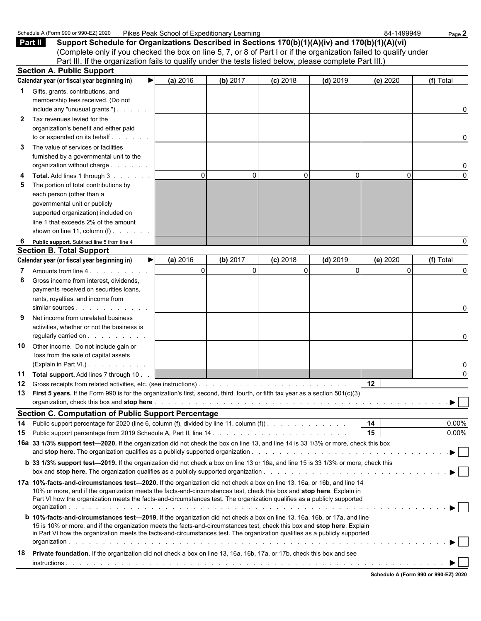|              | Schedule A (Form 990 or 990-EZ) 2020                                                                                                                                                                                                                       | Pikes Peak School of Expeditionary Learning |          |            |            | 84-1499949 | Page 2    |
|--------------|------------------------------------------------------------------------------------------------------------------------------------------------------------------------------------------------------------------------------------------------------------|---------------------------------------------|----------|------------|------------|------------|-----------|
|              | Part II<br>Support Schedule for Organizations Described in Sections 170(b)(1)(A)(iv) and 170(b)(1)(A)(vi)                                                                                                                                                  |                                             |          |            |            |            |           |
|              | (Complete only if you checked the box on line 5, 7, or 8 of Part I or if the organization failed to qualify under                                                                                                                                          |                                             |          |            |            |            |           |
|              | Part III. If the organization fails to qualify under the tests listed below, please complete Part III.)                                                                                                                                                    |                                             |          |            |            |            |           |
|              | <b>Section A. Public Support</b>                                                                                                                                                                                                                           |                                             |          |            |            |            |           |
|              | Calendar year (or fiscal year beginning in)<br>▶                                                                                                                                                                                                           | (a) 2016                                    | (b) 2017 | $(c)$ 2018 | $(d)$ 2019 | (e) 2020   | (f) Total |
| 1            | Gifts, grants, contributions, and                                                                                                                                                                                                                          |                                             |          |            |            |            |           |
|              | membership fees received. (Do not                                                                                                                                                                                                                          |                                             |          |            |            |            |           |
|              | include any "unusual grants.")                                                                                                                                                                                                                             |                                             |          |            |            |            | 0         |
| $\mathbf{2}$ | Tax revenues levied for the                                                                                                                                                                                                                                |                                             |          |            |            |            |           |
|              | organization's benefit and either paid                                                                                                                                                                                                                     |                                             |          |            |            |            |           |
|              | to or expended on its behalf                                                                                                                                                                                                                               |                                             |          |            |            |            |           |
|              |                                                                                                                                                                                                                                                            |                                             |          |            |            |            | 0         |
| 3            | The value of services or facilities                                                                                                                                                                                                                        |                                             |          |            |            |            |           |
|              | furnished by a governmental unit to the                                                                                                                                                                                                                    |                                             |          |            |            |            |           |
|              | organization without charge                                                                                                                                                                                                                                |                                             |          |            |            |            | 0         |
|              | Total. Add lines 1 through 3                                                                                                                                                                                                                               | $\Omega$                                    | $\Omega$ | $\Omega$   | 0          | $\Omega$   | $\Omega$  |
| 5            | The portion of total contributions by                                                                                                                                                                                                                      |                                             |          |            |            |            |           |
|              | each person (other than a                                                                                                                                                                                                                                  |                                             |          |            |            |            |           |
|              | governmental unit or publicly                                                                                                                                                                                                                              |                                             |          |            |            |            |           |
|              | supported organization) included on                                                                                                                                                                                                                        |                                             |          |            |            |            |           |
|              | line 1 that exceeds 2% of the amount                                                                                                                                                                                                                       |                                             |          |            |            |            |           |
|              | shown on line 11, column $(f)$ .                                                                                                                                                                                                                           |                                             |          |            |            |            |           |
| 6            | Public support. Subtract line 5 from line 4                                                                                                                                                                                                                |                                             |          |            |            |            | 0         |
|              | <b>Section B. Total Support</b>                                                                                                                                                                                                                            |                                             |          |            |            |            |           |
|              | Calendar year (or fiscal year beginning in)<br>▶                                                                                                                                                                                                           | (a) 2016                                    | (b) 2017 | $(c)$ 2018 | $(d)$ 2019 | (e) 2020   | (f) Total |
|              |                                                                                                                                                                                                                                                            | $\Omega$                                    | $\Omega$ | 0          | $\Omega$   | $\Omega$   | 0         |
| 8            | Gross income from interest, dividends,                                                                                                                                                                                                                     |                                             |          |            |            |            |           |
|              | payments received on securities loans,                                                                                                                                                                                                                     |                                             |          |            |            |            |           |
|              | rents, royalties, and income from                                                                                                                                                                                                                          |                                             |          |            |            |            |           |
|              | similar sources                                                                                                                                                                                                                                            |                                             |          |            |            |            | 0         |
|              | Net income from unrelated business                                                                                                                                                                                                                         |                                             |          |            |            |            |           |
|              | activities, whether or not the business is                                                                                                                                                                                                                 |                                             |          |            |            |            |           |
|              | regularly carried on                                                                                                                                                                                                                                       |                                             |          |            |            |            | 0         |
| 10           | Other income. Do not include gain or                                                                                                                                                                                                                       |                                             |          |            |            |            |           |
|              | loss from the sale of capital assets                                                                                                                                                                                                                       |                                             |          |            |            |            |           |
|              | (Explain in Part VI.)                                                                                                                                                                                                                                      |                                             |          |            |            |            | 0         |
|              | 11 Total support. Add lines 7 through 10.                                                                                                                                                                                                                  |                                             |          |            |            |            | $\Omega$  |
| 12           |                                                                                                                                                                                                                                                            |                                             |          |            |            | 12         |           |
| 13           | First 5 years. If the Form 990 is for the organization's first, second, third, fourth, or fifth tax year as a section 501(c)(3)                                                                                                                            |                                             |          |            |            |            |           |
|              |                                                                                                                                                                                                                                                            |                                             |          |            |            |            | ▶         |
|              | <b>Section C. Computation of Public Support Percentage</b>                                                                                                                                                                                                 |                                             |          |            |            |            |           |
| 14           | Public support percentage for 2020 (line 6, column (f), divided by line 11, column (f)).                                                                                                                                                                   |                                             |          |            |            | 14         | $0.00\%$  |
| 15           |                                                                                                                                                                                                                                                            |                                             |          |            |            | 15         | $0.00\%$  |
|              | 16a 33 1/3% support test-2020. If the organization did not check the box on line 13, and line 14 is 33 1/3% or more, check this box                                                                                                                        |                                             |          |            |            |            |           |
|              |                                                                                                                                                                                                                                                            |                                             |          |            |            |            |           |
|              |                                                                                                                                                                                                                                                            |                                             |          |            |            |            |           |
|              | <b>b</b> 33 1/3% support test-2019. If the organization did not check a box on line 13 or 16a, and line 15 is 33 1/3% or more, check this                                                                                                                  |                                             |          |            |            |            |           |
|              |                                                                                                                                                                                                                                                            |                                             |          |            |            |            |           |
|              | 17a 10%-facts-and-circumstances test—2020. If the organization did not check a box on line 13, 16a, or 16b, and line 14                                                                                                                                    |                                             |          |            |            |            |           |
|              | 10% or more, and if the organization meets the facts-and-circumstances test, check this box and stop here. Explain in                                                                                                                                      |                                             |          |            |            |            |           |
|              | Part VI how the organization meets the facts-and-circumstances test. The organization qualifies as a publicly supported                                                                                                                                    |                                             |          |            |            |            |           |
|              |                                                                                                                                                                                                                                                            |                                             |          |            |            |            |           |
|              | <b>b 10%-facts-and-circumstances test-2019.</b> If the organization did not check a box on line 13, 16a, 16b, or 17a, and line<br>15 is 10% or more, and if the organization meets the facts-and-circumstances test, check this box and stop here. Explain |                                             |          |            |            |            |           |
|              | in Part VI how the organization meets the facts-and-circumstances test. The organization qualifies as a publicly supported                                                                                                                                 |                                             |          |            |            |            |           |
|              |                                                                                                                                                                                                                                                            |                                             |          |            |            |            |           |
| 18           | Private foundation. If the organization did not check a box on line 13, 16a, 16b, 17a, or 17b, check this box and see                                                                                                                                      |                                             |          |            |            |            |           |
|              |                                                                                                                                                                                                                                                            |                                             |          |            |            |            |           |
|              |                                                                                                                                                                                                                                                            |                                             |          |            |            |            |           |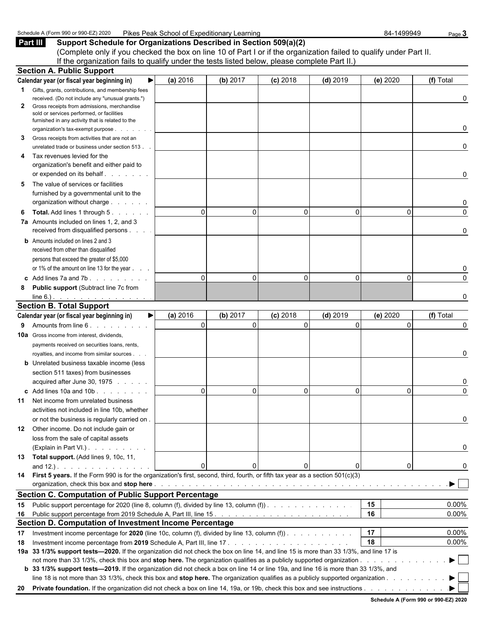| <b>Pikes</b><br>Schedule,<br>Z) 2020<br>… ∍ອ∪ or 9 <b>º</b> ^ <b>⊏</b> ີ<br>A (Form 99۲ | .<br>∟earning<br>School of<br>∵Expeditionarv L<br>Peak |  | -1499949<br>84 | $\circ$ age $\circ$ |
|-----------------------------------------------------------------------------------------|--------------------------------------------------------|--|----------------|---------------------|
|-----------------------------------------------------------------------------------------|--------------------------------------------------------|--|----------------|---------------------|

**Part III** Support Schedule for Organizations Described in Section 509(a)(2) (Complete only if you checked the box on line 10 of Part I or if the organization failed to qualify under Part II. If the organization fails to qualify under the tests listed below, please complete Part II.)

|              | <b>Section A. Public Support</b>                                                                                                       |          |                          |            |            |          |           |
|--------------|----------------------------------------------------------------------------------------------------------------------------------------|----------|--------------------------|------------|------------|----------|-----------|
|              | Calendar year (or fiscal year beginning in)                                                                                            | (a) 2016 | (b) 2017                 | $(c)$ 2018 | $(d)$ 2019 | (e) 2020 | (f) Total |
|              | <b>1</b> Gifts, grants, contributions, and membership fees                                                                             |          |                          |            |            |          |           |
|              | received. (Do not include any "unusual grants.")                                                                                       |          |                          |            |            |          | 0         |
| $\mathbf{2}$ | Gross receipts from admissions, merchandise                                                                                            |          |                          |            |            |          |           |
|              | sold or services performed, or facilities                                                                                              |          |                          |            |            |          |           |
|              | furnished in any activity that is related to the<br>organization's tax-exempt purpose                                                  |          |                          |            |            |          | 0         |
| 3            | Gross receipts from activities that are not an                                                                                         |          |                          |            |            |          |           |
|              | unrelated trade or business under section 513.                                                                                         |          |                          |            |            |          | 0         |
| 4            | Tax revenues levied for the                                                                                                            |          |                          |            |            |          |           |
|              | organization's benefit and either paid to                                                                                              |          |                          |            |            |          |           |
|              |                                                                                                                                        |          |                          |            |            |          | 0         |
| 5            | The value of services or facilities                                                                                                    |          |                          |            |            |          |           |
|              | furnished by a governmental unit to the                                                                                                |          |                          |            |            |          |           |
|              | organization without charge                                                                                                            |          |                          |            |            |          | 0         |
| 6            | <b>Total.</b> Add lines 1 through 5.                                                                                                   |          | $\Omega$<br>$\mathbf{0}$ | $\Omega$   | $\Omega$   | 0        | $\Omega$  |
|              | 7a Amounts included on lines 1, 2, and 3                                                                                               |          |                          |            |            |          |           |
|              | received from disqualified persons                                                                                                     |          |                          |            |            |          | 0         |
|              | <b>b</b> Amounts included on lines 2 and 3                                                                                             |          |                          |            |            |          |           |
|              | received from other than disqualified                                                                                                  |          |                          |            |            |          |           |
|              | persons that exceed the greater of \$5,000                                                                                             |          |                          |            |            |          |           |
|              | or 1% of the amount on line 13 for the year                                                                                            |          |                          |            |            |          | 0         |
|              | c Add lines $7a$ and $7b$ .                                                                                                            |          | $\Omega$<br>$\Omega$     | $\Omega$   | $\Omega$   | $\Omega$ | $\Omega$  |
| 8            | <b>Public support (Subtract line 7c from</b>                                                                                           |          |                          |            |            |          |           |
|              | $line 6.)$ .                                                                                                                           |          |                          |            |            |          | O         |
|              | <b>Section B. Total Support</b>                                                                                                        |          |                          |            |            |          |           |
|              | Calendar year (or fiscal year beginning in)<br>▶                                                                                       | (a) 2016 | (b) 2017                 | $(c)$ 2018 | $(d)$ 2019 | (e) 2020 | (f) Total |
|              | 9 Amounts from line 6.                                                                                                                 |          | $\Omega$<br>$\Omega$     | $\Omega$   | $\Omega$   | $\Omega$ | $\Omega$  |
|              | <b>10a</b> Gross income from interest, dividends,                                                                                      |          |                          |            |            |          |           |
|              | payments received on securities loans, rents,                                                                                          |          |                          |            |            |          |           |
|              | royalties, and income from similar sources.                                                                                            |          |                          |            |            |          | 0         |
|              | <b>b</b> Unrelated business taxable income (less                                                                                       |          |                          |            |            |          |           |
|              | section 511 taxes) from businesses                                                                                                     |          |                          |            |            |          |           |
|              | acquired after June 30, 1975                                                                                                           |          |                          |            |            |          | 0         |
|              | c Add lines 10a and 10b                                                                                                                |          | $\Omega$<br>$\Omega$     | $\Omega$   | $\Omega$   | $\Omega$ | $\Omega$  |
|              | <b>11</b> Net income from unrelated business                                                                                           |          |                          |            |            |          |           |
|              | activities not included in line 10b, whether                                                                                           |          |                          |            |            |          |           |
|              | or not the business is regularly carried on.                                                                                           |          |                          |            |            |          |           |
|              | 12 Other income. Do not include gain or                                                                                                |          |                          |            |            |          |           |
|              | loss from the sale of capital assets                                                                                                   |          |                          |            |            |          |           |
|              | (Explain in Part VI.)                                                                                                                  |          |                          |            |            |          | 0         |
|              | 13 Total support. (Add lines 9, 10c, 11,                                                                                               |          |                          |            |            |          |           |
|              |                                                                                                                                        |          | 0<br>$\mathbf{0}$        |            |            | 0        | O         |
|              | 14 First 5 years. If the Form 990 is for the organization's first, second, third, fourth, or fifth tax year as a section 501(c)(3)     |          |                          |            |            |          |           |
|              |                                                                                                                                        |          |                          |            |            |          | ▶ ।       |
|              | <b>Section C. Computation of Public Support Percentage</b>                                                                             |          |                          |            |            |          |           |
|              | 15 Public support percentage for 2020 (line 8, column (f), divided by line 13, column (f)).                                            |          |                          |            |            | 15       | $0.00\%$  |
|              |                                                                                                                                        |          |                          |            |            | 16       | 0.00%     |
|              | Section D. Computation of Investment Income Percentage                                                                                 |          |                          |            |            |          |           |
| 17           | Investment income percentage for 2020 (line 10c, column (f), divided by line 13, column (f)).                                          |          |                          |            |            | 17       | $0.00\%$  |
| 18           |                                                                                                                                        |          |                          |            |            | 18       | 0.00%     |
|              | 19a 33 1/3% support tests-2020. If the organization did not check the box on line 14, and line 15 is more than 33 1/3%, and line 17 is |          |                          |            |            |          |           |
|              |                                                                                                                                        |          |                          |            |            |          | ▶ ।       |
|              | b 33 1/3% support tests—2019. If the organization did not check a box on line 14 or line 19a, and line 16 is more than 33 1/3%, and    |          |                          |            |            |          |           |
|              | line 18 is not more than 33 1/3%, check this box and stop here. The organization qualifies as a publicly supported organization        |          |                          |            |            |          |           |
|              | 20 Private foundation. If the organization did not check a box on line 14, 19a, or 19b, check this box and see instructions            |          |                          |            |            |          |           |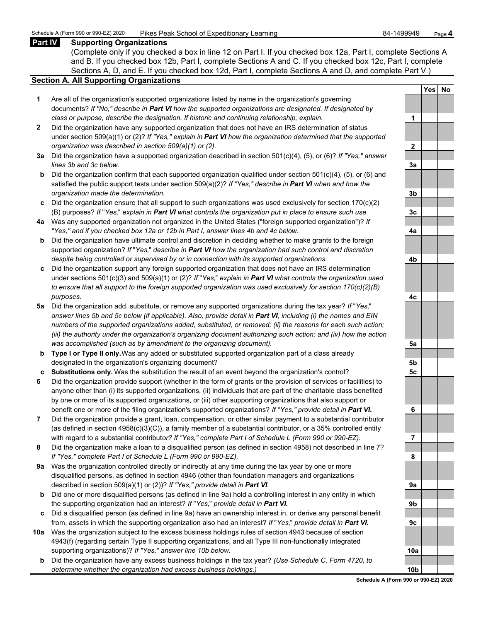#### **Part IV Supporting Organizations**

(Complete only if you checked a box in line 12 on Part I. If you checked box 12a, Part I, complete Sections A and B. If you checked box 12b, Part I, complete Sections A and C. If you checked box 12c, Part I, complete Sections A, D, and E. If you checked box 12d, Part I, complete Sections A and D, and complete Part V.)

#### **Section A. All Supporting Organizations**

- **1** Are all of the organization's supported organizations listed by name in the organization's governing documents? *If "No," describe in Part VI how the supported organizations are designated. If designated by class or purpose, describe the designation. If historic and continuing relationship, explain.* **1**
- **2** Did the organization have any supported organization that does not have an IRS determination of status under section 509(a)(1) or (2)? *If "Yes," explain in Part VI how the organization determined that the supported organization was described in section 509(a)(1) or (2).*
- **3a** Did the organization have a supported organization described in section 501(c)(4), (5), or (6)? *If "Yes," answer*  $lines$  3b and 3c below.
- **b** Did the organization confirm that each supported organization qualified under section 501(c)(4), (5), or (6) and satisfied the public support tests under section 509(a)(2)? *If "Yes," describe in Part VI when and how the organization made the determination.* **3b**
- **c** Did the organization ensure that all support to such organizations was used exclusively for section 170(c)(2) (B) purposes? *If* "*Yes,*" *explain in Part VI what controls the organization put in place to ensure such use.* **3c**
- **4a** Was any supported organization not organized in the United States ("foreign supported organization")? *If "Yes," and if you checked box 12a or 12b in Part I, answer lines 4b and 4c below.* **4a**
- **b** Did the organization have ultimate control and discretion in deciding whether to make grants to the foreign supported organization? *If* "*Yes,*" *describe in Part VI how the organization had such control and discretion despite being controlled or supervised by or in connection with its supported organizations.* **4b**
- **c** Did the organization support any foreign supported organization that does not have an IRS determination under sections 501(c)(3) and 509(a)(1) or (2)? *If* "*Yes,*" *explain in Part VI what controls the organization used to ensure that all support to the foreign supported organization was used exclusively for section 170(c)(2)(B) purposes.* **4c**
- **5a** Did the organization add, substitute, or remove any supported organizations during the tax year? *If* "*Yes,*" *answer lines 5b and 5c below (if applicable). Also, provide detail in Part VI, including (i) the names and EIN numbers of the supported organizations added, substituted, or removed; (ii) the reasons for each such action; (iii) the authority under the organization's organizing document authorizing such action; and (iv) how the action was accomplished (such as by amendment to the organizing document).* **5a**
- **b Type I or Type II only.** Was any added or substituted supported organization part of a class already designated in the organization's organizing document? **5b**
- **c Substitutions only.** Was the substitution the result of an event beyond the organization's control? **5c**
- **6** Did the organization provide support (whether in the form of grants or the provision of services or facilities) to anyone other than (i) its supported organizations, (ii) individuals that are part of the charitable class benefited by one or more of its supported organizations, or (iii) other supporting organizations that also support or benefit one or more of the filing organization's supported organizations? *If "Yes," provide detail in Part VI.* **6**
- **7** Did the organization provide a grant, loan, compensation, or other similar payment to a substantial contributor (as defined in section 4958(c)(3)(C)), a family member of a substantial contributor, or a 35% controlled entity with regard to a substantial contribut*or? If "Yes," complete Part I of Schedule L (Form 990 or 990-EZ).* **7**
- **8** Did the organization make a loan to a disqualified person (as defined in section 4958) not described in line 7? *If "Yes," complete Part I of Schedule L (Form 990 or 990-EZ).* **8**
- **9a** Was the organization controlled directly or indirectly at any time during the tax year by one or more disqualified persons, as defined in section 4946 (other than foundation managers and organizations described in section 509(a)(1) or (2))? If "Yes," provide detail in Part VI.
- **b** Did one or more disqualified persons (as defined in line 9a) hold a controlling interest in any entity in which the supporting organization had an interest? *If* "*Yes,*" *provide detail in Part VI.* **9b**
- **c** Did a disqualified person (as defined in line 9a) have an ownership interest in, or derive any personal benefit from, assets in which the supporting organization also had an interest? *If* "Yes," *provide detail in Part VI.*
- **10a** Was the organization subject to the excess business holdings rules of section 4943 because of section 4943(f) (regarding certain Type II supporting organizations, and all Type III non-functionally integrated supporting organizations)? If "Yes," answer line 10b below.
	- **b** Did the organization have any excess business holdings in the tax year? *(Use Schedule C, Form 4720, to determine whether the organization had excess business holdings.)*

|                 | Yes | No |
|-----------------|-----|----|
|                 |     |    |
| 1               |     |    |
|                 |     |    |
| $\overline{2}$  |     |    |
|                 |     |    |
| <u>3a</u>       |     |    |
|                 |     |    |
| <u>3b</u>       |     |    |
| <u>3c</u>       |     |    |
|                 |     |    |
| <u>4a</u>       |     |    |
|                 |     |    |
| 4b              |     |    |
|                 |     |    |
| 4c              |     |    |
|                 |     |    |
| <u>5a</u>       |     |    |
|                 |     |    |
| <u>5b</u>       |     |    |
| 5c              |     |    |
| 6               |     |    |
|                 |     |    |
| 7               |     |    |
|                 |     |    |
| 8               |     |    |
| 9а              |     |    |
|                 |     |    |
| 9b              |     |    |
|                 |     |    |
| 9c              |     |    |
|                 |     |    |
| 10a             |     |    |
|                 |     |    |
| 10 <sub>b</sub> |     |    |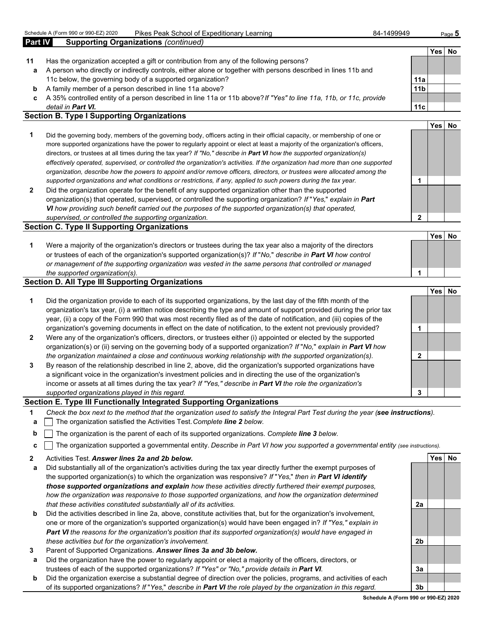| <b>Part IV</b> | <b>Supporting Organizations (continued)</b>                                                                        |                 |     |    |
|----------------|--------------------------------------------------------------------------------------------------------------------|-----------------|-----|----|
|                |                                                                                                                    |                 | Yes | NC |
| 11             | Has the organization accepted a gift or contribution from any of the following persons?                            |                 |     |    |
| а              | A person who directly or indirectly controls, either alone or together with persons described in lines 11b and     |                 |     |    |
|                | 11c below, the governing body of a supported organization?                                                         | 11a             |     |    |
| b              | A family member of a person described in line 11a above?                                                           | 11 <sub>b</sub> |     |    |
| c.             | A 35% controlled entity of a person described in line 11a or 11b above? If "Yes" to line 11a, 11b, or 11c, provide |                 |     |    |
|                | detail in Part VI.                                                                                                 | 11c             |     |    |

#### **Section B. Type I Supporting Organizations**

- **1** Did the governing body, members of the governing body, officers acting in their official capacity, or membership of one or more supported organizations have the power to regularly appoint or elect at least a majority of the organization's officers, directors, or trustees at all times during the tax year? *If "No," describe in Part VI how the supported organization(s) effectively operated, supervised, or controlled the organization's activities. If the organization had more than one supported organization, describe how the powers to appoint and/or remove officers, directors, or trustees were allocated among the supported organizations and what conditions or restrictions, if any, applied to such powers during the tax year.* **1**
- **2** Did the organization operate for the benefit of any supported organization other than the supported organization(s) that operated, supervised, or controlled the supporting organization? *If* "*Yes,*" *explain in Part VI how providing such benefit carried out the purposes of the supported organization(s) that operated, supervised, or controlled the supporting organization.* **2**

#### **Section C. Type II Supporting Organizations**

| Were a majority of the organization's directors or trustees during the tax year also a majority of the directors     |  |
|----------------------------------------------------------------------------------------------------------------------|--|
| or trustees of each of the organization's supported organization(s)? If "No," describe in <b>Part VI</b> how control |  |
| or management of the supporting organization was vested in the same persons that controlled or managed               |  |
| the supported organization(s).                                                                                       |  |

#### **Section D. All Type III Supporting Organizations**

|                |                                                                                                                                                                                                                                                                                                                                                                   |   | Yes. | No |
|----------------|-------------------------------------------------------------------------------------------------------------------------------------------------------------------------------------------------------------------------------------------------------------------------------------------------------------------------------------------------------------------|---|------|----|
| 1              | Did the organization provide to each of its supported organizations, by the last day of the fifth month of the<br>organization's tax year, (i) a written notice describing the type and amount of support provided during the prior tax<br>year, (ii) a copy of the Form 990 that was most recently filed as of the date of notification, and (iii) copies of the |   |      |    |
|                | organization's governing documents in effect on the date of notification, to the extent not previously provided?                                                                                                                                                                                                                                                  |   |      |    |
| $\overline{2}$ | Were any of the organization's officers, directors, or trustees either (i) appointed or elected by the supported<br>organization(s) or (ii) serving on the governing body of a supported organization? If "No," explain in Part VI how                                                                                                                            |   |      |    |
|                | the organization maintained a close and continuous working relationship with the supported organization(s).                                                                                                                                                                                                                                                       |   |      |    |
| $\mathbf{3}$   | By reason of the relationship described in line 2, above, did the organization's supported organizations have<br>a significant voice in the organization's investment policies and in directing the use of the organization's<br>income or assets at all times during the tax year? If "Yes," describe in Part VI the role the organization's                     |   |      |    |
|                | supported organizations played in this regard.                                                                                                                                                                                                                                                                                                                    | 3 |      |    |

#### **Section E. Type III Functionally Integrated Supporting Organizations**

- **1** *Check the box next to the method that the organization used to satisfy the Integral Part Test during the year (see instructions).*
- **a** The organization satisfied the Activities Test. *Complete line 2 below.*
- **b** The organization is the parent of each of its supported organizations. *Complete line 3 below.*
- **c** The organization supported a governmental entity. *Describe in Part VI how you supported a governmental entity (see instructions).*
- **2** Activities Test. *Answer lines 2a and 2b below.* **Yes No**
- **a** Did substantially all of the organization's activities during the tax year directly further the exempt purposes of the supported organization(s) to which the organization was responsive? *If* "*Yes,*" *then in Part VI identify those supported organizations and explain how these activities directly furthered their exempt purposes, how the organization was responsive to those supported organizations, and how the organization determined that these activities constituted substantially all of its activities.* **2a**
- **b** Did the activities described in line 2a, above, constitute activities that, but for the organization's involvement, one or more of the organization's supported organization(s) would have been engaged in? *If "Yes," explain in Part VI the reasons for the organization's position that its supported organization(s) would have engaged in these activities but for the organization's involvement.* **2b**
- **3** Parent of Supported Organizations. *Answer lines 3a and 3b below.*
- **a** Did the organization have the power to regularly appoint or elect a majority of the officers, directors, or trustees of each of the supported organizations? *If "Yes" or "No," provide details in Part VI.* **3a**
- **b** Did the organization exercise a substantial degree of direction over the policies, programs, and activities of each of its supported organizations? *If* "*Yes,*" *describe in Part VI the role played by the organization in this regard.* **3b**

**Yes No**

**Yes No**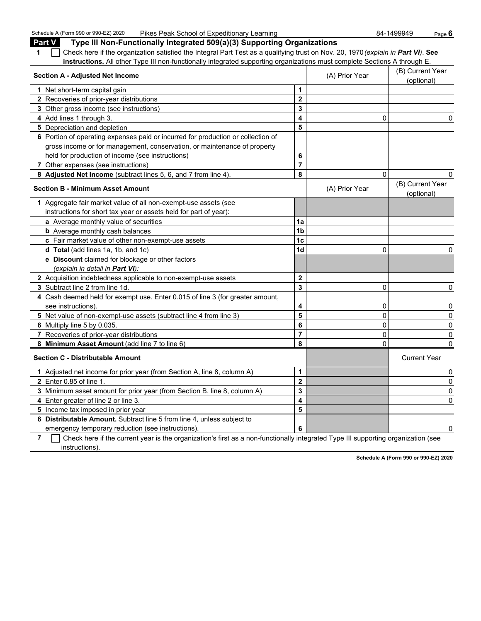Schedule A (Form 990 or 990-EZ) 2020 Pikes Peak School of Expeditionary Learning 84-1499949 Page 6

| <b>Part V</b><br>Type III Non-Functionally Integrated 509(a)(3) Supporting Organizations                                              |                         |                                         |                                                         |
|---------------------------------------------------------------------------------------------------------------------------------------|-------------------------|-----------------------------------------|---------------------------------------------------------|
| Check here if the organization satisfied the Integral Part Test as a qualifying trust on Nov. 20, 1970 (explain in Part VI). See<br>1 |                         |                                         |                                                         |
| instructions. All other Type III non-functionally integrated supporting organizations must complete Sections A through E.             |                         |                                         |                                                         |
| <b>Section A - Adjusted Net Income</b>                                                                                                |                         | (A) Prior Year                          | (B) Current Year<br>(optional)                          |
| 1 Net short-term capital gain                                                                                                         | 1                       |                                         |                                                         |
| 2 Recoveries of prior-year distributions                                                                                              | $\overline{2}$          |                                         |                                                         |
| 3 Other gross income (see instructions)                                                                                               | 3                       |                                         |                                                         |
| 4 Add lines 1 through 3.                                                                                                              | 4                       | $\Omega$                                | 0                                                       |
| 5 Depreciation and depletion                                                                                                          | 5                       |                                         |                                                         |
| 6 Portion of operating expenses paid or incurred for production or collection of                                                      |                         |                                         |                                                         |
| gross income or for management, conservation, or maintenance of property                                                              |                         |                                         |                                                         |
| held for production of income (see instructions)                                                                                      | 6                       |                                         |                                                         |
| <b>7</b> Other expenses (see instructions)                                                                                            | $\overline{7}$          |                                         |                                                         |
| 8 Adjusted Net Income (subtract lines 5, 6, and 7 from line 4).                                                                       | 8                       | $\mathbf{0}$                            | 0                                                       |
| <b>Section B - Minimum Asset Amount</b>                                                                                               |                         | (A) Prior Year                          | (B) Current Year<br>(optional)                          |
| 1 Aggregate fair market value of all non-exempt-use assets (see                                                                       |                         |                                         |                                                         |
| instructions for short tax year or assets held for part of year):                                                                     |                         |                                         |                                                         |
| a Average monthly value of securities                                                                                                 | 1a                      |                                         |                                                         |
| <b>b</b> Average monthly cash balances                                                                                                | 1b                      |                                         |                                                         |
| c Fair market value of other non-exempt-use assets                                                                                    | 1 <sub>c</sub>          |                                         |                                                         |
| <b>d Total</b> (add lines 1a, 1b, and 1c)                                                                                             | 1d                      | 0                                       | 0                                                       |
| e Discount claimed for blockage or other factors                                                                                      |                         |                                         |                                                         |
| (explain in detail in <b>Part VI</b> ):                                                                                               |                         |                                         |                                                         |
| 2 Acquisition indebtedness applicable to non-exempt-use assets                                                                        | $\overline{\mathbf{2}}$ |                                         |                                                         |
| 3 Subtract line 2 from line 1d.                                                                                                       | 3                       | 0                                       | $\Omega$                                                |
| 4 Cash deemed held for exempt use. Enter 0.015 of line 3 (for greater amount,                                                         |                         |                                         |                                                         |
| see instructions)                                                                                                                     | 4                       | 0                                       | 0                                                       |
| 5 Net value of non-exempt-use assets (subtract line 4 from line 3)                                                                    | 5                       | $\mathbf 0$                             | 0                                                       |
| 6 Multiply line 5 by 0.035.                                                                                                           | 6                       | 0                                       | 0                                                       |
| 7 Recoveries of prior-year distributions                                                                                              | $\overline{7}$          | 0                                       | $\mathbf{0}$                                            |
| 8 Minimum Asset Amount (add line 7 to line 6)                                                                                         | 8                       | 0                                       | $\mathbf{0}$                                            |
| <b>Section C - Distributable Amount</b>                                                                                               |                         |                                         | <b>Current Year</b>                                     |
| 1 Adjusted net income for prior year (from Section A, line 8, column A)                                                               | 1                       |                                         | 0                                                       |
| 2 Enter 0.85 of line 1                                                                                                                | $\overline{\mathbf{2}}$ |                                         | 0                                                       |
| 3 Minimum asset amount for prior year (from Section B, line 8, column A)                                                              | 3                       |                                         | 0                                                       |
| 4 Enter greater of line 2 or line 3.                                                                                                  | 4                       |                                         | 0                                                       |
| 5 Income tax imposed in prior year                                                                                                    | 5                       |                                         |                                                         |
| 6 Distributable Amount. Subtract line 5 from line 4, unless subject to                                                                |                         |                                         |                                                         |
| emergency temporary reduction (see instructions).                                                                                     | 6                       |                                         | 0                                                       |
| $\Box$ Objects have if the comment coasing the compositor timely find as a mone functionally inter-<br>⇁                              |                         | لمستحيط المستحدث والمستنقصة<br>للمراقبة | $\sim$ $\sim$ $\sim$ $\sim$ $\sim$ $\sim$ $\sim$ $\sim$ |

**7** Check here if the current year is the organization's first as a non-functionally integrated Type III supporting organization (see instructions).

**Schedule A (Form 990 or 990-EZ) 2020**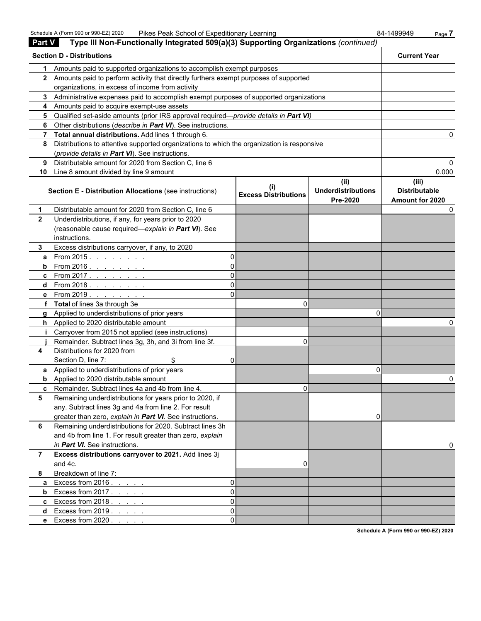Schedule A (Form 990 or 990-EZ) 2020 Pikes Peak School of Expeditionary Learning 84-1499949 Page 7

| <b>Part V</b>  | Type III Non-Functionally Integrated 509(a)(3) Supporting Organizations (continued)        |   |                                    |                                               |                                                  |
|----------------|--------------------------------------------------------------------------------------------|---|------------------------------------|-----------------------------------------------|--------------------------------------------------|
|                | <b>Section D - Distributions</b>                                                           |   |                                    |                                               | <b>Current Year</b>                              |
| 1.             | Amounts paid to supported organizations to accomplish exempt purposes                      |   |                                    |                                               |                                                  |
|                | 2 Amounts paid to perform activity that directly furthers exempt purposes of supported     |   |                                    |                                               |                                                  |
|                | organizations, in excess of income from activity                                           |   |                                    |                                               |                                                  |
|                | 3 Administrative expenses paid to accomplish exempt purposes of supported organizations    |   |                                    |                                               |                                                  |
|                | 4 Amounts paid to acquire exempt-use assets                                                |   |                                    |                                               |                                                  |
|                | 5 Qualified set-aside amounts (prior IRS approval required—provide details in Part VI)     |   |                                    |                                               |                                                  |
|                | 6 Other distributions (describe in Part VI). See instructions.                             |   |                                    |                                               |                                                  |
|                | 7 Total annual distributions. Add lines 1 through 6.                                       |   |                                    |                                               |                                                  |
| 8              | Distributions to attentive supported organizations to which the organization is responsive |   |                                    |                                               |                                                  |
|                | (provide details in Part VI). See instructions.                                            |   |                                    |                                               |                                                  |
| 9              | Distributable amount for 2020 from Section C, line 6                                       |   |                                    |                                               |                                                  |
|                | 10 Line 8 amount divided by line 9 amount                                                  |   |                                    |                                               | 0.000                                            |
|                | <b>Section E - Distribution Allocations (see instructions)</b>                             |   | (1)<br><b>Excess Distributions</b> | (ii)<br><b>Underdistributions</b><br>Pre-2020 | (iii)<br><b>Distributable</b><br>Amount for 2020 |
| 1              | Distributable amount for 2020 from Section C, line 6                                       |   |                                    |                                               |                                                  |
| $\mathbf{2}$   | Underdistributions, if any, for years prior to 2020                                        |   |                                    |                                               |                                                  |
|                | (reasonable cause required-explain in Part VI). See                                        |   |                                    |                                               |                                                  |
|                | instructions.                                                                              |   |                                    |                                               |                                                  |
| 3.             | Excess distributions carryover, if any, to 2020                                            |   |                                    |                                               |                                                  |
| a              | From 2015. $\ldots$                                                                        |   |                                    |                                               |                                                  |
| b              | From 2016 <u>.</u>                                                                         |   |                                    |                                               |                                                  |
|                | <b>c</b> From 2017.                                                                        |   |                                    |                                               |                                                  |
|                | d From 2018.                                                                               |   |                                    |                                               |                                                  |
|                | e From 2019.                                                                               |   |                                    |                                               |                                                  |
|                | f Total of lines 3a through 3e                                                             |   | 0                                  |                                               |                                                  |
|                | g Applied to underdistributions of prior years                                             |   |                                    |                                               |                                                  |
|                | h Applied to 2020 distributable amount                                                     |   |                                    |                                               |                                                  |
|                | Carryover from 2015 not applied (see instructions)                                         |   |                                    |                                               |                                                  |
|                | Remainder. Subtract lines 3g, 3h, and 3i from line 3f.                                     |   | 0                                  |                                               |                                                  |
| 4              | Distributions for 2020 from                                                                |   |                                    |                                               |                                                  |
|                | Section D, line 7:<br>\$                                                                   |   |                                    |                                               |                                                  |
|                | <b>a</b> Applied to underdistributions of prior years                                      |   |                                    | 0                                             |                                                  |
|                | <b>b</b> Applied to 2020 distributable amount                                              |   |                                    |                                               |                                                  |
|                | <b>c</b> Remainder. Subtract lines 4a and 4b from line 4.                                  |   | 0                                  |                                               |                                                  |
| 5              | Remaining underdistributions for years prior to 2020, if                                   |   |                                    |                                               |                                                  |
|                | any. Subtract lines 3g and 4a from line 2. For result                                      |   |                                    |                                               |                                                  |
|                | greater than zero, explain in Part VI. See instructions.                                   |   |                                    | 0                                             |                                                  |
| 6              | Remaining underdistributions for 2020. Subtract lines 3h                                   |   |                                    |                                               |                                                  |
|                | and 4b from line 1. For result greater than zero, explain                                  |   |                                    |                                               |                                                  |
|                | in Part VI. See instructions.                                                              |   |                                    |                                               |                                                  |
| $\overline{7}$ | Excess distributions carryover to 2021. Add lines 3j                                       |   |                                    |                                               |                                                  |
|                | and 4c.                                                                                    |   | 0                                  |                                               |                                                  |
| 8              | Breakdown of line 7:                                                                       |   |                                    |                                               |                                                  |
| a              | Excess from $2016.$                                                                        |   |                                    |                                               |                                                  |
| b              | Excess from $2017$ .                                                                       | 0 |                                    |                                               |                                                  |
|                | <b>c</b> Excess from $2018.7.7.7$                                                          | 0 |                                    |                                               |                                                  |
|                | <b>d</b> Excess from $2019.$                                                               | 0 |                                    |                                               |                                                  |
|                | e Excess from 2020                                                                         |   |                                    |                                               |                                                  |

**Schedule A (Form 990 or 990-EZ) 2020**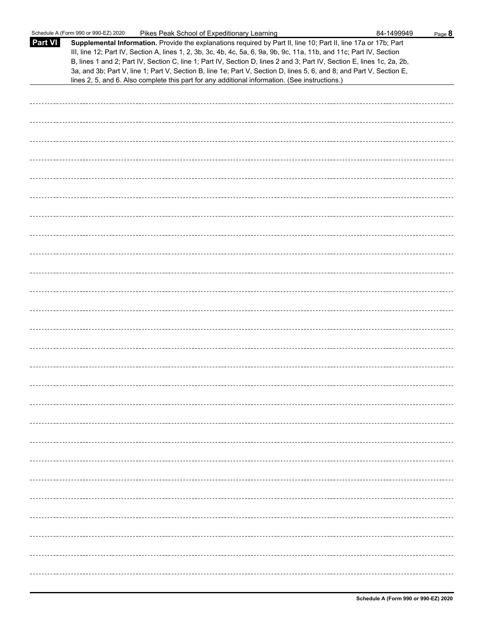|                | Schedule A (Form 990 or 990-EZ) 2020<br>Pikes Peak School of Expeditionary Learning                                                                                                                                                                                                                                                                                                                                                                                                                                                                                                         | 84-1499949 | Page 8 |
|----------------|---------------------------------------------------------------------------------------------------------------------------------------------------------------------------------------------------------------------------------------------------------------------------------------------------------------------------------------------------------------------------------------------------------------------------------------------------------------------------------------------------------------------------------------------------------------------------------------------|------------|--------|
| <b>Part VI</b> | Supplemental Information. Provide the explanations required by Part II, line 10; Part II, line 17a or 17b; Part<br>III, line 12; Part IV, Section A, lines 1, 2, 3b, 3c, 4b, 4c, 5a, 6, 9a, 9b, 9c, 11a, 11b, and 11c; Part IV, Section<br>B, lines 1 and 2; Part IV, Section C, line 1; Part IV, Section D, lines 2 and 3; Part IV, Section E, lines 1c, 2a, 2b,<br>3a, and 3b; Part V, line 1; Part V, Section B, line 1e; Part V, Section D, lines 5, 6, and 8; and Part V, Section E,<br>lines 2, 5, and 6. Also complete this part for any additional information. (See instructions.) |            |        |
|                |                                                                                                                                                                                                                                                                                                                                                                                                                                                                                                                                                                                             |            |        |
|                |                                                                                                                                                                                                                                                                                                                                                                                                                                                                                                                                                                                             |            |        |
|                |                                                                                                                                                                                                                                                                                                                                                                                                                                                                                                                                                                                             |            |        |
|                |                                                                                                                                                                                                                                                                                                                                                                                                                                                                                                                                                                                             |            |        |
|                |                                                                                                                                                                                                                                                                                                                                                                                                                                                                                                                                                                                             |            |        |
|                |                                                                                                                                                                                                                                                                                                                                                                                                                                                                                                                                                                                             |            |        |
|                |                                                                                                                                                                                                                                                                                                                                                                                                                                                                                                                                                                                             |            |        |
|                |                                                                                                                                                                                                                                                                                                                                                                                                                                                                                                                                                                                             |            |        |
|                |                                                                                                                                                                                                                                                                                                                                                                                                                                                                                                                                                                                             |            |        |
|                |                                                                                                                                                                                                                                                                                                                                                                                                                                                                                                                                                                                             |            |        |
|                |                                                                                                                                                                                                                                                                                                                                                                                                                                                                                                                                                                                             |            |        |
|                |                                                                                                                                                                                                                                                                                                                                                                                                                                                                                                                                                                                             |            |        |
|                |                                                                                                                                                                                                                                                                                                                                                                                                                                                                                                                                                                                             |            |        |
|                |                                                                                                                                                                                                                                                                                                                                                                                                                                                                                                                                                                                             |            |        |
|                |                                                                                                                                                                                                                                                                                                                                                                                                                                                                                                                                                                                             |            |        |
|                |                                                                                                                                                                                                                                                                                                                                                                                                                                                                                                                                                                                             |            |        |
|                |                                                                                                                                                                                                                                                                                                                                                                                                                                                                                                                                                                                             |            |        |
|                |                                                                                                                                                                                                                                                                                                                                                                                                                                                                                                                                                                                             |            |        |
|                |                                                                                                                                                                                                                                                                                                                                                                                                                                                                                                                                                                                             |            |        |
|                |                                                                                                                                                                                                                                                                                                                                                                                                                                                                                                                                                                                             |            |        |
|                |                                                                                                                                                                                                                                                                                                                                                                                                                                                                                                                                                                                             |            |        |
|                |                                                                                                                                                                                                                                                                                                                                                                                                                                                                                                                                                                                             |            |        |
|                |                                                                                                                                                                                                                                                                                                                                                                                                                                                                                                                                                                                             |            |        |
|                |                                                                                                                                                                                                                                                                                                                                                                                                                                                                                                                                                                                             |            |        |
|                |                                                                                                                                                                                                                                                                                                                                                                                                                                                                                                                                                                                             |            |        |
|                |                                                                                                                                                                                                                                                                                                                                                                                                                                                                                                                                                                                             |            |        |
|                |                                                                                                                                                                                                                                                                                                                                                                                                                                                                                                                                                                                             |            |        |
|                |                                                                                                                                                                                                                                                                                                                                                                                                                                                                                                                                                                                             |            |        |
|                |                                                                                                                                                                                                                                                                                                                                                                                                                                                                                                                                                                                             |            |        |
|                |                                                                                                                                                                                                                                                                                                                                                                                                                                                                                                                                                                                             |            |        |
|                |                                                                                                                                                                                                                                                                                                                                                                                                                                                                                                                                                                                             |            |        |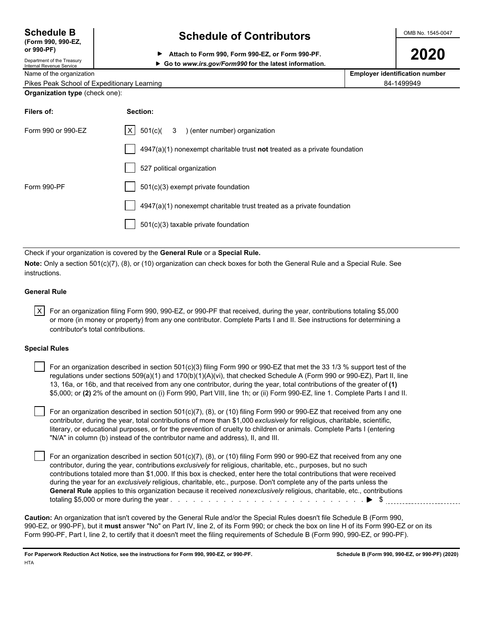| <b>Schedule B</b>  |  |
|--------------------|--|
| (Form 990, 990-EZ, |  |

Department of the Treasury

## **Schedule of Contributors**  $\frac{\text{OMB No. 1545-0047}}{}$

**2020 PP** Attach to Form 990, Form 990-EZ, or Form 990-PF.<br>Department of the Treasury

### Internal Revenue Service **Go to** *www.irs.gov/Form990* **for the latest information.**

| Name of the organization                    | <b>Employer identification number</b> |
|---------------------------------------------|---------------------------------------|
| Pikes Peak School of Expeditionary Learning | 84-1499949                            |
| <b>Organization type</b> (check one):       |                                       |

| Filers of:         | Section:                                                                  |
|--------------------|---------------------------------------------------------------------------|
| Form 990 or 990-EZ | $ X $ 501(c)( 3 ) (enter number) organization                             |
|                    | 4947(a)(1) nonexempt charitable trust not treated as a private foundation |
|                    | 527 political organization                                                |
| Form 990-PF        | 501(c)(3) exempt private foundation                                       |
|                    | 4947(a)(1) nonexempt charitable trust treated as a private foundation     |
|                    | 501(c)(3) taxable private foundation                                      |
|                    |                                                                           |

Check if your organization is covered by the **General Rule** or a **Special Rule.**

**Note:** Only a section 501(c)(7), (8), or (10) organization can check boxes for both the General Rule and a Special Rule. See instructions.

#### **General Rule**

 $|X|$  For an organization filing Form 990, 990-EZ, or 990-PF that received, during the year, contributions totaling \$5,000 or more (in money or property) from any one contributor. Complete Parts I and II. See instructions for determining a contributor's total contributions.

#### **Special Rules**

 For an organization described in section 501(c)(3) filing Form 990 or 990-EZ that met the 33 1/3 % support test of the regulations under sections 509(a)(1) and 170(b)(1)(A)(vi), that checked Schedule A (Form 990 or 990-EZ), Part II, line 13, 16a, or 16b, and that received from any one contributor, during the year, total contributions of the greater of **(1)** \$5,000; or **(2)** 2% of the amount on (i) Form 990, Part VIII, line 1h; or (ii) Form 990-EZ, line 1. Complete Parts I and II.

 For an organization described in section 501(c)(7), (8), or (10) filing Form 990 or 990-EZ that received from any one contributor, during the year, total contributions of more than \$1,000 *exclusively* for religious, charitable, scientific, literary, or educational purposes, or for the prevention of cruelty to children or animals. Complete Parts I (entering "N/A" in column (b) instead of the contributor name and address), II, and III.

 For an organization described in section 501(c)(7), (8), or (10) filing Form 990 or 990-EZ that received from any one contributor, during the year, contributions *exclusively* for religious, charitable, etc., purposes, but no such contributions totaled more than \$1,000. If this box is checked, enter here the total contributions that were received during the year for an *exclusively* religious, charitable, etc., purpose. Don't complete any of the parts unless the **General Rule** applies to this organization because it received *nonexclusively* religious, charitable, etc., contributions totaling \$5,000 or more during the year . . . . . . . . . . . . . . . . . . . . . . . . . . . . . . . . . . . . . . . . . . . . . . . . . . . \$

**Caution:** An organization that isn't covered by the General Rule and/or the Special Rules doesn't file Schedule B (Form 990, 990-EZ, or 990-PF), but it **must** answer "No" on Part IV, line 2, of its Form 990; or check the box on line H of its Form 990-EZ or on its Form 990-PF, Part I, line 2, to certify that it doesn't meet the filing requirements of Schedule B (Form 990, 990-EZ, or 990-PF).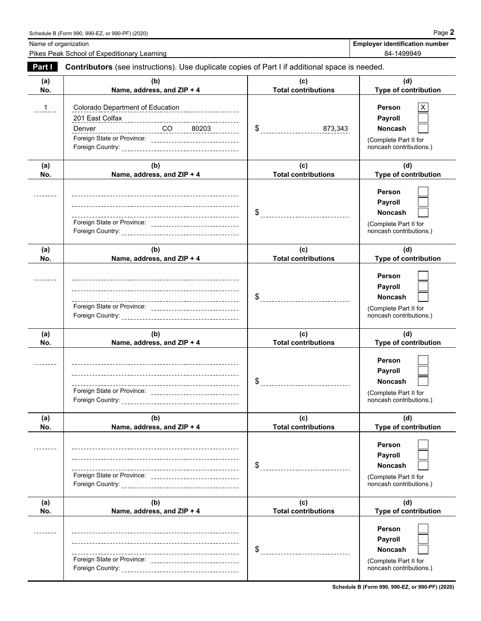Name of organization **Employer identification number Employer identification number** 

Pikes Peak School of Expeditionary Learning **Expeditionary Learning** 84-1499949

| Part I       | Contributors (see instructions). Use duplicate copies of Part I if additional space is needed.                                      |                                       |                                                                                                |
|--------------|-------------------------------------------------------------------------------------------------------------------------------------|---------------------------------------|------------------------------------------------------------------------------------------------|
| (a)<br>No.   | (b)<br>Name, address, and ZIP + 4                                                                                                   | (c)<br><b>Total contributions</b>     | (d)<br>Type of contribution                                                                    |
| $\mathbf{1}$ | Colorado Department of Education<br>_____________________<br>Denver<br>Foreign State or Province: _________________________________ | \$873,343                             | Person<br>Payroll<br><b>Noncash</b><br>(Complete Part II for<br>noncash contributions.)        |
| (a)<br>No.   | (b)<br>Name, address, and ZIP + 4                                                                                                   | (c)<br><b>Total contributions</b>     | (d)<br>Type of contribution                                                                    |
|              | --.<br>Foreign State or Province: _______________________________                                                                   | $\$\quad$                             | Person<br><b>Payroll</b><br><b>Noncash</b><br>(Complete Part II for<br>noncash contributions.) |
| (a)<br>No.   | (b)<br>Name, address, and ZIP + 4                                                                                                   | (c)<br><b>Total contributions</b>     | (d)<br><b>Type of contribution</b>                                                             |
|              | Foreign State or Province: ________________________________                                                                         | $\$\quad$                             | Person<br><b>Payroll</b><br>Noncash<br>(Complete Part II for<br>noncash contributions.)        |
| (a)<br>No.   | (b)<br>Name, address, and ZIP + 4                                                                                                   | (c)<br><b>Total contributions</b>     | (d)<br>Type of contribution                                                                    |
|              | Foreign State or Province: ________________________________                                                                         |                                       | Person<br>Payroll<br>Noncash<br>(Complete Part II for<br>noncash contributions.)               |
| (a)<br>No.   | (b)<br>Name, address, and ZIP + 4                                                                                                   | (c)<br><b>Total contributions</b>     | (d)<br>Type of contribution                                                                    |
|              |                                                                                                                                     |                                       | Person<br>Payroll<br><b>Noncash</b><br>(Complete Part II for<br>noncash contributions.)        |
| (a)<br>No.   | (b)<br>Name, address, and ZIP + 4                                                                                                   | (c)<br><b>Total contributions</b>     | (d)<br>Type of contribution                                                                    |
|              |                                                                                                                                     | \$<br>_______________________________ | Person<br>Payroll<br>Noncash<br>(Complete Part II for<br>noncash contributions.)               |

**Schedule B (Form 990, 990-EZ, or 990-PF) (2020)**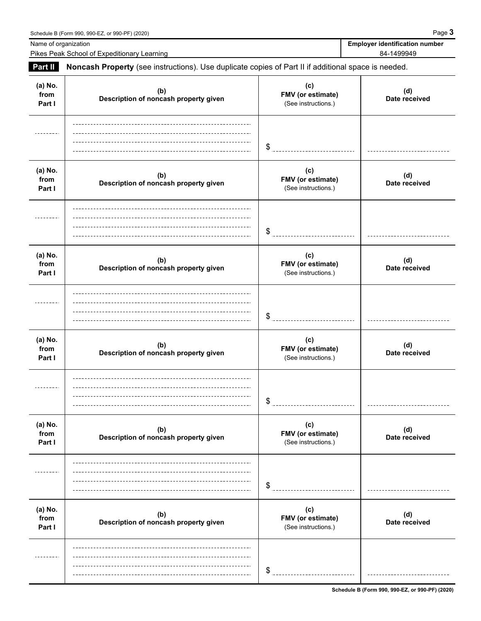**(a) No.**

**(a) No.**

**(a) No.**

---------

**(a) No.**

**(a) No.**

 $- - - - - - -$ 

**(a) No.**

Schedule B (Form 990, 990-EZ, or 990-PF) (2020) Page **3** Name of organization **Employer identification Employer identification number** Pikes Peak School of Expeditionary Learning 84-1499949 and the state of the state of the state 84-1499949 **Part II Noncash Property** (see instructions). Use duplicate copies of Part II if additional space is needed. **(c)** (d)<br>Date received **(b) Description of noncash property given Date received from FMV (or estimate) Part I** (See instructions.) \$ **(c) (b) (d) Description of noncash property given Date received from FMV (or estimate) Part I Part I Part I Part I Part I Part I Part I Part I Part I Part I Part I Part I Part I Part I Part I Part I Part I Part I Part I Part I Part I Part I Part I Part I Part** \$ \_\_\_\_\_\_\_\_\_\_\_\_\_\_\_\_\_\_\_\_\_\_\_\_\_\_\_\_\_ **(c) (b) (d) Description of noncash property given Date received from FMV (or estimate) Part I** Description of honorastriproperty given **I** (See instructions.) \$ **(c) (b) (d) Description of noncash property given Date received from FMV (or estimate) Part I Part I Part I Part I Part I Part I Part I Part I Part I Part I Part I Part I Part I Part I Part I Part I Part I Part I Part I Part I Part I Part I Part I Part I Part** \$ \_\_\_\_\_\_\_\_\_\_\_\_\_\_\_\_\_\_\_\_ **(c) (b)** (d)<br>Date received **Description of noncash property given Date received from FMV (or estimate) Part I Part I Part I Part I Part I Part I Part I Part I Part I Part I Part I Part I Part I Part I Part I Part I Part I Part I Part I Part I Part I Part I Part I Part I Part** \$ ------------------------------**(c) (b)** (d)<br>Date received **Description of noncash property given Date received from FMV (or estimate) Part I** Description of holidast property given **I** (See instructions.)

**Schedule B (Form 990, 990-EZ, or 990-PF) (2020)**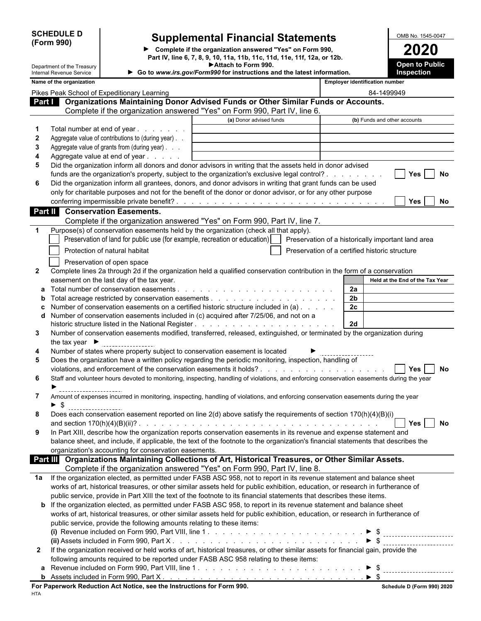| <b>SCHEDULE D</b> |  |
|-------------------|--|
| (Form 990)        |  |

 $\overline{\phantom{a}}$ 

# **Supplemental Financial Statements**<br> **Complete if the organization answered "Yes" on Form 990,**<br> **Complete if the organization answered "Yes" on Form 990,**

▶ Complete if the organization answered "Yes" on Form 990,<br>Part IV, line 6, 7, 8, 9, 10, 11a, 11b, 11c, 11d, 11e, 11f, 12a, or 12b. **Attach to Form 990.**

|              | Department of the Treasury<br>Internal Revenue Service |                                                                        | Attach to Form 990.<br>Go to www.irs.gov/Form990 for instructions and the latest information.                                                                      |                                                | <b>Open to Public</b><br>Inspection |
|--------------|--------------------------------------------------------|------------------------------------------------------------------------|--------------------------------------------------------------------------------------------------------------------------------------------------------------------|------------------------------------------------|-------------------------------------|
|              | Name of the organization                               |                                                                        |                                                                                                                                                                    | <b>Employer identification number</b>          |                                     |
|              |                                                        | Pikes Peak School of Expeditionary Learning                            |                                                                                                                                                                    |                                                | 84-1499949                          |
|              |                                                        |                                                                        | Part   Organizations Maintaining Donor Advised Funds or Other Similar Funds or Accounts.                                                                           |                                                |                                     |
|              |                                                        |                                                                        | Complete if the organization answered "Yes" on Form 990, Part IV, line 6.                                                                                          |                                                |                                     |
|              |                                                        |                                                                        | (a) Donor advised funds                                                                                                                                            |                                                | (b) Funds and other accounts        |
|              |                                                        | Total number at end of year                                            |                                                                                                                                                                    |                                                |                                     |
| $\mathbf{2}$ |                                                        | Aggregate value of contributions to (during year).                     |                                                                                                                                                                    |                                                |                                     |
| 3            |                                                        | Aggregate value of grants from (during year)                           |                                                                                                                                                                    |                                                |                                     |
| 4            |                                                        | Aggregate value at end of year                                         |                                                                                                                                                                    |                                                |                                     |
| 5            |                                                        |                                                                        | Did the organization inform all donors and donor advisors in writing that the assets held in donor advised                                                         |                                                |                                     |
|              |                                                        |                                                                        | funds are the organization's property, subject to the organization's exclusive legal control?                                                                      |                                                | <b>Yes</b><br>No                    |
| 6            |                                                        |                                                                        | Did the organization inform all grantees, donors, and donor advisors in writing that grant funds can be used                                                       |                                                |                                     |
|              |                                                        |                                                                        | only for charitable purposes and not for the benefit of the donor or donor advisor, or for any other purpose                                                       |                                                | <b>Yes</b>                          |
|              |                                                        |                                                                        |                                                                                                                                                                    |                                                | No.                                 |
|              |                                                        | Part II Conservation Easements.                                        |                                                                                                                                                                    |                                                |                                     |
|              |                                                        |                                                                        | Complete if the organization answered "Yes" on Form 990, Part IV, line 7.<br>Purpose(s) of conservation easements held by the organization (check all that apply). |                                                |                                     |
|              |                                                        |                                                                        | Preservation of land for public use (for example, recreation or education)     Preservation of a historically important land area                                  |                                                |                                     |
|              |                                                        |                                                                        |                                                                                                                                                                    |                                                |                                     |
|              |                                                        | Protection of natural habitat                                          |                                                                                                                                                                    | Preservation of a certified historic structure |                                     |
|              |                                                        | Preservation of open space                                             |                                                                                                                                                                    |                                                |                                     |
| $\mathbf{2}$ |                                                        |                                                                        | Complete lines 2a through 2d if the organization held a qualified conservation contribution in the form of a conservation                                          |                                                |                                     |
|              |                                                        | easement on the last day of the tax year.                              |                                                                                                                                                                    |                                                | Held at the End of the Tax Year     |
|              |                                                        |                                                                        |                                                                                                                                                                    | 2a<br>2 <sub>b</sub>                           |                                     |
|              |                                                        |                                                                        | Number of conservation easements on a certified historic structure included in (a)                                                                                 | 2c                                             |                                     |
|              |                                                        |                                                                        | Number of conservation easements included in (c) acquired after 7/25/06, and not on a                                                                              |                                                |                                     |
|              |                                                        |                                                                        |                                                                                                                                                                    | 2d                                             |                                     |
| 3            |                                                        |                                                                        | Number of conservation easements modified, transferred, released, extinguished, or terminated by the organization during                                           |                                                |                                     |
|              | the tax year $\blacktriangleright$                     |                                                                        |                                                                                                                                                                    |                                                |                                     |
| 4            |                                                        |                                                                        | Number of states where property subject to conservation easement is located                                                                                        |                                                |                                     |
| 5            |                                                        |                                                                        | Does the organization have a written policy regarding the periodic monitoring, inspection, handling of                                                             |                                                |                                     |
|              |                                                        |                                                                        |                                                                                                                                                                    |                                                | Yes<br><b>No</b>                    |
| 6            |                                                        |                                                                        | Staff and volunteer hours devoted to monitoring, inspecting, handling of violations, and enforcing conservation easements during the year                          |                                                |                                     |
|              |                                                        |                                                                        |                                                                                                                                                                    |                                                |                                     |
| 7            |                                                        |                                                                        | Amount of expenses incurred in monitoring, inspecting, handling of violations, and enforcing conservation easements during the year                                |                                                |                                     |
|              | \$<br>-------------------                              |                                                                        |                                                                                                                                                                    |                                                |                                     |
|              |                                                        |                                                                        | Does each conservation easement reported on line 2(d) above satisfy the requirements of section 170(h)(4)(B)(i)                                                    |                                                |                                     |
| 9            |                                                        |                                                                        | In Part XIII, describe how the organization reports conservation easements in its revenue and expense statement and                                                |                                                | Yes<br>No                           |
|              |                                                        |                                                                        | balance sheet, and include, if applicable, the text of the footnote to the organization's financial statements that describes the                                  |                                                |                                     |
|              |                                                        | organization's accounting for conservation easements.                  |                                                                                                                                                                    |                                                |                                     |
|              |                                                        |                                                                        | Part III Organizations Maintaining Collections of Art, Historical Treasures, or Other Similar Assets.                                                              |                                                |                                     |
|              |                                                        |                                                                        | Complete if the organization answered "Yes" on Form 990, Part IV, line 8.                                                                                          |                                                |                                     |
| 1a           |                                                        |                                                                        | If the organization elected, as permitted under FASB ASC 958, not to report in its revenue statement and balance sheet                                             |                                                |                                     |
|              |                                                        |                                                                        | works of art, historical treasures, or other similar assets held for public exhibition, education, or research in furtherance of                                   |                                                |                                     |
|              |                                                        |                                                                        | public service, provide in Part XIII the text of the footnote to its financial statements that describes these items.                                              |                                                |                                     |
|              |                                                        |                                                                        | <b>b</b> If the organization elected, as permitted under FASB ASC 958, to report in its revenue statement and balance sheet                                        |                                                |                                     |
|              |                                                        |                                                                        | works of art, historical treasures, or other similar assets held for public exhibition, education, or research in furtherance of                                   |                                                |                                     |
|              |                                                        | public service, provide the following amounts relating to these items: |                                                                                                                                                                    |                                                |                                     |
|              |                                                        |                                                                        |                                                                                                                                                                    |                                                |                                     |
|              |                                                        |                                                                        |                                                                                                                                                                    |                                                |                                     |
| $\mathbf{2}$ |                                                        |                                                                        | If the organization received or held works of art, historical treasures, or other similar assets for financial gain, provide the                                   |                                                |                                     |
|              |                                                        |                                                                        | following amounts required to be reported under FASB ASC 958 relating to these items:                                                                              |                                                |                                     |

 **a** Revenue included on Form 990, Part VIII, line 1 . . . . . . . . . . . . . . . . . . . . . . . . . . . . . . . . . . . . . . . . . . . . . . . . . \$  **b** Assets included in Form 990, Part X . . . . . . . . . . . . . . . . . . . . . . . . . . . . . . . . . . . . . . . . . . . . . . . . . . . . . \$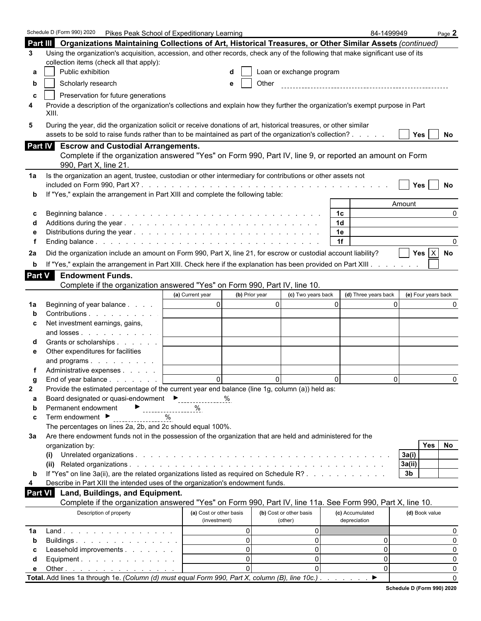|               | Schedule D (Form 990) 2020<br>Pikes Peak School of Expeditionary Learning                                                       |                                    |                          |                      | 84-1499949          | Page 2   |
|---------------|---------------------------------------------------------------------------------------------------------------------------------|------------------------------------|--------------------------|----------------------|---------------------|----------|
|               | Part III Organizations Maintaining Collections of Art, Historical Treasures, or Other Similar Assets (continued)                |                                    |                          |                      |                     |          |
| 3             | Using the organization's acquisition, accession, and other records, check any of the following that make significant use of its |                                    |                          |                      |                     |          |
|               | collection items (check all that apply):                                                                                        |                                    |                          |                      |                     |          |
| а             | Public exhibition                                                                                                               |                                    | Loan or exchange program |                      |                     |          |
| b             | Scholarly research                                                                                                              | e                                  | Other                    |                      |                     |          |
|               | Preservation for future generations                                                                                             |                                    |                          |                      |                     |          |
| C<br>4        | Provide a description of the organization's collections and explain how they further the organization's exempt purpose in Part  |                                    |                          |                      |                     |          |
|               | XIII.                                                                                                                           |                                    |                          |                      |                     |          |
| 5             | During the year, did the organization solicit or receive donations of art, historical treasures, or other similar               |                                    |                          |                      |                     |          |
|               | assets to be sold to raise funds rather than to be maintained as part of the organization's collection?                         |                                    |                          |                      | Yes                 | No       |
|               | Part IV Escrow and Custodial Arrangements.                                                                                      |                                    |                          |                      |                     |          |
|               | Complete if the organization answered "Yes" on Form 990, Part IV, line 9, or reported an amount on Form                         |                                    |                          |                      |                     |          |
|               | 990, Part X, line 21.                                                                                                           |                                    |                          |                      |                     |          |
| 1a            | Is the organization an agent, trustee, custodian or other intermediary for contributions or other assets not                    |                                    |                          |                      |                     |          |
|               |                                                                                                                                 |                                    |                          |                      | Yes                 | No       |
|               | If "Yes," explain the arrangement in Part XIII and complete the following table:                                                |                                    |                          |                      |                     |          |
|               |                                                                                                                                 |                                    |                          |                      | Amount              |          |
|               |                                                                                                                                 |                                    |                          | 1 <sup>c</sup>       |                     | $\Omega$ |
|               |                                                                                                                                 |                                    |                          | 1 <sub>d</sub>       |                     |          |
|               |                                                                                                                                 |                                    |                          | 1e                   |                     |          |
|               |                                                                                                                                 |                                    |                          | 1f                   |                     |          |
| 2a            | Did the organization include an amount on Form 990, Part X, line 21, for escrow or custodial account liability?                 |                                    |                          |                      | Yes $X$ No          |          |
| b             | If "Yes," explain the arrangement in Part XIII. Check here if the explanation has been provided on Part XIII.                   |                                    |                          |                      |                     |          |
| <b>Part V</b> | <b>Endowment Funds.</b>                                                                                                         |                                    |                          |                      |                     |          |
|               | Complete if the organization answered "Yes" on Form 990, Part IV, line 10.                                                      |                                    |                          |                      |                     |          |
|               |                                                                                                                                 | (a) Current year<br>(b) Prior year | (c) Two years back       | (d) Three years back | (e) Four years back |          |
| 1a            | Beginning of year balance                                                                                                       | $\overline{0}$                     | $\overline{0}$           | $\Omega$             | $\Omega$            |          |
|               | Contributions                                                                                                                   |                                    |                          |                      |                     |          |
| С             | Net investment earnings, gains,                                                                                                 |                                    |                          |                      |                     |          |
|               | and losses                                                                                                                      |                                    |                          |                      |                     |          |
|               | Grants or scholarships                                                                                                          |                                    |                          |                      |                     |          |
| е             | Other expenditures for facilities                                                                                               |                                    |                          |                      |                     |          |
|               | and programs                                                                                                                    |                                    |                          |                      |                     |          |
|               | Administrative expenses                                                                                                         |                                    |                          |                      |                     |          |
|               | End of year balance                                                                                                             | $\Omega$                           | $\Omega$                 | $\Omega$             | $\Omega$            | $\Omega$ |
| 2             | Provide the estimated percentage of the current year end balance (line 1g, column (a)) held as:                                 |                                    |                          |                      |                     |          |
| а             | Board designated or quasi-endowment<br>---------------                                                                          | %                                  |                          |                      |                     |          |
| b             | Permanent endowment<br>------------------                                                                                       | %                                  |                          |                      |                     |          |
| c             | Term endowment ▶<br>$\%$                                                                                                        |                                    |                          |                      |                     |          |
|               | The percentages on lines 2a, 2b, and 2c should equal 100%.                                                                      |                                    |                          |                      |                     |          |
| За            | Are there endowment funds not in the possession of the organization that are held and administered for the<br>organization by:  |                                    |                          |                      | <b>Yes</b>          | No       |
|               | (i)                                                                                                                             |                                    |                          |                      | 3a(i)               |          |
|               |                                                                                                                                 |                                    |                          |                      | 3a(ii)              |          |
| b             | If "Yes" on line 3a(ii), are the related organizations listed as required on Schedule R?                                        |                                    |                          |                      | 3 <sub>b</sub>      |          |
| 4             | Describe in Part XIII the intended uses of the organization's endowment funds.                                                  |                                    |                          |                      |                     |          |
| Part VI       | Land, Buildings, and Equipment.                                                                                                 |                                    |                          |                      |                     |          |
|               | Complete if the organization answered "Yes" on Form 990, Part IV, line 11a. See Form 990, Part X, line 10.                      |                                    |                          |                      |                     |          |
|               | Description of property                                                                                                         | (a) Cost or other basis            | (b) Cost or other basis  | (c) Accumulated      | (d) Book value      |          |
|               |                                                                                                                                 | (investment)                       | (other)                  | depreciation         |                     |          |
| 1a            | Land.                                                                                                                           | $\Omega$                           | 0                        |                      |                     | 0        |
| b             | Buildings                                                                                                                       | $\Omega$                           | $\overline{0}$           | 0                    |                     | $\Omega$ |
| С             | Leasehold improvements                                                                                                          | $\Omega$                           | $\overline{0}$           | 0                    |                     | 0        |
| d             | Equipment.                                                                                                                      | $\Omega$                           | $\mathbf 0$              | 0                    |                     | 0        |
| е             | Other $\ldots$ $\ldots$ $\ldots$ $\ldots$ $\ldots$ $\ldots$                                                                     | $\Omega$                           | $\Omega$                 | 0                    |                     | 0        |
|               | Total. Add lines 1a through 1e. (Column (d) must equal Form 990, Part X, column (B), line 10c.).                                |                                    |                          | ▶                    |                     | $\Omega$ |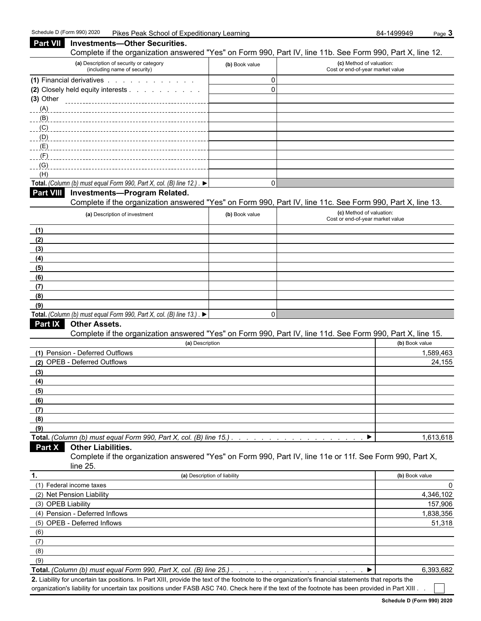| Part VII           | <b>Investments-Other Securities.</b>                                                                                                                                                                                        |                              |                                                              |                |
|--------------------|-----------------------------------------------------------------------------------------------------------------------------------------------------------------------------------------------------------------------------|------------------------------|--------------------------------------------------------------|----------------|
|                    | Complete if the organization answered "Yes" on Form 990, Part IV, line 11b. See Form 990, Part X, line 12.                                                                                                                  |                              |                                                              |                |
|                    | (a) Description of security or category<br>(including name of security)                                                                                                                                                     | (b) Book value               | (c) Method of valuation:<br>Cost or end-of-year market value |                |
|                    | (1) Financial derivatives                                                                                                                                                                                                   | $\Omega$                     |                                                              |                |
|                    | (2) Closely held equity interests                                                                                                                                                                                           | $\Omega$                     |                                                              |                |
| $(3)$ Other        |                                                                                                                                                                                                                             |                              |                                                              |                |
| (A)                |                                                                                                                                                                                                                             |                              |                                                              |                |
| (B)<br>(C)         |                                                                                                                                                                                                                             |                              |                                                              |                |
| (D)                |                                                                                                                                                                                                                             |                              |                                                              |                |
| (E)                |                                                                                                                                                                                                                             |                              |                                                              |                |
| $-F$ )             |                                                                                                                                                                                                                             |                              |                                                              |                |
| (G)                |                                                                                                                                                                                                                             |                              |                                                              |                |
| (H)                |                                                                                                                                                                                                                             |                              |                                                              |                |
|                    | Total. (Column (b) must equal Form 990, Part X, col. (B) line 12.). ▶                                                                                                                                                       | $\mathbf{0}$                 |                                                              |                |
| <b>Part VIII</b>   | <b>Investments-Program Related.</b>                                                                                                                                                                                         |                              |                                                              |                |
|                    | Complete if the organization answered "Yes" on Form 990, Part IV, line 11c. See Form 990, Part X, line 13.                                                                                                                  |                              |                                                              |                |
|                    | (a) Description of investment                                                                                                                                                                                               | (b) Book value               | (c) Method of valuation:<br>Cost or end-of-year market value |                |
| (1)                |                                                                                                                                                                                                                             |                              |                                                              |                |
| (2)                |                                                                                                                                                                                                                             |                              |                                                              |                |
| (3)                |                                                                                                                                                                                                                             |                              |                                                              |                |
| (4)                |                                                                                                                                                                                                                             |                              |                                                              |                |
| (5)                |                                                                                                                                                                                                                             |                              |                                                              |                |
| (6)                |                                                                                                                                                                                                                             |                              |                                                              |                |
| (7)                |                                                                                                                                                                                                                             |                              |                                                              |                |
| (8)                |                                                                                                                                                                                                                             |                              |                                                              |                |
| (9)                |                                                                                                                                                                                                                             |                              |                                                              |                |
| <b>Part IX</b>     | Total. (Column (b) must equal Form 990, Part X, col. (B) line 13.). ▶<br><b>Other Assets.</b>                                                                                                                               | $\Omega$                     |                                                              |                |
|                    | Complete if the organization answered "Yes" on Form 990, Part IV, line 11d. See Form 990, Part X, line 15.                                                                                                                  |                              |                                                              |                |
|                    | (a) Description                                                                                                                                                                                                             |                              |                                                              | (b) Book value |
|                    | (1) Pension - Deferred Outflows                                                                                                                                                                                             |                              |                                                              | 1,589,463      |
|                    | (2) OPEB - Deferred Outflows                                                                                                                                                                                                |                              |                                                              | 24,155         |
| (3)                |                                                                                                                                                                                                                             |                              |                                                              |                |
| (4)                |                                                                                                                                                                                                                             |                              |                                                              |                |
| (5)                |                                                                                                                                                                                                                             |                              |                                                              |                |
| (6)                |                                                                                                                                                                                                                             |                              |                                                              |                |
| (7)                |                                                                                                                                                                                                                             |                              |                                                              |                |
| (8)                |                                                                                                                                                                                                                             |                              |                                                              |                |
| (9)                | Total. (Column (b) must equal Form 990, Part X, col. (B) line 15.).                                                                                                                                                         |                              |                                                              | 1,613,618      |
| <b>Part X</b>      | <b>Other Liabilities.</b>                                                                                                                                                                                                   |                              |                                                              |                |
|                    | Complete if the organization answered "Yes" on Form 990, Part IV, line 11e or 11f. See Form 990, Part X,                                                                                                                    |                              |                                                              |                |
|                    | line $25$ .                                                                                                                                                                                                                 |                              |                                                              |                |
| 1.                 |                                                                                                                                                                                                                             | (a) Description of liability |                                                              | (b) Book value |
|                    | (1) Federal income taxes                                                                                                                                                                                                    |                              |                                                              | 0              |
|                    | (2) Net Pension Liability                                                                                                                                                                                                   |                              |                                                              | 4,346,102      |
| (3) OPEB Liability |                                                                                                                                                                                                                             |                              |                                                              | 157,906        |
|                    | (4) Pension - Deferred Inflows                                                                                                                                                                                              |                              |                                                              | 1,838,356      |
|                    | (5) OPEB - Deferred Inflows                                                                                                                                                                                                 |                              |                                                              | 51,318         |
| (6)                |                                                                                                                                                                                                                             |                              |                                                              |                |
| (7)                |                                                                                                                                                                                                                             |                              |                                                              |                |
| (8)                |                                                                                                                                                                                                                             |                              |                                                              |                |
| (9)                |                                                                                                                                                                                                                             |                              |                                                              |                |
|                    | Total. (Column (b) must equal Form 990, Part X, col. (B) line 25.).<br>2. Liability for uncertain tax positions. In Part XIII, provide the text of the footpote to the organization's financial statements that reports the |                              |                                                              | 6,393,682      |

**2.** Liability for uncertain tax positions. In Part XIII, provide the text of the footnote to the organization's financial statements that reports the organization's liability for uncertain tax positions under FASB ASC 740. Check here if the text of the footnote has been provided in Part XIII .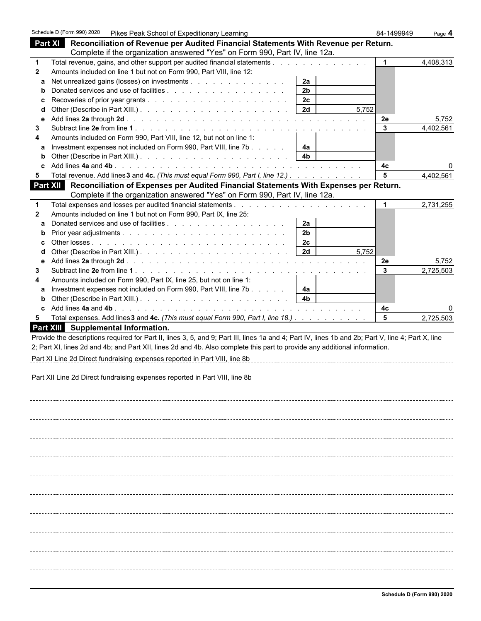|              | Schedule D (Form 990) 2020   Pikes Peak School of Expeditionary Learning                                                                           |       | 84-1499949     | Page 4    |
|--------------|----------------------------------------------------------------------------------------------------------------------------------------------------|-------|----------------|-----------|
|              | Part XI<br>Reconciliation of Revenue per Audited Financial Statements With Revenue per Return.                                                     |       |                |           |
|              | Complete if the organization answered "Yes" on Form 990, Part IV, line 12a.                                                                        |       |                |           |
| $\mathbf 1$  | Total revenue, gains, and other support per audited financial statements                                                                           |       |                | 4,408,313 |
| $\mathbf{2}$ | Amounts included on line 1 but not on Form 990, Part VIII, line 12:                                                                                |       |                |           |
| a            | Net unrealized gains (losses) on investments<br>2a                                                                                                 |       |                |           |
| b            | 2 <sub>b</sub>                                                                                                                                     |       |                |           |
| с            | 2c                                                                                                                                                 |       |                |           |
| d            | 2d                                                                                                                                                 | 5,752 |                |           |
| e            |                                                                                                                                                    |       | 2e             | 5,752     |
| 3            |                                                                                                                                                    |       | $\mathbf{3}$   | 4,402,561 |
| 4            | Amounts included on Form 990, Part VIII, line 12, but not on line 1:                                                                               |       |                |           |
| a            | Investment expenses not included on Form 990, Part VIII, line 7b<br>4a                                                                             |       |                |           |
|              | 4 <sub>b</sub>                                                                                                                                     |       |                |           |
|              |                                                                                                                                                    |       | 4c             |           |
| 5.           | Total revenue. Add lines 3 and 4c. (This must equal Form 990, Part I, line 12.)                                                                    |       | 5              | 4,402,561 |
|              | Part XII Reconciliation of Expenses per Audited Financial Statements With Expenses per Return.                                                     |       |                |           |
|              | Complete if the organization answered "Yes" on Form 990, Part IV, line 12a.                                                                        |       |                |           |
| $\mathbf 1$  |                                                                                                                                                    |       |                | 2,731,255 |
| $\mathbf{2}$ | Amounts included on line 1 but not on Form 990, Part IX, line 25:                                                                                  |       |                |           |
| a            | 2a                                                                                                                                                 |       |                |           |
| b            | 2 <sub>b</sub>                                                                                                                                     |       |                |           |
| c            | 2c                                                                                                                                                 |       |                |           |
| d            | 2d                                                                                                                                                 | 5,752 |                |           |
| е            |                                                                                                                                                    |       | 2e             | 5,752     |
| 3            |                                                                                                                                                    |       | $\mathbf{3}$   | 2,725,503 |
| 4            | Amounts included on Form 990, Part IX, line 25, but not on line 1:                                                                                 |       |                |           |
| a            | Investment expenses not included on Form 990, Part VIII, line 7b<br>4a                                                                             |       |                |           |
| b            | 4 <sub>b</sub>                                                                                                                                     |       |                |           |
| c            |                                                                                                                                                    |       | 4с             | 0         |
| 5            | Total expenses. Add lines 3 and 4c. (This must equal Form 990, Part I, line 18.)                                                                   |       | $5\phantom{a}$ | 2,725,503 |
|              | Part XIII Supplemental Information.                                                                                                                |       |                |           |
|              | Provide the descriptions required for Part II, lines 3, 5, and 9; Part III, lines 1a and 4; Part IV, lines 1b and 2b; Part V, line 4; Part X, line |       |                |           |
|              | 2; Part XI, lines 2d and 4b; and Part XII, lines 2d and 4b. Also complete this part to provide any additional information.                         |       |                |           |
|              |                                                                                                                                                    |       |                |           |
|              | Part XI Line 2d Direct fundraising expenses reported in Part VIII, line 8b                                                                         |       |                |           |
|              |                                                                                                                                                    |       |                |           |
|              | Part XII Line 2d Direct fundraising expenses reported in Part VIII, line 8b                                                                        |       |                |           |
|              |                                                                                                                                                    |       |                |           |
|              |                                                                                                                                                    |       |                |           |
|              |                                                                                                                                                    |       |                |           |
|              |                                                                                                                                                    |       |                |           |
|              |                                                                                                                                                    |       |                |           |
|              |                                                                                                                                                    |       |                |           |
|              |                                                                                                                                                    |       |                |           |
|              |                                                                                                                                                    |       |                |           |
|              |                                                                                                                                                    |       |                |           |
|              |                                                                                                                                                    |       |                |           |
|              |                                                                                                                                                    |       |                |           |
|              |                                                                                                                                                    |       |                |           |
|              |                                                                                                                                                    |       |                |           |
|              |                                                                                                                                                    |       |                |           |
|              |                                                                                                                                                    |       |                |           |
|              |                                                                                                                                                    |       |                |           |
|              |                                                                                                                                                    |       |                |           |
|              |                                                                                                                                                    |       |                |           |
|              |                                                                                                                                                    |       |                |           |
|              |                                                                                                                                                    |       |                |           |
|              |                                                                                                                                                    |       |                |           |
|              |                                                                                                                                                    |       |                |           |
|              |                                                                                                                                                    |       |                |           |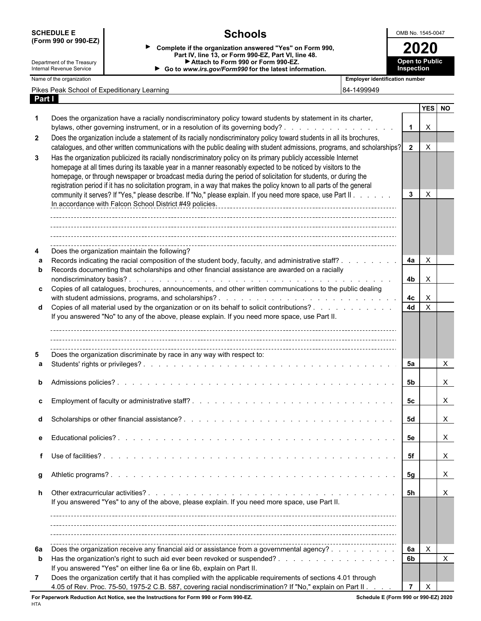| <b>SCHEDULE E</b>          |                                                                                                                                                                                                                                                                                                                                                                                                                                                                                   | <b>Schools</b>                                                                                                                                                                                                                                          |                                       | OMB No. 1545-0047     |                           |  |  |  |  |  |
|----------------------------|-----------------------------------------------------------------------------------------------------------------------------------------------------------------------------------------------------------------------------------------------------------------------------------------------------------------------------------------------------------------------------------------------------------------------------------------------------------------------------------|---------------------------------------------------------------------------------------------------------------------------------------------------------------------------------------------------------------------------------------------------------|---------------------------------------|-----------------------|---------------------------|--|--|--|--|--|
|                            | (Form 990 or 990-EZ)                                                                                                                                                                                                                                                                                                                                                                                                                                                              | Complete if the organization answered "Yes" on Form 990,                                                                                                                                                                                                |                                       | 2020                  |                           |  |  |  |  |  |
| Department of the Treasury |                                                                                                                                                                                                                                                                                                                                                                                                                                                                                   | Part IV, line 13, or Form 990-EZ, Part VI, line 48.<br>Attach to Form 990 or Form 990-EZ.                                                                                                                                                               |                                       | <b>Open to Public</b> |                           |  |  |  |  |  |
| Internal Revenue Service   |                                                                                                                                                                                                                                                                                                                                                                                                                                                                                   | Go to www.irs.gov/Form990 for the latest information.                                                                                                                                                                                                   |                                       | Inspection            |                           |  |  |  |  |  |
| Name of the organization   |                                                                                                                                                                                                                                                                                                                                                                                                                                                                                   |                                                                                                                                                                                                                                                         | <b>Employer identification number</b> |                       |                           |  |  |  |  |  |
| Part I                     |                                                                                                                                                                                                                                                                                                                                                                                                                                                                                   | Pikes Peak School of Expeditionary Learning                                                                                                                                                                                                             | 84-1499949                            |                       |                           |  |  |  |  |  |
|                            |                                                                                                                                                                                                                                                                                                                                                                                                                                                                                   |                                                                                                                                                                                                                                                         |                                       |                       | YES NO                    |  |  |  |  |  |
|                            |                                                                                                                                                                                                                                                                                                                                                                                                                                                                                   | Does the organization have a racially nondiscriminatory policy toward students by statement in its charter,<br>bylaws, other governing instrument, or in a resolution of its governing body?                                                            |                                       | $\mathbf{1}$          | $\boldsymbol{\mathsf{X}}$ |  |  |  |  |  |
| $\mathbf{2}$               |                                                                                                                                                                                                                                                                                                                                                                                                                                                                                   | Does the organization include a statement of its racially nondiscriminatory policy toward students in all its brochures,<br>catalogues, and other written communications with the public dealing with student admissions, programs, and scholarships?   |                                       | $\overline{2}$        | $\times$                  |  |  |  |  |  |
| 3                          | Has the organization publicized its racially nondiscriminatory policy on its primary publicly accessible Internet<br>homepage at all times during its taxable year in a manner reasonably expected to be noticed by visitors to the<br>homepage, or through newspaper or broadcast media during the period of solicitation for students, or during the<br>registration period if it has no solicitation program, in a way that makes the policy known to all parts of the general |                                                                                                                                                                                                                                                         |                                       |                       |                           |  |  |  |  |  |
|                            |                                                                                                                                                                                                                                                                                                                                                                                                                                                                                   | community it serves? If "Yes," please describe. If "No," please explain. If you need more space, use Part II.<br>In accordance with Falcon School District #49 policies.                                                                                |                                       | $3^{\circ}$           | $\times$                  |  |  |  |  |  |
|                            |                                                                                                                                                                                                                                                                                                                                                                                                                                                                                   | Does the organization maintain the following?<br>Records indicating the racial composition of the student body, faculty, and administrative staff?.                                                                                                     |                                       | 4a                    | $\mathsf{X}$              |  |  |  |  |  |
|                            |                                                                                                                                                                                                                                                                                                                                                                                                                                                                                   | Records documenting that scholarships and other financial assistance are awarded on a racially                                                                                                                                                          |                                       |                       |                           |  |  |  |  |  |
|                            |                                                                                                                                                                                                                                                                                                                                                                                                                                                                                   | c Copies of all catalogues, brochures, announcements, and other written communications to the public dealing                                                                                                                                            |                                       | 4b                    | $\times$                  |  |  |  |  |  |
|                            |                                                                                                                                                                                                                                                                                                                                                                                                                                                                                   |                                                                                                                                                                                                                                                         |                                       | 4 <sub>c</sub>        | $\boldsymbol{\mathsf{X}}$ |  |  |  |  |  |
|                            |                                                                                                                                                                                                                                                                                                                                                                                                                                                                                   | d Copies of all material used by the organization or on its behalf to solicit contributions?                                                                                                                                                            |                                       | <b>4d</b>             | $\boldsymbol{\mathsf{X}}$ |  |  |  |  |  |
|                            |                                                                                                                                                                                                                                                                                                                                                                                                                                                                                   | If you answered "No" to any of the above, please explain. If you need more space, use Part II.<br>Does the organization discriminate by race in any way with respect to:                                                                                |                                       |                       |                           |  |  |  |  |  |
|                            |                                                                                                                                                                                                                                                                                                                                                                                                                                                                                   |                                                                                                                                                                                                                                                         |                                       | 5a                    | X                         |  |  |  |  |  |
|                            |                                                                                                                                                                                                                                                                                                                                                                                                                                                                                   |                                                                                                                                                                                                                                                         |                                       | 5b                    | X.                        |  |  |  |  |  |
|                            |                                                                                                                                                                                                                                                                                                                                                                                                                                                                                   |                                                                                                                                                                                                                                                         |                                       | 5c                    | X                         |  |  |  |  |  |
|                            |                                                                                                                                                                                                                                                                                                                                                                                                                                                                                   |                                                                                                                                                                                                                                                         |                                       | 5d                    | X                         |  |  |  |  |  |
|                            |                                                                                                                                                                                                                                                                                                                                                                                                                                                                                   |                                                                                                                                                                                                                                                         |                                       | 5е                    | X                         |  |  |  |  |  |
|                            |                                                                                                                                                                                                                                                                                                                                                                                                                                                                                   |                                                                                                                                                                                                                                                         |                                       | -5f                   | $\mathsf{X}$              |  |  |  |  |  |
|                            |                                                                                                                                                                                                                                                                                                                                                                                                                                                                                   |                                                                                                                                                                                                                                                         |                                       |                       | $\mathsf{X}$              |  |  |  |  |  |
|                            |                                                                                                                                                                                                                                                                                                                                                                                                                                                                                   | Other extracurricular activities?<br>the contract of the contract of the contract of the contract of the contract of the contract of the contract of<br>If you answered "Yes" to any of the above, please explain. If you need more space, use Part II. |                                       | - 5h                  | X                         |  |  |  |  |  |
|                            |                                                                                                                                                                                                                                                                                                                                                                                                                                                                                   |                                                                                                                                                                                                                                                         |                                       |                       |                           |  |  |  |  |  |
| 6а                         |                                                                                                                                                                                                                                                                                                                                                                                                                                                                                   | Does the organization receive any financial aid or assistance from a governmental agency?                                                                                                                                                               |                                       | 6а                    | X                         |  |  |  |  |  |
| b                          |                                                                                                                                                                                                                                                                                                                                                                                                                                                                                   | If you answered "Yes" on either line 6a or line 6b, explain on Part II.                                                                                                                                                                                 |                                       | 6b                    | X                         |  |  |  |  |  |
| 7                          |                                                                                                                                                                                                                                                                                                                                                                                                                                                                                   | Does the organization certify that it has complied with the applicable requirements of sections 4.01 through                                                                                                                                            |                                       |                       |                           |  |  |  |  |  |
|                            |                                                                                                                                                                                                                                                                                                                                                                                                                                                                                   | 4.05 of Rev. Proc. 75-50, 1975-2 C.B. 587, covering racial nondiscrimination? If "No," explain on Part II. .                                                                                                                                            |                                       |                       | $\times$                  |  |  |  |  |  |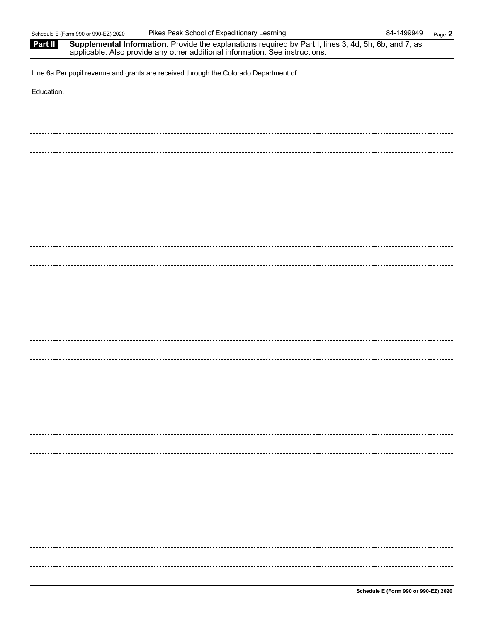| Part II    | Supplemental Information. Provide the explanations required by Part I, lines 3, 4d, 5h, 6b, and 7, as applicable. Also provide any other additional information. See instructions. |
|------------|------------------------------------------------------------------------------------------------------------------------------------------------------------------------------------|
|            | Line 6a Per pupil revenue and grants are received through the Colorado Department of<br>_______________________________                                                            |
| Education. | _________________________________                                                                                                                                                  |
|            |                                                                                                                                                                                    |
|            |                                                                                                                                                                                    |
|            |                                                                                                                                                                                    |
|            |                                                                                                                                                                                    |
|            |                                                                                                                                                                                    |
|            |                                                                                                                                                                                    |
|            |                                                                                                                                                                                    |
|            |                                                                                                                                                                                    |
|            |                                                                                                                                                                                    |
|            |                                                                                                                                                                                    |
|            |                                                                                                                                                                                    |
|            |                                                                                                                                                                                    |
|            |                                                                                                                                                                                    |
|            |                                                                                                                                                                                    |
|            |                                                                                                                                                                                    |
|            |                                                                                                                                                                                    |
|            |                                                                                                                                                                                    |
|            |                                                                                                                                                                                    |
|            |                                                                                                                                                                                    |
|            |                                                                                                                                                                                    |
|            |                                                                                                                                                                                    |
|            |                                                                                                                                                                                    |
|            |                                                                                                                                                                                    |
|            |                                                                                                                                                                                    |
|            |                                                                                                                                                                                    |
|            |                                                                                                                                                                                    |
|            |                                                                                                                                                                                    |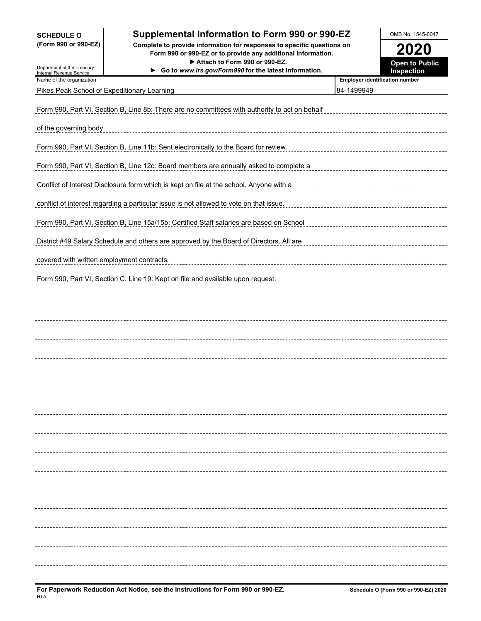| <b>SCHEDULE O</b>                                    | Supplemental Information to Form 990 or 990-EZ                                                                                                                          |            | OMB No. 1545-0047                     |
|------------------------------------------------------|-------------------------------------------------------------------------------------------------------------------------------------------------------------------------|------------|---------------------------------------|
| (Form 990 or 990-EZ)                                 | Complete to provide information for responses to specific questions on<br>Form 990 or 990-EZ or to provide any additional information.<br>Attach to Form 990 or 990-EZ. |            | <b>2020</b>                           |
| Department of the Treasury                           | Go to www.irs.gov/Form990 for the latest information.                                                                                                                   |            | <b>Open to Public</b><br>Inspection   |
| Internal Revenue Service<br>Name of the organization |                                                                                                                                                                         |            | <b>Employer identification number</b> |
|                                                      | Pikes Peak School of Expeditionary Learning                                                                                                                             | 84-1499949 |                                       |
|                                                      | Form 990, Part VI, Section B, Line 8b: There are no committees with authority to act on behalf                                                                          |            |                                       |
| of the governing body.                               |                                                                                                                                                                         |            |                                       |
|                                                      | Form 990, Part VI, Section B, Line 11b: Sent electronically to the Board for review.                                                                                    |            |                                       |
|                                                      | Form 990, Part VI, Section B, Line 12c: Board members are annually asked to complete a                                                                                  |            |                                       |
|                                                      | Conflict of Interest Disclosure form which is kept on file at the school. Anyone with a                                                                                 |            |                                       |
|                                                      | conflict of interest regarding a particular issue is not allowed to vote on that issue.                                                                                 |            |                                       |
|                                                      | Form 990, Part VI, Section B, Line 15a/15b: Certified Staff salaries are based on School                                                                                |            |                                       |
|                                                      | District #49 Salary Schedule and others are approved by the Board of Directors. All are                                                                                 |            |                                       |
| covered with written employment contracts.           |                                                                                                                                                                         |            |                                       |
|                                                      | Form 990, Part VI, Section C, Line 19: Kept on file and available upon request.                                                                                         |            |                                       |
|                                                      |                                                                                                                                                                         |            |                                       |
|                                                      |                                                                                                                                                                         |            |                                       |
|                                                      |                                                                                                                                                                         |            |                                       |
|                                                      |                                                                                                                                                                         |            |                                       |
|                                                      |                                                                                                                                                                         |            |                                       |
|                                                      |                                                                                                                                                                         |            |                                       |
|                                                      |                                                                                                                                                                         |            |                                       |
|                                                      |                                                                                                                                                                         |            | ----------------                      |
|                                                      |                                                                                                                                                                         |            | ----------------                      |
|                                                      |                                                                                                                                                                         |            | ----------------                      |
|                                                      |                                                                                                                                                                         |            |                                       |
|                                                      |                                                                                                                                                                         |            |                                       |
|                                                      |                                                                                                                                                                         |            |                                       |
|                                                      |                                                                                                                                                                         |            |                                       |
|                                                      |                                                                                                                                                                         |            |                                       |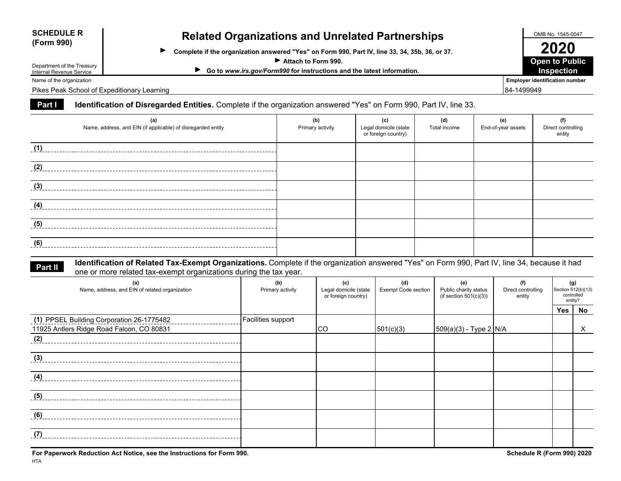| <b>SCHEDULE R</b> |  |
|-------------------|--|
| (Form 990)        |  |

## **SCHEDULE R Related Organizations and Unrelated Partnerships DESCRIPTIONS No. 1545-0047**

**Complete if the organization answered "Yes" on Form 990, Part IV, line 33, 34, 35b, 36, or 37. 2020**  $\blacktriangleright$ 

▶ Attach to Form 990. **Department of Attach to Public** Dent of Public

#### **Go to** *www.irs.gov/Form990* **for instructions and the latest information. Inspection**

Department of the Treasury Internal Revenue Service Name of the organization **Employer identification number Employer identification number** 

Pikes Peak School of Expeditionary Learning and the state of the state of the state of the state of the state of the state of the state of the state of the state of the state of the state of the state of the state of the s

#### **Part I Identification of Disregarded Entities.** Complete if the organization answered "Yes" on Form 990, Part IV, line 33.

| (a)<br>Name, address, and EIN (if applicable) of disregarded entity | (b)<br>Primary activity | (c)<br>Legal domicile (state<br>or foreign country) | (d)<br>Total income | (e)<br>End-of-year assets | (f)<br>Direct controlling<br>entity |
|---------------------------------------------------------------------|-------------------------|-----------------------------------------------------|---------------------|---------------------------|-------------------------------------|
| (1)                                                                 |                         |                                                     |                     |                           |                                     |
| (2)                                                                 |                         |                                                     |                     |                           |                                     |
| (3)                                                                 |                         |                                                     |                     |                           |                                     |
| (4)                                                                 |                         |                                                     |                     |                           |                                     |
| (5)                                                                 |                         |                                                     |                     |                           |                                     |
| (6)                                                                 |                         |                                                     |                     |                           |                                     |

#### **Identification of Related Tax-Exempt Organizations.** Complete if the organization answered "Yes" on Form 990, Part IV, line 34, because it had one or more related tax-exempt organizations during the tax year. **Part II**

| (a)<br>Name, address, and EIN of related organization                                  | (b)<br>Primary activity | (c)<br>Legal domicile (state<br>or foreign country) | (d)<br><b>Exempt Code section</b> | (e)<br>Public charity status<br>(if section $501(c)(3)$ ) | (f)<br>Direct controlling<br>entity | (g)<br>Section 512(b)(13)<br>controlled | entity? |
|----------------------------------------------------------------------------------------|-------------------------|-----------------------------------------------------|-----------------------------------|-----------------------------------------------------------|-------------------------------------|-----------------------------------------|---------|
|                                                                                        |                         |                                                     |                                   |                                                           |                                     | Yes                                     | No      |
| (1) PPSEL Building Corporation 26-1775482<br>11925 Antlers Ridge Road Falcon, CO 80831 | Facilities support      | ICO                                                 | 501(c)(3)                         | $509(a)(3)$ - Type 2 N/A                                  |                                     |                                         | X       |
| (2)                                                                                    |                         |                                                     |                                   |                                                           |                                     |                                         |         |
| (3)                                                                                    |                         |                                                     |                                   |                                                           |                                     |                                         |         |
| (4)                                                                                    |                         |                                                     |                                   |                                                           |                                     |                                         |         |
| (5)                                                                                    |                         |                                                     |                                   |                                                           |                                     |                                         |         |
| (6)                                                                                    |                         |                                                     |                                   |                                                           |                                     |                                         |         |
| (7)                                                                                    |                         |                                                     |                                   |                                                           |                                     |                                         |         |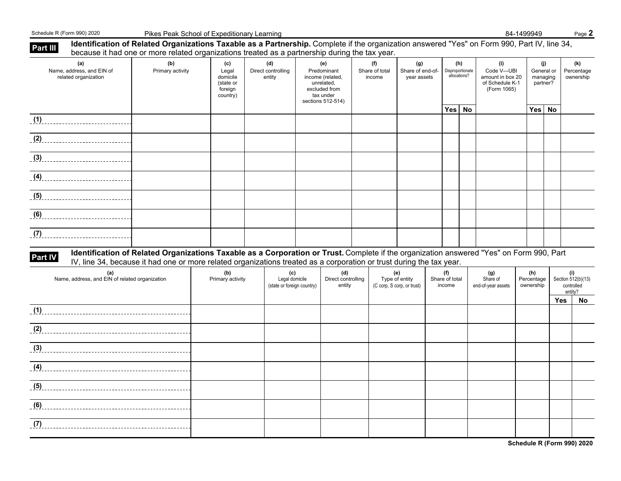Schedule R (Form 990) 2020 Pikes Peak School of Expeditionary Learning **Bank Control of Expeditionary Learning** Back Control of Expeditionary Learning **84-1499949** Bage 2

| Part III | Identification of Related Organizations Taxable as a Partnership. Complete if the organization answered "Yes" on Form 990, Part IV, line 34, | because it had one or more related organizations treated as a partnership during the tax year.                       |                                                              |                                     |                                                     |                                                                                                         |                                 |                                                     |                                 |                                         |                                                                         |                                           |            |                                                    |
|----------|----------------------------------------------------------------------------------------------------------------------------------------------|----------------------------------------------------------------------------------------------------------------------|--------------------------------------------------------------|-------------------------------------|-----------------------------------------------------|---------------------------------------------------------------------------------------------------------|---------------------------------|-----------------------------------------------------|---------------------------------|-----------------------------------------|-------------------------------------------------------------------------|-------------------------------------------|------------|----------------------------------------------------|
|          | (a)<br>Name, address, and EIN of<br>related organization                                                                                     | (b)<br>Primary activity                                                                                              | (c)<br>Legal<br>domicile<br>(state or<br>foreign<br>country) | (d)<br>Direct controlling<br>entity |                                                     | (e)<br>Predominant<br>income (related,<br>unrelated,<br>excluded from<br>tax under<br>sections 512-514) | (f)<br>Share of total<br>income | (g)<br>Share of end-of-<br>year assets              |                                 | (h)<br>Disproportionate<br>allocations? | (i)<br>Code V-UBI<br>amount in box 20<br>of Schedule K-1<br>(Form 1065) | (i)<br>General or<br>managing<br>partner? |            | (k)<br>Percentage<br>ownership                     |
|          | (1)                                                                                                                                          |                                                                                                                      |                                                              |                                     |                                                     |                                                                                                         |                                 |                                                     | Yes No                          |                                         |                                                                         | Yes                                       | No         |                                                    |
|          | (2)                                                                                                                                          |                                                                                                                      |                                                              |                                     |                                                     |                                                                                                         |                                 |                                                     |                                 |                                         |                                                                         |                                           |            |                                                    |
|          | $\left(3\right)$                                                                                                                             |                                                                                                                      |                                                              |                                     |                                                     |                                                                                                         |                                 |                                                     |                                 |                                         |                                                                         |                                           |            |                                                    |
|          | $\overline{a}$ (4)                                                                                                                           |                                                                                                                      |                                                              |                                     |                                                     |                                                                                                         |                                 |                                                     |                                 |                                         |                                                                         |                                           |            |                                                    |
|          | $\left(5\right)$                                                                                                                             |                                                                                                                      |                                                              |                                     |                                                     |                                                                                                         |                                 |                                                     |                                 |                                         |                                                                         |                                           |            |                                                    |
|          | (6)                                                                                                                                          |                                                                                                                      |                                                              |                                     |                                                     |                                                                                                         |                                 |                                                     |                                 |                                         |                                                                         |                                           |            |                                                    |
|          | (7)                                                                                                                                          |                                                                                                                      |                                                              |                                     |                                                     |                                                                                                         |                                 |                                                     |                                 |                                         |                                                                         |                                           |            |                                                    |
| Part IV  | Identification of Related Organizations Taxable as a Corporation or Trust. Complete if the organization answered "Yes" on Form 990, Part     | IV, line 34, because it had one or more related organizations treated as a corporation or trust during the tax year. |                                                              |                                     |                                                     |                                                                                                         |                                 |                                                     |                                 |                                         |                                                                         |                                           |            |                                                    |
|          | (a)<br>Name, address, and EIN of related organization                                                                                        |                                                                                                                      | (b)<br>Primary activity                                      |                                     | (c)<br>Legal domicile<br>(state or foreign country) | (d)<br>Direct controlling<br>entity                                                                     |                                 | (e)<br>Type of entity<br>(C corp, S corp, or trust) | (f)<br>Share of total<br>income |                                         | (g)<br>Share of<br>end-of-year assets                                   | (h)<br>Percentage<br>ownership            |            | (i)<br>Section 512(b)(13)<br>controlled<br>entity? |
|          | (1)                                                                                                                                          |                                                                                                                      |                                                              |                                     |                                                     |                                                                                                         |                                 |                                                     |                                 |                                         |                                                                         |                                           | <b>Yes</b> | No                                                 |
|          | (2)                                                                                                                                          |                                                                                                                      |                                                              |                                     |                                                     |                                                                                                         |                                 |                                                     |                                 |                                         |                                                                         |                                           |            |                                                    |
|          |                                                                                                                                              |                                                                                                                      |                                                              |                                     |                                                     |                                                                                                         |                                 |                                                     |                                 |                                         |                                                                         |                                           |            |                                                    |
|          |                                                                                                                                              |                                                                                                                      |                                                              |                                     |                                                     |                                                                                                         |                                 |                                                     |                                 |                                         |                                                                         |                                           |            |                                                    |
| (5)      |                                                                                                                                              |                                                                                                                      |                                                              |                                     |                                                     |                                                                                                         |                                 |                                                     |                                 |                                         |                                                                         |                                           |            |                                                    |
| (6)      |                                                                                                                                              |                                                                                                                      |                                                              |                                     |                                                     |                                                                                                         |                                 |                                                     |                                 |                                         |                                                                         |                                           |            |                                                    |
| (7)      |                                                                                                                                              |                                                                                                                      |                                                              |                                     |                                                     |                                                                                                         |                                 |                                                     |                                 |                                         |                                                                         |                                           |            |                                                    |
|          |                                                                                                                                              |                                                                                                                      |                                                              |                                     |                                                     |                                                                                                         |                                 |                                                     |                                 |                                         |                                                                         |                                           |            | Schedule R (Form 990) 2020                         |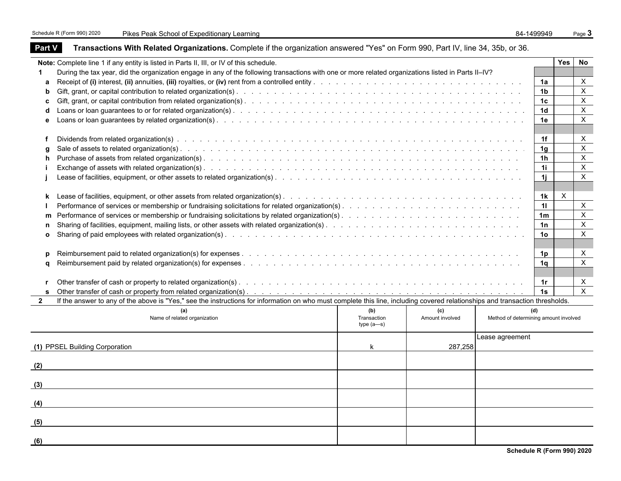| Note: Complete line 1 if any entity is listed in Parts II, III, or IV of this schedule.<br>Yes<br>During the tax year, did the organization engage in any of the following transactions with one or more related organizations listed in Parts II-IV?<br>1<br>X<br>1a<br>a<br>$\pmb{\times}$<br>1b<br>b<br>1c<br>c<br>1 <sub>d</sub><br>d<br>X<br>1e<br>е<br>X<br>1f<br>1 <sub>q</sub><br>g<br>1h<br>h<br>X<br>1i<br>$\mathsf{X}$<br>1i.<br>X<br>1k<br>k<br>X<br>11<br>$\pmb{\times}$<br>1 <sub>m</sub><br>m<br>$\pmb{\times}$<br>1n<br>n<br>$\pmb{\times}$<br>1o<br>$\mathbf{o}$<br>X<br>1p<br>p<br>$\boldsymbol{\mathsf{X}}$<br>1a<br>a<br>X<br>1r<br>$\mathbf{r}$<br>$\times$<br>1s<br>If the answer to any of the above is "Yes," see the instructions for information on who must complete this line, including covered relationships and transaction thresholds.<br>$\mathbf{2}$<br>(a)<br>(b)<br>(d)<br>(c)<br>Name of related organization<br>Method of determining amount involved<br>Transaction<br>Amount involved<br>$type(a-s)$<br>Lease agreement<br>(1) PPSEL Building Corporation<br>287,258<br>k<br>(2)<br>(5) | <b>Part V</b> | Transactions With Related Organizations. Complete if the organization answered "Yes" on Form 990, Part IV, line 34, 35b, or 36. |  |  |              |
|---------------------------------------------------------------------------------------------------------------------------------------------------------------------------------------------------------------------------------------------------------------------------------------------------------------------------------------------------------------------------------------------------------------------------------------------------------------------------------------------------------------------------------------------------------------------------------------------------------------------------------------------------------------------------------------------------------------------------------------------------------------------------------------------------------------------------------------------------------------------------------------------------------------------------------------------------------------------------------------------------------------------------------------------------------------------------------------------------------------------------------|---------------|---------------------------------------------------------------------------------------------------------------------------------|--|--|--------------|
|                                                                                                                                                                                                                                                                                                                                                                                                                                                                                                                                                                                                                                                                                                                                                                                                                                                                                                                                                                                                                                                                                                                                 |               |                                                                                                                                 |  |  | No           |
|                                                                                                                                                                                                                                                                                                                                                                                                                                                                                                                                                                                                                                                                                                                                                                                                                                                                                                                                                                                                                                                                                                                                 |               |                                                                                                                                 |  |  |              |
|                                                                                                                                                                                                                                                                                                                                                                                                                                                                                                                                                                                                                                                                                                                                                                                                                                                                                                                                                                                                                                                                                                                                 |               |                                                                                                                                 |  |  |              |
|                                                                                                                                                                                                                                                                                                                                                                                                                                                                                                                                                                                                                                                                                                                                                                                                                                                                                                                                                                                                                                                                                                                                 |               |                                                                                                                                 |  |  |              |
|                                                                                                                                                                                                                                                                                                                                                                                                                                                                                                                                                                                                                                                                                                                                                                                                                                                                                                                                                                                                                                                                                                                                 |               |                                                                                                                                 |  |  | $\mathsf X$  |
|                                                                                                                                                                                                                                                                                                                                                                                                                                                                                                                                                                                                                                                                                                                                                                                                                                                                                                                                                                                                                                                                                                                                 |               |                                                                                                                                 |  |  | $\mathsf X$  |
|                                                                                                                                                                                                                                                                                                                                                                                                                                                                                                                                                                                                                                                                                                                                                                                                                                                                                                                                                                                                                                                                                                                                 |               |                                                                                                                                 |  |  |              |
|                                                                                                                                                                                                                                                                                                                                                                                                                                                                                                                                                                                                                                                                                                                                                                                                                                                                                                                                                                                                                                                                                                                                 |               |                                                                                                                                 |  |  |              |
|                                                                                                                                                                                                                                                                                                                                                                                                                                                                                                                                                                                                                                                                                                                                                                                                                                                                                                                                                                                                                                                                                                                                 |               |                                                                                                                                 |  |  | $\mathsf{X}$ |
|                                                                                                                                                                                                                                                                                                                                                                                                                                                                                                                                                                                                                                                                                                                                                                                                                                                                                                                                                                                                                                                                                                                                 |               |                                                                                                                                 |  |  | X            |
|                                                                                                                                                                                                                                                                                                                                                                                                                                                                                                                                                                                                                                                                                                                                                                                                                                                                                                                                                                                                                                                                                                                                 |               |                                                                                                                                 |  |  |              |
|                                                                                                                                                                                                                                                                                                                                                                                                                                                                                                                                                                                                                                                                                                                                                                                                                                                                                                                                                                                                                                                                                                                                 |               |                                                                                                                                 |  |  |              |
|                                                                                                                                                                                                                                                                                                                                                                                                                                                                                                                                                                                                                                                                                                                                                                                                                                                                                                                                                                                                                                                                                                                                 |               |                                                                                                                                 |  |  |              |
|                                                                                                                                                                                                                                                                                                                                                                                                                                                                                                                                                                                                                                                                                                                                                                                                                                                                                                                                                                                                                                                                                                                                 |               |                                                                                                                                 |  |  |              |
|                                                                                                                                                                                                                                                                                                                                                                                                                                                                                                                                                                                                                                                                                                                                                                                                                                                                                                                                                                                                                                                                                                                                 |               |                                                                                                                                 |  |  |              |
|                                                                                                                                                                                                                                                                                                                                                                                                                                                                                                                                                                                                                                                                                                                                                                                                                                                                                                                                                                                                                                                                                                                                 |               |                                                                                                                                 |  |  |              |
|                                                                                                                                                                                                                                                                                                                                                                                                                                                                                                                                                                                                                                                                                                                                                                                                                                                                                                                                                                                                                                                                                                                                 |               |                                                                                                                                 |  |  |              |
|                                                                                                                                                                                                                                                                                                                                                                                                                                                                                                                                                                                                                                                                                                                                                                                                                                                                                                                                                                                                                                                                                                                                 |               |                                                                                                                                 |  |  |              |
|                                                                                                                                                                                                                                                                                                                                                                                                                                                                                                                                                                                                                                                                                                                                                                                                                                                                                                                                                                                                                                                                                                                                 |               |                                                                                                                                 |  |  |              |
|                                                                                                                                                                                                                                                                                                                                                                                                                                                                                                                                                                                                                                                                                                                                                                                                                                                                                                                                                                                                                                                                                                                                 |               |                                                                                                                                 |  |  |              |
|                                                                                                                                                                                                                                                                                                                                                                                                                                                                                                                                                                                                                                                                                                                                                                                                                                                                                                                                                                                                                                                                                                                                 |               |                                                                                                                                 |  |  |              |
|                                                                                                                                                                                                                                                                                                                                                                                                                                                                                                                                                                                                                                                                                                                                                                                                                                                                                                                                                                                                                                                                                                                                 |               |                                                                                                                                 |  |  |              |
|                                                                                                                                                                                                                                                                                                                                                                                                                                                                                                                                                                                                                                                                                                                                                                                                                                                                                                                                                                                                                                                                                                                                 |               |                                                                                                                                 |  |  |              |
|                                                                                                                                                                                                                                                                                                                                                                                                                                                                                                                                                                                                                                                                                                                                                                                                                                                                                                                                                                                                                                                                                                                                 |               |                                                                                                                                 |  |  |              |
|                                                                                                                                                                                                                                                                                                                                                                                                                                                                                                                                                                                                                                                                                                                                                                                                                                                                                                                                                                                                                                                                                                                                 |               |                                                                                                                                 |  |  |              |
|                                                                                                                                                                                                                                                                                                                                                                                                                                                                                                                                                                                                                                                                                                                                                                                                                                                                                                                                                                                                                                                                                                                                 |               |                                                                                                                                 |  |  |              |
|                                                                                                                                                                                                                                                                                                                                                                                                                                                                                                                                                                                                                                                                                                                                                                                                                                                                                                                                                                                                                                                                                                                                 |               |                                                                                                                                 |  |  |              |
|                                                                                                                                                                                                                                                                                                                                                                                                                                                                                                                                                                                                                                                                                                                                                                                                                                                                                                                                                                                                                                                                                                                                 |               |                                                                                                                                 |  |  |              |
|                                                                                                                                                                                                                                                                                                                                                                                                                                                                                                                                                                                                                                                                                                                                                                                                                                                                                                                                                                                                                                                                                                                                 |               |                                                                                                                                 |  |  |              |
|                                                                                                                                                                                                                                                                                                                                                                                                                                                                                                                                                                                                                                                                                                                                                                                                                                                                                                                                                                                                                                                                                                                                 |               |                                                                                                                                 |  |  |              |
|                                                                                                                                                                                                                                                                                                                                                                                                                                                                                                                                                                                                                                                                                                                                                                                                                                                                                                                                                                                                                                                                                                                                 |               |                                                                                                                                 |  |  |              |
|                                                                                                                                                                                                                                                                                                                                                                                                                                                                                                                                                                                                                                                                                                                                                                                                                                                                                                                                                                                                                                                                                                                                 |               |                                                                                                                                 |  |  |              |
|                                                                                                                                                                                                                                                                                                                                                                                                                                                                                                                                                                                                                                                                                                                                                                                                                                                                                                                                                                                                                                                                                                                                 | (3)           |                                                                                                                                 |  |  |              |
|                                                                                                                                                                                                                                                                                                                                                                                                                                                                                                                                                                                                                                                                                                                                                                                                                                                                                                                                                                                                                                                                                                                                 |               |                                                                                                                                 |  |  |              |
|                                                                                                                                                                                                                                                                                                                                                                                                                                                                                                                                                                                                                                                                                                                                                                                                                                                                                                                                                                                                                                                                                                                                 | (4)           |                                                                                                                                 |  |  |              |
|                                                                                                                                                                                                                                                                                                                                                                                                                                                                                                                                                                                                                                                                                                                                                                                                                                                                                                                                                                                                                                                                                                                                 |               |                                                                                                                                 |  |  |              |
|                                                                                                                                                                                                                                                                                                                                                                                                                                                                                                                                                                                                                                                                                                                                                                                                                                                                                                                                                                                                                                                                                                                                 |               |                                                                                                                                 |  |  |              |
|                                                                                                                                                                                                                                                                                                                                                                                                                                                                                                                                                                                                                                                                                                                                                                                                                                                                                                                                                                                                                                                                                                                                 |               |                                                                                                                                 |  |  |              |
|                                                                                                                                                                                                                                                                                                                                                                                                                                                                                                                                                                                                                                                                                                                                                                                                                                                                                                                                                                                                                                                                                                                                 | (6)           |                                                                                                                                 |  |  |              |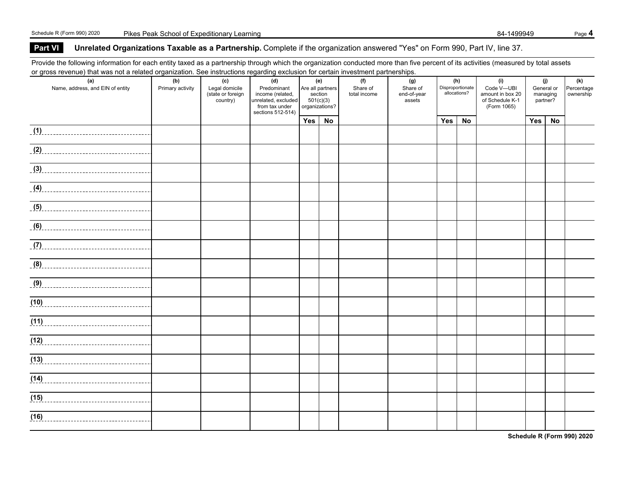### **Part VI** Unrelated Organizations Taxable as a Partnership. Complete if the organization answered "Yes" on Form 990, Part IV, line 37.

Provide the following information for each entity taxed as a partnership through which the organization conducted more than five percent of its activities (measured by total assets or gross revenue) that was not a related organization. See instructions regarding exclusion for certain investment partnerships.

| or groco revendey that was not a related organization. Occ included one regarding excluded for contain investment partnerships. |                         |                       |                                         |           |                         |                 |                 |     |                         |                                     |            |          |                   |
|---------------------------------------------------------------------------------------------------------------------------------|-------------------------|-----------------------|-----------------------------------------|-----------|-------------------------|-----------------|-----------------|-----|-------------------------|-------------------------------------|------------|----------|-------------------|
| (a)<br>Name, address, and EIN of entity                                                                                         | (b)<br>Primary activity | (c)<br>Legal domicile | (d)<br>Predominant                      |           | (e)<br>Are all partners | (f)<br>Share of | (g)<br>Share of |     | (h)<br>Disproportionate | (i)<br>Code V-UBI                   | General or | (j)      | (k)<br>Percentage |
|                                                                                                                                 |                         | (state or foreign     | income (related,<br>unrelated, excluded |           | section                 | total income    | end-of-year     |     | allocations?            | amount in box 20<br>of Schedule K-1 | managing   |          | ownership         |
|                                                                                                                                 |                         | country)              | from tax under                          | 501(c)(3) | organizations?          |                 | assets          |     |                         | (Form 1065)                         |            | partner? |                   |
|                                                                                                                                 |                         |                       | sections 512-514)                       |           |                         |                 |                 |     |                         |                                     |            |          |                   |
|                                                                                                                                 |                         |                       |                                         | Yes       | No                      |                 |                 | Yes | No                      |                                     | Yes        | No       |                   |
|                                                                                                                                 |                         |                       |                                         |           |                         |                 |                 |     |                         |                                     |            |          |                   |
|                                                                                                                                 |                         |                       |                                         |           |                         |                 |                 |     |                         |                                     |            |          |                   |
|                                                                                                                                 |                         |                       |                                         |           |                         |                 |                 |     |                         |                                     |            |          |                   |
| (3)                                                                                                                             |                         |                       |                                         |           |                         |                 |                 |     |                         |                                     |            |          |                   |
|                                                                                                                                 |                         |                       |                                         |           |                         |                 |                 |     |                         |                                     |            |          |                   |
|                                                                                                                                 |                         |                       |                                         |           |                         |                 |                 |     |                         |                                     |            |          |                   |
|                                                                                                                                 |                         |                       |                                         |           |                         |                 |                 |     |                         |                                     |            |          |                   |
|                                                                                                                                 |                         |                       |                                         |           |                         |                 |                 |     |                         |                                     |            |          |                   |
|                                                                                                                                 |                         |                       |                                         |           |                         |                 |                 |     |                         |                                     |            |          |                   |
|                                                                                                                                 |                         |                       |                                         |           |                         |                 |                 |     |                         |                                     |            |          |                   |
|                                                                                                                                 |                         |                       |                                         |           |                         |                 |                 |     |                         |                                     |            |          |                   |
| (7)                                                                                                                             |                         |                       |                                         |           |                         |                 |                 |     |                         |                                     |            |          |                   |
|                                                                                                                                 |                         |                       |                                         |           |                         |                 |                 |     |                         |                                     |            |          |                   |
|                                                                                                                                 |                         |                       |                                         |           |                         |                 |                 |     |                         |                                     |            |          |                   |
|                                                                                                                                 |                         |                       |                                         |           |                         |                 |                 |     |                         |                                     |            |          |                   |
|                                                                                                                                 |                         |                       |                                         |           |                         |                 |                 |     |                         |                                     |            |          |                   |
|                                                                                                                                 |                         |                       |                                         |           |                         |                 |                 |     |                         |                                     |            |          |                   |
|                                                                                                                                 |                         |                       |                                         |           |                         |                 |                 |     |                         |                                     |            |          |                   |
| (11)                                                                                                                            |                         |                       |                                         |           |                         |                 |                 |     |                         |                                     |            |          |                   |
|                                                                                                                                 |                         |                       |                                         |           |                         |                 |                 |     |                         |                                     |            |          |                   |
| (12)                                                                                                                            |                         |                       |                                         |           |                         |                 |                 |     |                         |                                     |            |          |                   |
| $\overline{(13)}$                                                                                                               |                         |                       |                                         |           |                         |                 |                 |     |                         |                                     |            |          |                   |
|                                                                                                                                 |                         |                       |                                         |           |                         |                 |                 |     |                         |                                     |            |          |                   |
| (14)                                                                                                                            |                         |                       |                                         |           |                         |                 |                 |     |                         |                                     |            |          |                   |
|                                                                                                                                 |                         |                       |                                         |           |                         |                 |                 |     |                         |                                     |            |          |                   |
| (15)                                                                                                                            |                         |                       |                                         |           |                         |                 |                 |     |                         |                                     |            |          |                   |
|                                                                                                                                 |                         |                       |                                         |           |                         |                 |                 |     |                         |                                     |            |          |                   |
|                                                                                                                                 |                         |                       |                                         |           |                         |                 |                 |     |                         |                                     |            |          |                   |
|                                                                                                                                 |                         |                       |                                         |           |                         |                 |                 |     |                         |                                     |            |          |                   |

**Schedule R (Form 990) 2020**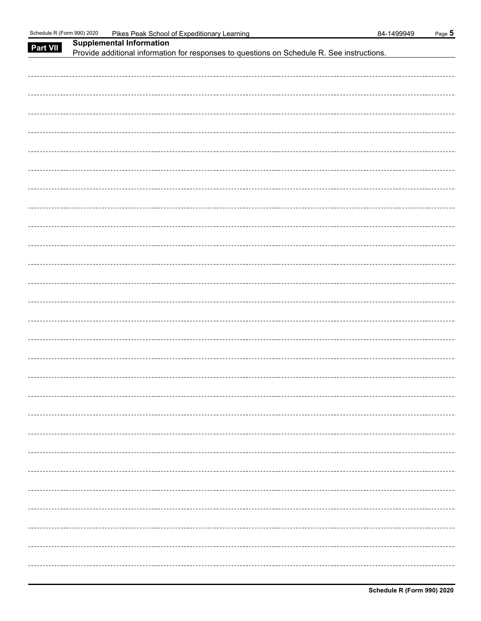| Part VII | <b>Supplemental Information</b>                                                            |
|----------|--------------------------------------------------------------------------------------------|
|          | Provide additional information for responses to questions on Schedule R. See instructions. |
|          |                                                                                            |
|          |                                                                                            |
|          |                                                                                            |
|          |                                                                                            |
|          |                                                                                            |
|          |                                                                                            |
|          |                                                                                            |
|          |                                                                                            |
|          |                                                                                            |
|          |                                                                                            |
|          |                                                                                            |
|          |                                                                                            |
|          |                                                                                            |
|          |                                                                                            |
|          |                                                                                            |
|          |                                                                                            |
|          |                                                                                            |
|          |                                                                                            |
|          |                                                                                            |
|          |                                                                                            |
|          |                                                                                            |
|          |                                                                                            |
|          |                                                                                            |
|          |                                                                                            |
|          |                                                                                            |
|          |                                                                                            |
|          |                                                                                            |
|          |                                                                                            |
|          |                                                                                            |
|          |                                                                                            |
|          |                                                                                            |
|          |                                                                                            |
|          |                                                                                            |
|          |                                                                                            |
|          |                                                                                            |
|          |                                                                                            |
|          |                                                                                            |
|          |                                                                                            |
|          |                                                                                            |
|          |                                                                                            |
|          |                                                                                            |
|          |                                                                                            |
|          |                                                                                            |
|          |                                                                                            |